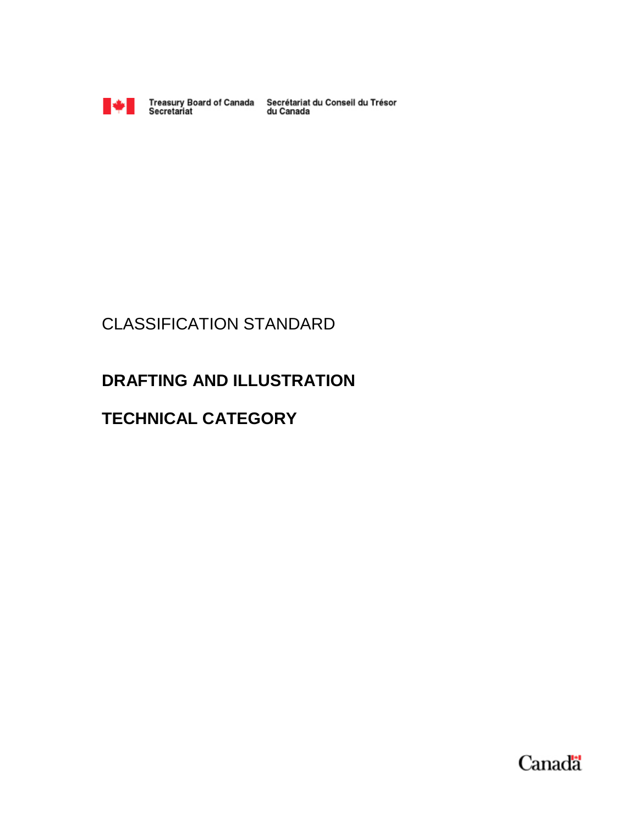

Treasury Board of Canada Secrétariat du Conseil du Trésor<br>Secretariat du Canada

# CLASSIFICATION STANDARD

# **DRAFTING AND ILLUSTRATION**

# **TECHNICAL CATEGORY**

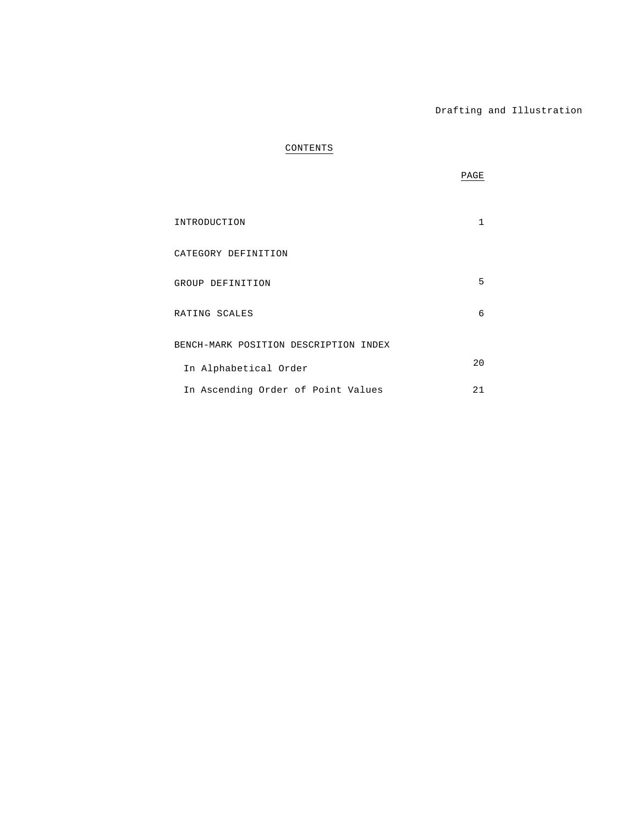# **CONTENTS**

|                                       | PAGE         |  |
|---------------------------------------|--------------|--|
| INTRODUCTION                          | $\mathbf{1}$ |  |
| CATEGORY DEFINITION                   |              |  |
| GROUP DEFINITION                      | 5            |  |
| RATING SCALES                         | 6            |  |
| BENCH-MARK POSITION DESCRIPTION INDEX |              |  |
| In Alphabetical Order                 | 20           |  |
| In Ascending Order of Point Values    | 21           |  |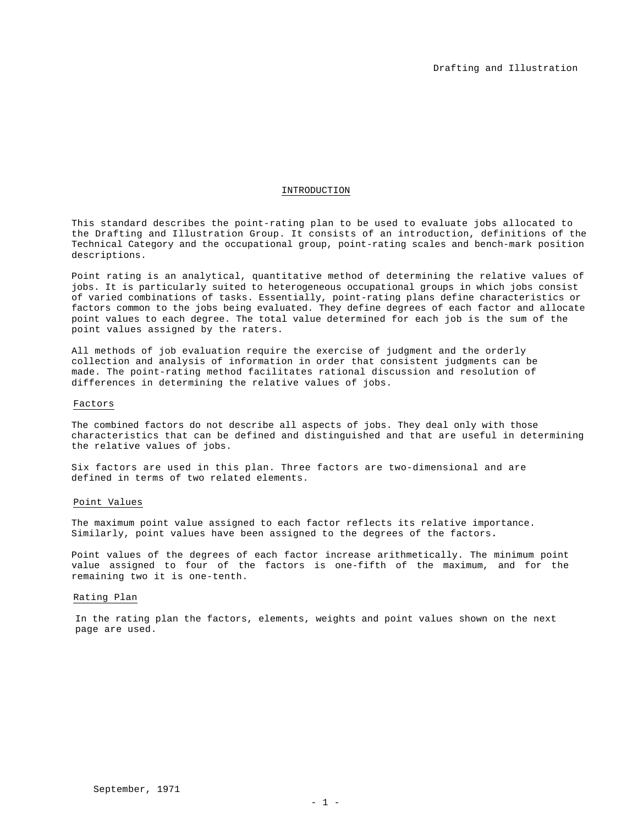### INTRODUCTION

This standard describes the point-rating plan to be used to evaluate jobs allocated to the Drafting and Illustration Group. It consists of an introduction, definitions of the Technical Category and the occupational group, point-rating scales and bench-mark position descriptions.

Point rating is an analytical, quantitative method of determining the relative values of jobs. It is particularly suited to heterogeneous occupational groups in which jobs consist of varied combinations of tasks. Essentially, point-rating plans define characteristics or factors common to the jobs being evaluated. They define degrees of each factor and allocate point values to each degree. The total value determined for each job is the sum of the point values assigned by the raters.

All methods of job evaluation require the exercise of judgment and the orderly collection and analysis of information in order that consistent judgments can be made. The point-rating method facilitates rational discussion and resolution of differences in determining the relative values of jobs.

### Factors

The combined factors do not describe all aspects of jobs. They deal only with those characteristics that can be defined and distinguished and that are useful in determining the relative values of jobs.

Six factors are used in this plan. Three factors are two-dimensional and are defined in terms of two related elements.

### Point Values

The maximum point value assigned to each factor reflects its relative importance. Similarly, point values have been assigned to the degrees of the factors**.** 

Point values of the degrees of each factor increase arithmetically. The minimum point value assigned to four of the factors is one-fifth of the maximum, and for the remaining two it is one-tenth.

### Rating Plan

In the rating plan the factors, elements, weights and point values shown on the next page are used.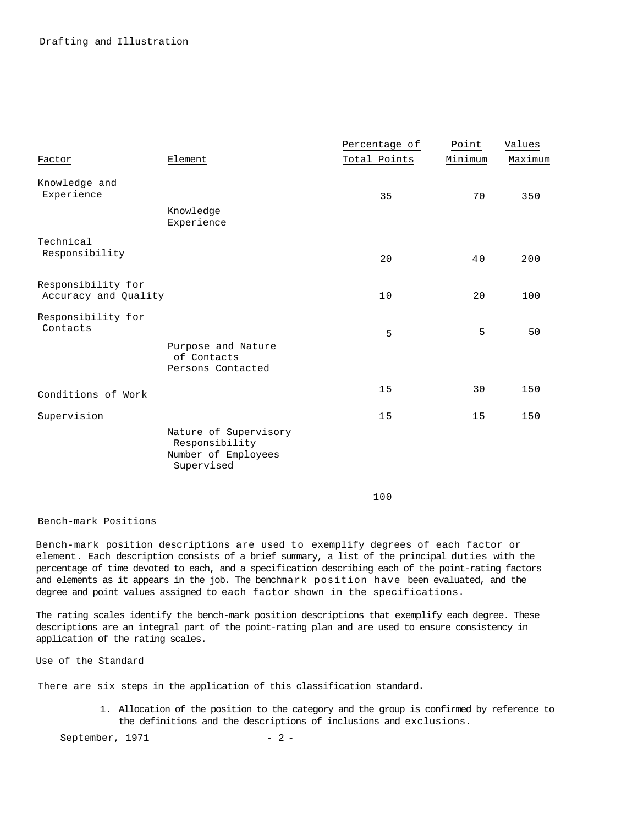|                                            |                                                                              | Percentage of | Point   | Values  |
|--------------------------------------------|------------------------------------------------------------------------------|---------------|---------|---------|
| Factor                                     | Element                                                                      | Total Points  | Minimum | Maximum |
| Knowledge and<br>Experience                |                                                                              | 35            | 70      | 350     |
|                                            | Knowledge<br>Experience                                                      |               |         |         |
| Technical<br>Responsibility                |                                                                              | 20            | 40      | 200     |
| Responsibility for<br>Accuracy and Quality |                                                                              | 10            | 20      | 100     |
| Responsibility for<br>Contacts             |                                                                              | 5             | 5       | 50      |
|                                            | Purpose and Nature<br>of Contacts<br>Persons Contacted                       |               |         |         |
| Conditions of Work                         |                                                                              | 15            | 30      | 150     |
| Supervision                                |                                                                              | 15            | 15      | 150     |
|                                            | Nature of Supervisory<br>Responsibility<br>Number of Employees<br>Supervised |               |         |         |

100

# Bench-mark Positions

Bench-mark position descriptions are used to exemplify degrees of each factor or element. Each description consists of a brief summary, a list of the principal duties with the percentage of time devoted to each, and a specification describing each of the point-rating factors and elements as it appears in the job. The benchmark position have been evaluated, and the degree and point values assigned to each factor shown in the specifications.

The rating scales identify the bench-mark position descriptions that exemplify each degree. These descriptions are an integral part of the point-rating plan and are used to ensure consistency in application of the rating scales.

### Use of the Standard

There are six steps in the application of this classification standard.

1. Allocation of the position to the category and the group is confirmed by reference to the definitions and the descriptions of inclusions and exclusions.

September, 1971 - 2 -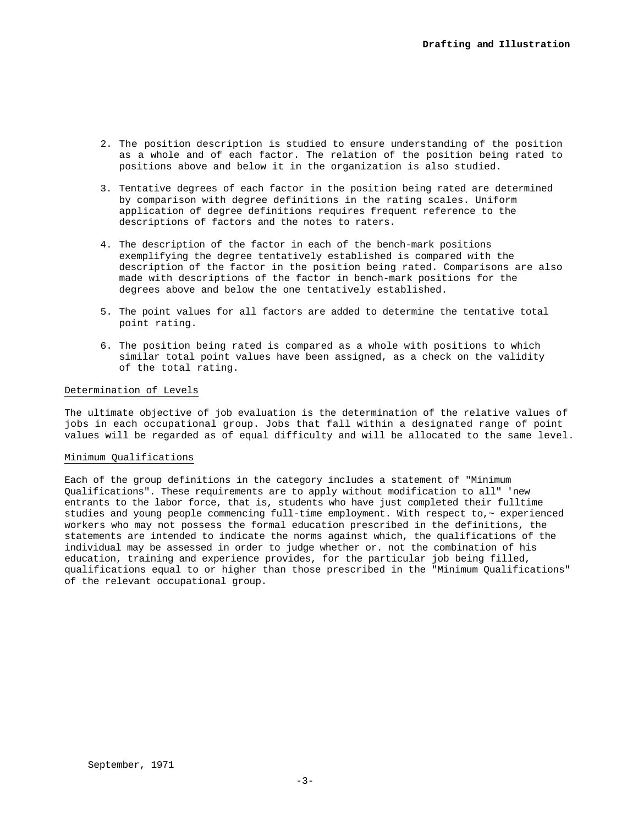- 2. The position description is studied to ensure understanding of the position as a whole and of each factor. The relation of the position being rated to positions above and below it in the organization is also studied.
- 3. Tentative degrees of each factor in the position being rated are determined by comparison with degree definitions in the rating scales. Uniform application of degree definitions requires frequent reference to the descriptions of factors and the notes to raters.
- 4. The description of the factor in each of the bench-mark positions exemplifying the degree tentatively established is compared with the description of the factor in the position being rated. Comparisons are also made with descriptions of the factor in bench-mark positions for the degrees above and below the one tentatively established.
- 5. The point values for all factors are added to determine the tentative total point rating.
- 6. The position being rated is compared as a whole with positions to which similar total point values have been assigned, as a check on the validity of the total rating.

# Determination of Levels

The ultimate objective of job evaluation is the determination of the relative values of jobs in each occupational group. Jobs that fall within a designated range of point values will be regarded as of equal difficulty and will be allocated to the same level.

### Minimum Qualifications

Each of the group definitions in the category includes a statement of "Minimum Qualifications". These requirements are to apply without modification to all" 'new entrants to the labor force, that is, students who have just completed their fulltime studies and young people commencing full-time employment. With respect to, $\sim$  experienced workers who may not possess the formal education prescribed in the definitions, the statements are intended to indicate the norms against which, the qualifications of the individual may be assessed in order to judge whether or. not the combination of his education, training and experience provides, for the particular job being filled, qualifications equal to or higher than those prescribed in the "Minimum Qualifications" of the relevant occupational group.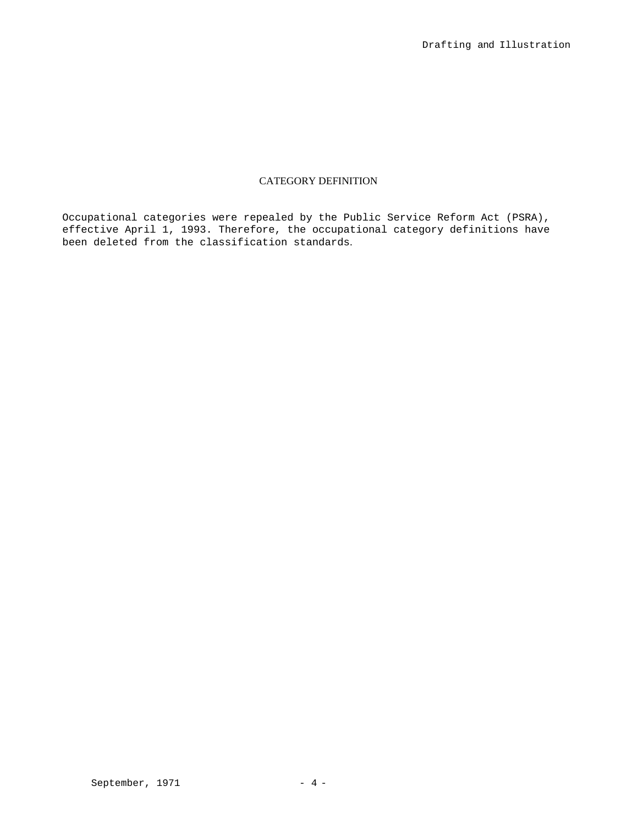# CATEGORY DEFINITION

Occupational categories were repealed by the Public Service Reform Act (PSRA), effective April 1, 1993. Therefore, the occupational category definitions have been deleted from the classification standards.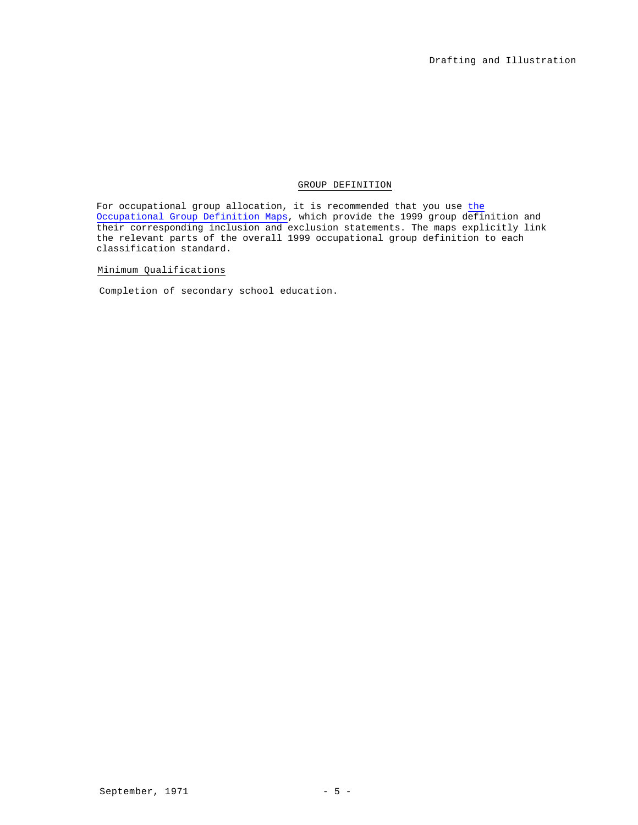# GROUP DEFINITION

For occupational group allocation, it is recommended that you use the Occupational Group Definition Maps, which provide the 1999 group definition and their corresponding inclusion and exclusion statements. The maps explicitly link the relevant parts of the overall 1999 occupational group definition to each classification standard.

Minimum Qualifications

Completion of secondary school education.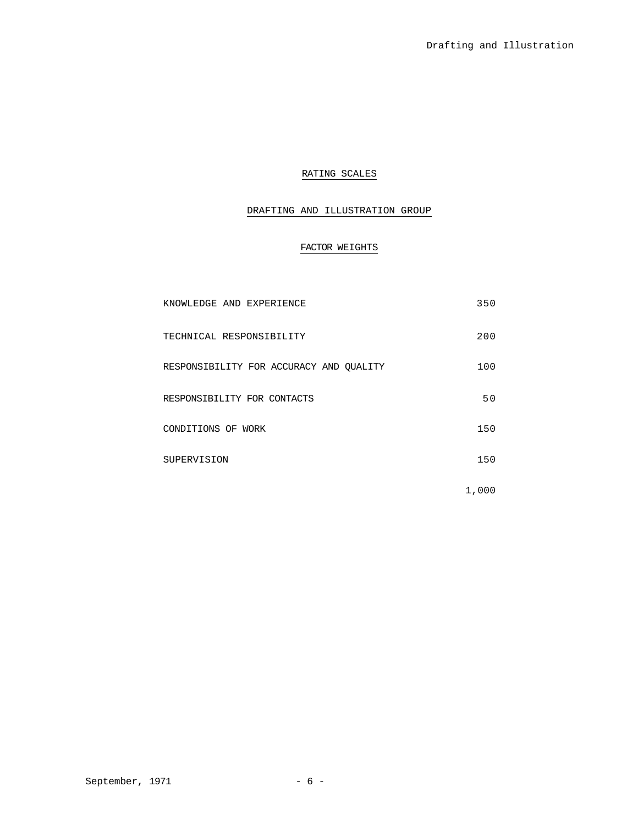# RATING SCALES

# DRAFTING AND ILLUSTRATION GROUP

# FACTOR WEIGHTS

| KNOWLEDGE AND EXPERIENCE                | 350   |
|-----------------------------------------|-------|
| TECHNICAL RESPONSIBILITY                | 200   |
| RESPONSIBILITY FOR ACCURACY AND QUALITY | 100   |
| RESPONSIBILITY FOR CONTACTS             | 50    |
| CONDITIONS OF WORK                      | 150   |
| SUPERVISION                             | 150   |
|                                         | 1,000 |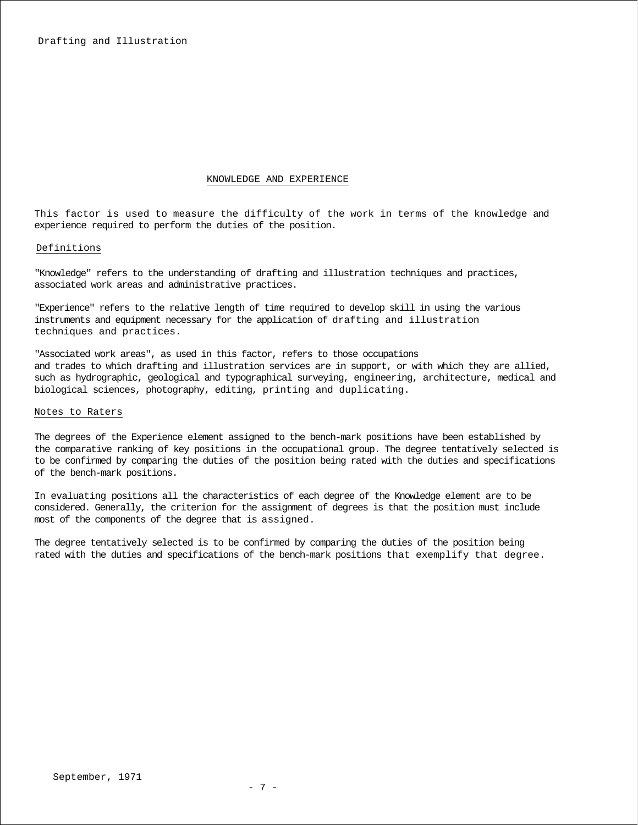### KNOWLEDGE AND EXPERIENCE

This factor is used to measure the difficulty of the work in terms of the knowledge and experience required to perform the duties of the position.

### Definitions

"Knowledge" refers to the understanding of drafting and illustration techniques and practices, associated work areas and administrative practices.

"Experience" refers to the relative length of time required to develop skill in using the various instruments and equipment necessary for the application of drafting and illustration techniques and practices.

"Associated work areas", as used in this factor, refers to those occupations and trades to which drafting and illustration services are in support, or with which they are allied, such as hydrographic, geological and typographical surveying, engineering, architecture, medical and biological sciences, photography, editing, printing and duplicating.

### Notes to Raters

The degrees of the Experience element assigned to the bench-mark positions have been established by the comparative ranking of key positions in the occupational group. The degree tentatively selected is to be confirmed by comparing the duties of the position being rated with the duties and specifications of the bench-mark positions.

In evaluating positions all the characteristics of each degree of the Knowledge element are to be considered. Generally, the criterion for the assignment of degrees is that the position must include most of the components of the degree that is assigned.

The degree tentatively selected is to be confirmed by comparing the duties of the position being rated with the duties and specifications of the bench-mark positions that exemplify that degree.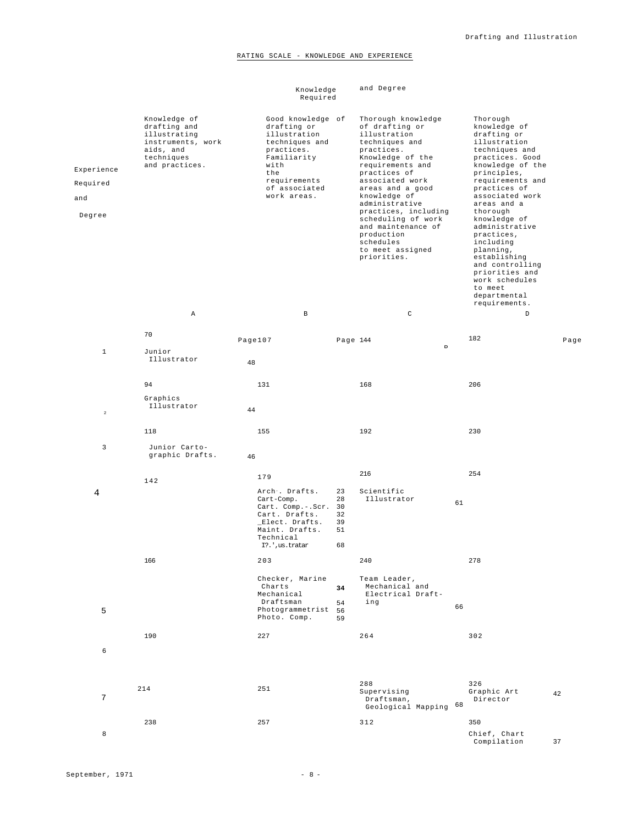# RATING SCALE - KNOWLEDGE AND EXPERIENCE

|                                         |                                                                                                                | Knowledge<br>Required                                                                                                                                          |                                        | and Degree                                                                                                                                                                                                                                                                                                                                              |    |                                                                                                                                                                                                                                                                                                                                                                                                                |      |
|-----------------------------------------|----------------------------------------------------------------------------------------------------------------|----------------------------------------------------------------------------------------------------------------------------------------------------------------|----------------------------------------|---------------------------------------------------------------------------------------------------------------------------------------------------------------------------------------------------------------------------------------------------------------------------------------------------------------------------------------------------------|----|----------------------------------------------------------------------------------------------------------------------------------------------------------------------------------------------------------------------------------------------------------------------------------------------------------------------------------------------------------------------------------------------------------------|------|
| Experience<br>Required<br>and<br>Degree | Knowledge of<br>drafting and<br>illustrating<br>instruments, work<br>aids, and<br>techniques<br>and practices. | Good knowledge of<br>drafting or<br>illustration<br>techniques and<br>practices.<br>Familiarity<br>with<br>the<br>requirements<br>of associated<br>work areas. |                                        | Thorough knowledge<br>of drafting or<br>illustration<br>techniques and<br>practices.<br>Knowledge of the<br>requirements and<br>practices of<br>associated work<br>areas and a good<br>knowledge of<br>administrative<br>practices, including<br>scheduling of work<br>and maintenance of<br>production<br>schedules<br>to meet assigned<br>priorities. |    | Thorough<br>knowledge of<br>drafting or<br>illustration<br>techniques and<br>practices. Good<br>knowledge of the<br>principles,<br>requirements and<br>practices of<br>associated work<br>areas and a<br>thorough<br>knowledge of<br>administrative<br>practices,<br>including<br>planning,<br>establishing<br>and controlling<br>priorities and<br>work schedules<br>to meet<br>departmental<br>requirements. |      |
|                                         | Α                                                                                                              | $\, {\bf B}$                                                                                                                                                   |                                        | $\mathtt{C}$                                                                                                                                                                                                                                                                                                                                            |    | D                                                                                                                                                                                                                                                                                                                                                                                                              |      |
| $\mathbf{1}$                            | 70<br>Junior                                                                                                   | Page107                                                                                                                                                        | Page 144                               | n                                                                                                                                                                                                                                                                                                                                                       |    | 182                                                                                                                                                                                                                                                                                                                                                                                                            | Page |
|                                         | Illustrator                                                                                                    | 48                                                                                                                                                             |                                        |                                                                                                                                                                                                                                                                                                                                                         |    |                                                                                                                                                                                                                                                                                                                                                                                                                |      |
|                                         | 94                                                                                                             | 131                                                                                                                                                            |                                        | 168                                                                                                                                                                                                                                                                                                                                                     |    | 206                                                                                                                                                                                                                                                                                                                                                                                                            |      |
| $\,$ 2 $\,$                             | Graphics<br>Illustrator                                                                                        | 44                                                                                                                                                             |                                        |                                                                                                                                                                                                                                                                                                                                                         |    |                                                                                                                                                                                                                                                                                                                                                                                                                |      |
|                                         | 118                                                                                                            | 155                                                                                                                                                            |                                        | 192                                                                                                                                                                                                                                                                                                                                                     |    | 230                                                                                                                                                                                                                                                                                                                                                                                                            |      |
| 3                                       | Junior Carto-<br>graphic Drafts.                                                                               | 46                                                                                                                                                             |                                        |                                                                                                                                                                                                                                                                                                                                                         |    |                                                                                                                                                                                                                                                                                                                                                                                                                |      |
|                                         | 142                                                                                                            | 179                                                                                                                                                            |                                        | 216                                                                                                                                                                                                                                                                                                                                                     |    | 254                                                                                                                                                                                                                                                                                                                                                                                                            |      |
| 4                                       |                                                                                                                | Arch. Drafts.<br>Cart-Comp.<br>Cart. Comp.-.Scr.<br>Cart. Drafts.<br>_Elect. Drafts.<br>Maint. Drafts.<br>Technical<br>I?.', us.tratar                         | 23<br>28<br>30<br>32<br>39<br>51<br>68 | Scientific<br>Illustrator                                                                                                                                                                                                                                                                                                                               | 61 |                                                                                                                                                                                                                                                                                                                                                                                                                |      |
|                                         | 166                                                                                                            | 203                                                                                                                                                            |                                        | 240                                                                                                                                                                                                                                                                                                                                                     |    | 278                                                                                                                                                                                                                                                                                                                                                                                                            |      |
| 5                                       |                                                                                                                | Checker, Marine<br>Charts<br>Mechanical<br>Draftsman<br>Photogrammetrist<br>Photo. Comp.                                                                       | 34<br>54<br>56<br>59                   | Team Leader,<br>Mechanical and<br>Electrical Draft-<br>ing                                                                                                                                                                                                                                                                                              | 66 |                                                                                                                                                                                                                                                                                                                                                                                                                |      |
|                                         | 190                                                                                                            | 227                                                                                                                                                            |                                        | 264                                                                                                                                                                                                                                                                                                                                                     |    | 302                                                                                                                                                                                                                                                                                                                                                                                                            |      |
| 6                                       |                                                                                                                |                                                                                                                                                                |                                        |                                                                                                                                                                                                                                                                                                                                                         |    |                                                                                                                                                                                                                                                                                                                                                                                                                |      |
| 7                                       | 214                                                                                                            | 251                                                                                                                                                            |                                        | 288<br>Supervising<br>Draftsman,<br>Geological Mapping                                                                                                                                                                                                                                                                                                  | 68 | 326<br>Graphic Art<br>Director                                                                                                                                                                                                                                                                                                                                                                                 | 42   |
| 8                                       | 238                                                                                                            | 257                                                                                                                                                            |                                        | 312                                                                                                                                                                                                                                                                                                                                                     |    | 350<br>Chief, Chart                                                                                                                                                                                                                                                                                                                                                                                            |      |
|                                         |                                                                                                                |                                                                                                                                                                |                                        |                                                                                                                                                                                                                                                                                                                                                         |    | Compilation                                                                                                                                                                                                                                                                                                                                                                                                    | 37   |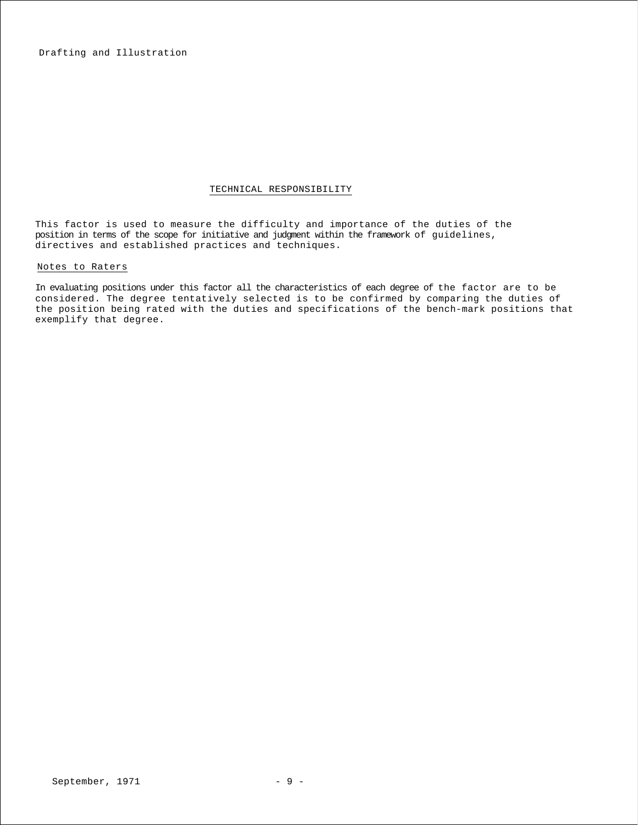Drafting and Illustration

### TECHNICAL RESPONSIBILITY

This factor is used to measure the difficulty and importance of the duties of the position in terms of the scope for initiative and judgment within the framework of guidelines, directives and established practices and techniques.

# Notes to Raters

In evaluating positions under this factor all the characteristics of each degree of the factor are to be considered. The degree tentatively selected is to be confirmed by comparing the duties of the position being rated with the duties and specifications of the bench-mark positions that exemplify that degree.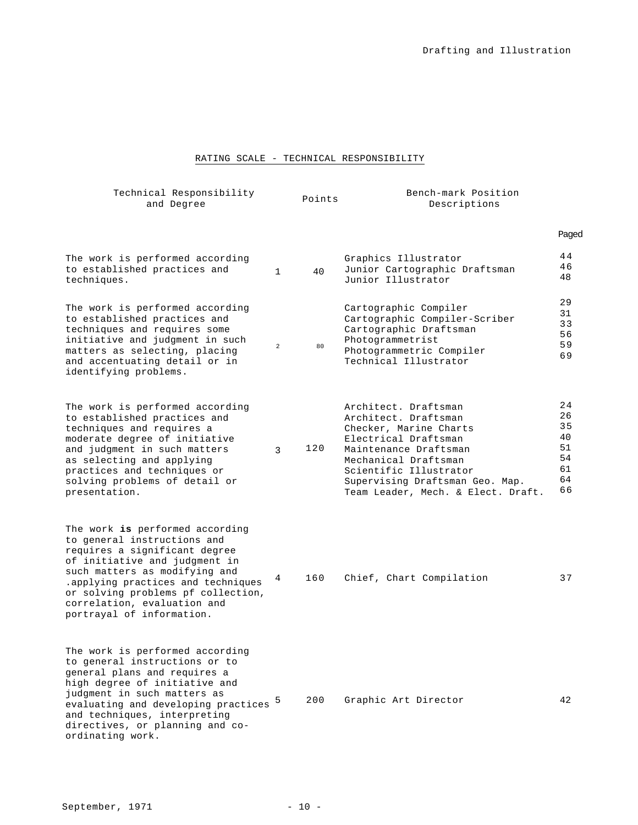# RATING SCALE - TECHNICAL RESPONSIBILITY

| Technical Responsibility<br>and Degree                                                                                                                                                                                                                                                                    |                | Points | Bench-mark Position<br>Descriptions                                                                                                                                                                                                                |                                                    |
|-----------------------------------------------------------------------------------------------------------------------------------------------------------------------------------------------------------------------------------------------------------------------------------------------------------|----------------|--------|----------------------------------------------------------------------------------------------------------------------------------------------------------------------------------------------------------------------------------------------------|----------------------------------------------------|
|                                                                                                                                                                                                                                                                                                           |                |        |                                                                                                                                                                                                                                                    | Paged                                              |
| The work is performed according<br>to established practices and<br>techniques.                                                                                                                                                                                                                            | $\mathbf{1}$   | 40     | Graphics Illustrator<br>Junior Cartographic Draftsman<br>Junior Illustrator                                                                                                                                                                        | 44<br>46<br>48                                     |
| The work is performed according<br>to established practices and<br>techniques and requires some<br>initiative and judgment in such<br>matters as selecting, placing<br>and accentuating detail or in<br>identifying problems.                                                                             | $\overline{a}$ | 80     | Cartographic Compiler<br>Cartographic Compiler-Scriber<br>Cartographic Draftsman<br>Photogrammetrist<br>Photogrammetric Compiler<br>Technical Illustrator                                                                                          | 29<br>31<br>33<br>56<br>59<br>69                   |
| The work is performed according<br>to established practices and<br>techniques and requires a<br>moderate degree of initiative<br>and judgment in such matters<br>as selecting and applying<br>practices and techniques or<br>solving problems of detail or<br>presentation.                               | 3              | 120    | Architect. Draftsman<br>Architect. Draftsman<br>Checker, Marine Charts<br>Electrical Draftsman<br>Maintenance Draftsman<br>Mechanical Draftsman<br>Scientific Illustrator<br>Supervising Draftsman Geo. Map.<br>Team Leader, Mech. & Elect. Draft. | 24<br>26<br>35<br>40<br>51<br>54<br>61<br>64<br>66 |
| The work is performed according<br>to general instructions and<br>requires a significant degree<br>of initiative and judgment in<br>such matters as modifying and<br>.applying practices and techniques<br>or solving problems pf collection,<br>correlation, evaluation and<br>portrayal of information. | 4              | 160    | Chief, Chart Compilation                                                                                                                                                                                                                           | 37                                                 |
| The work is performed according<br>to general instructions or to<br>general plans and requires a<br>high degree of initiative and<br>judgment in such matters as<br>evaluating and developing practices 5<br>and techniques, interpreting<br>directives, or planning and co-<br>ordinating work.          |                | 200    | Graphic Art Director                                                                                                                                                                                                                               | 42                                                 |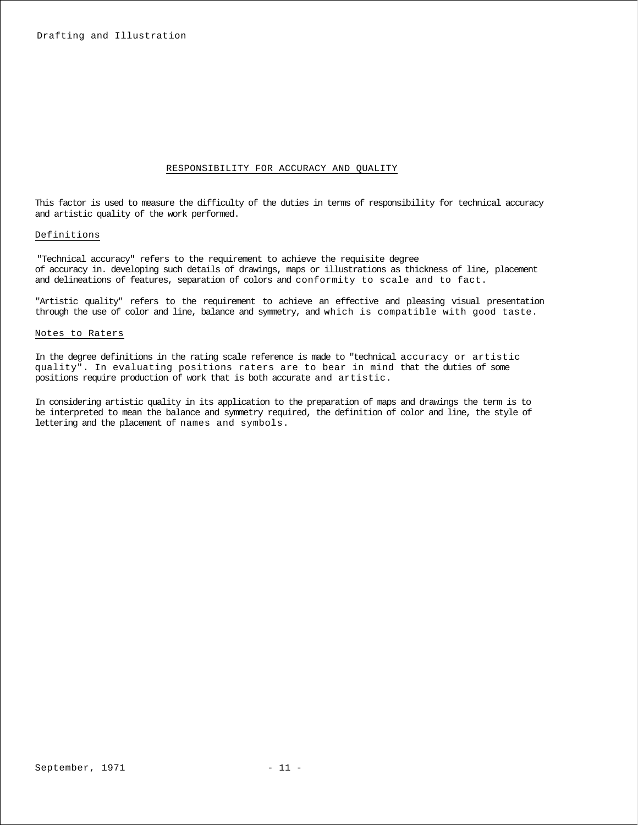### RESPONSIBILITY FOR ACCURACY AND QUALITY

This factor is used to measure the difficulty of the duties in terms of responsibility for technical accuracy and artistic quality of the work performed.

### Definitions

"Technical accuracy" refers to the requirement to achieve the requisite degree of accuracy in. developing such details of drawings, maps or illustrations as thickness of line, placement and delineations of features, separation of colors and conformity to scale and to fact.

"Artistic quality" refers to the requirement to achieve an effective and pleasing visual presentation through the use of color and line, balance and symmetry, and which is compatible with good taste.

### Notes to Raters

In the degree definitions in the rating scale reference is made to "technical accuracy or artistic quality". In evaluating positions raters are to bear in mind that the duties of some positions require production of work that is both accurate and artistic.

In considering artistic quality in its application to the preparation of maps and drawings the term is to be interpreted to mean the balance and symmetry required, the definition of color and line, the style of lettering and the placement of names and symbols.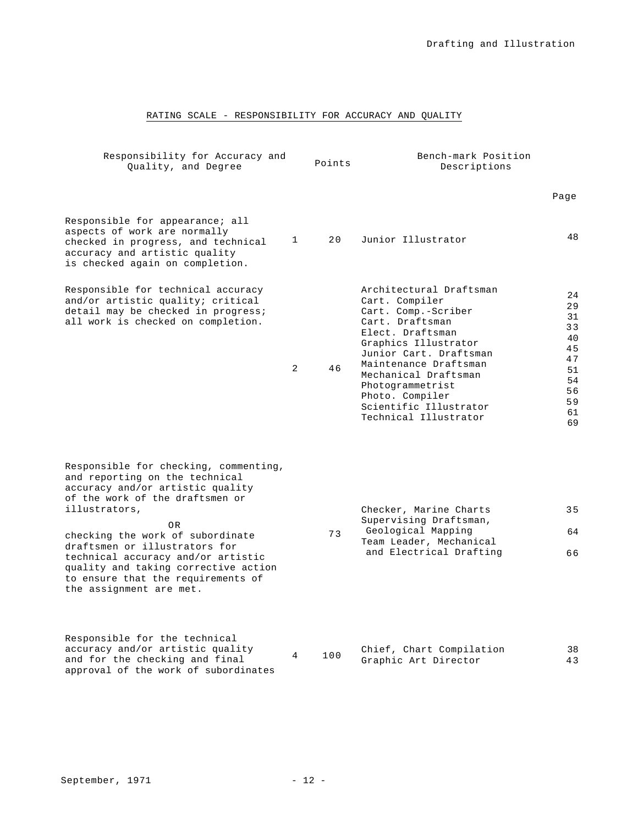# RATING SCALE - RESPONSIBILITY FOR ACCURACY AND QUALITY

| Responsibility for Accuracy and<br>Quality, and Degree                                                                                                                                                                                                                                                                                                                                                |                | Points | Bench-mark Position<br>Descriptions                                                                                                                                                                                                                                                                  |                                                                            |  |  |
|-------------------------------------------------------------------------------------------------------------------------------------------------------------------------------------------------------------------------------------------------------------------------------------------------------------------------------------------------------------------------------------------------------|----------------|--------|------------------------------------------------------------------------------------------------------------------------------------------------------------------------------------------------------------------------------------------------------------------------------------------------------|----------------------------------------------------------------------------|--|--|
|                                                                                                                                                                                                                                                                                                                                                                                                       |                |        |                                                                                                                                                                                                                                                                                                      | Page                                                                       |  |  |
| Responsible for appearance; all<br>aspects of work are normally<br>checked in progress, and technical<br>accuracy and artistic quality<br>is checked again on completion.                                                                                                                                                                                                                             | $\mathbf{1}$   | 20     | Junior Illustrator                                                                                                                                                                                                                                                                                   | 48                                                                         |  |  |
| Responsible for technical accuracy<br>and/or artistic quality; critical<br>detail may be checked in progress;<br>all work is checked on completion.                                                                                                                                                                                                                                                   | $\overline{2}$ | 46     | Architectural Draftsman<br>Cart. Compiler<br>Cart. Comp.-Scriber<br>Cart. Draftsman<br>Elect. Draftsman<br>Graphics Illustrator<br>Junior Cart. Draftsman<br>Maintenance Draftsman<br>Mechanical Draftsman<br>Photogrammetrist<br>Photo. Compiler<br>Scientific Illustrator<br>Technical Illustrator | 24<br>29<br>31<br>33<br>40<br>45<br>47<br>51<br>54<br>56<br>59<br>61<br>69 |  |  |
| Responsible for checking, commenting,<br>and reporting on the technical<br>accuracy and/or artistic quality<br>of the work of the draftsmen or<br>illustrators,<br>0 <sub>R</sub><br>checking the work of subordinate<br>draftsmen or illustrators for<br>technical accuracy and/or artistic<br>quality and taking corrective action<br>to ensure that the requirements of<br>the assignment are met. |                | 73     | Checker, Marine Charts<br>Supervising Draftsman,<br>Geological Mapping<br>Team Leader, Mechanical<br>and Electrical Drafting                                                                                                                                                                         | 35<br>64<br>66                                                             |  |  |
| Responsible for the technical<br>accuracy and/or artistic quality<br>and for the checking and final                                                                                                                                                                                                                                                                                                   | 4              | 100    | Chief, Chart Compilation<br>Graphic Art Director                                                                                                                                                                                                                                                     | 38<br>43                                                                   |  |  |

approval of the work of subordinates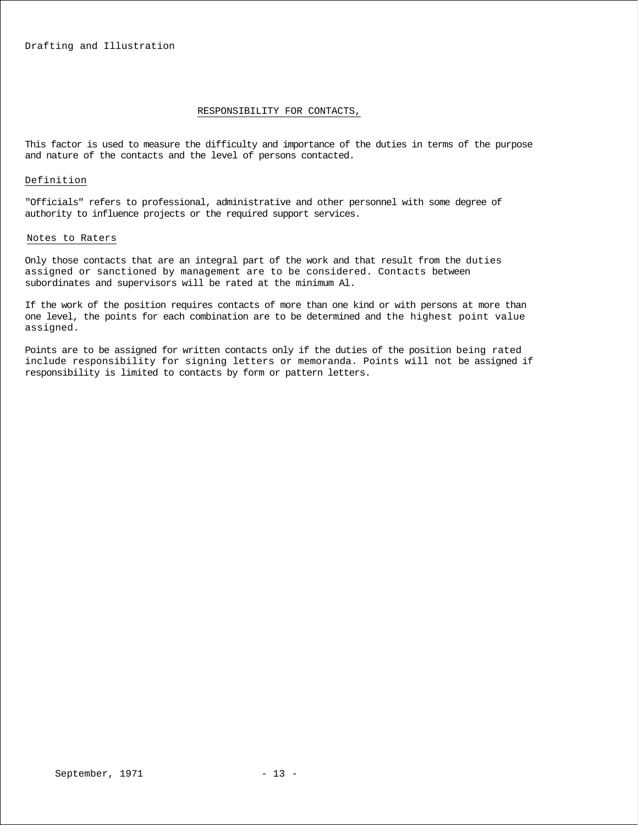### RESPONSIBILITY FOR CONTACTS,

This factor is used to measure the difficulty and importance of the duties in terms of the purpose and nature of the contacts and the level of persons contacted.

### Definition

"Officials" refers to professional, administrative and other personnel with some degree of authority to influence projects or the required support services.

### Notes to Raters

Only those contacts that are an integral part of the work and that result from the duties assigned or sanctioned by management are to be considered. Contacts between subordinates and supervisors will be rated at the minimum Al.

If the work of the position requires contacts of more than one kind or with persons at more than one level, the points for each combination are to be determined and the highest point value assigned.

Points are to be assigned for written contacts only if the duties of the position being rated include responsibility for signing letters or memoranda. Points will not be assigned if responsibility is limited to contacts by form or pattern letters.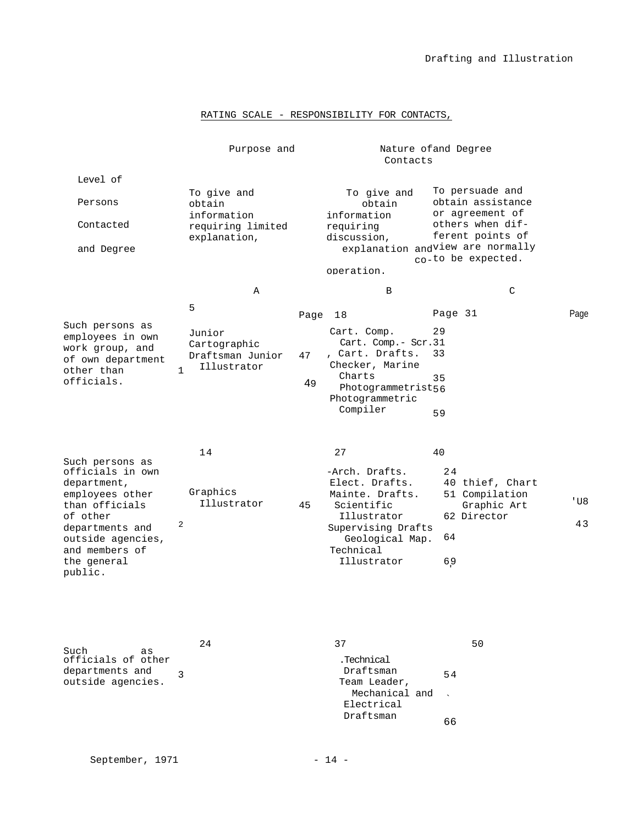# RATING SCALE - RESPONSIBILITY FOR CONTACTS,

|                                                                                                                                                                                         | Nature of and Degree<br>Purpose and<br>Contacts                           |    |                                                                                                                                                             |                       |                                                                 |           |
|-----------------------------------------------------------------------------------------------------------------------------------------------------------------------------------------|---------------------------------------------------------------------------|----|-------------------------------------------------------------------------------------------------------------------------------------------------------------|-----------------------|-----------------------------------------------------------------|-----------|
| Level of                                                                                                                                                                                |                                                                           |    |                                                                                                                                                             |                       |                                                                 |           |
| Persons                                                                                                                                                                                 | To give and<br>obtain<br>information                                      |    | To give and<br>obtain<br>information                                                                                                                        |                       | To persuade and<br>obtain assistance<br>or agreement of         |           |
| Contacted                                                                                                                                                                               | requiring limited<br>explanation,                                         |    | requiring<br>discussion,                                                                                                                                    |                       | others when dif-<br>ferent points of                            |           |
| and Degree                                                                                                                                                                              |                                                                           |    | explanation andview are normally                                                                                                                            |                       | co-to be expected.                                              |           |
|                                                                                                                                                                                         |                                                                           |    | operation.                                                                                                                                                  |                       |                                                                 |           |
|                                                                                                                                                                                         | Α                                                                         |    | B                                                                                                                                                           |                       | C                                                               |           |
|                                                                                                                                                                                         | 5                                                                         |    | Page 18                                                                                                                                                     | Page 31               |                                                                 | Page      |
| Such persons as<br>employees in own<br>work group, and<br>of own department<br>other than<br>officials.                                                                                 | Junior<br>Cartographic<br>Draftsman Junior<br>Illustrator<br>$\mathbf{1}$ | 47 | Cart. Comp.<br>Cart. Comp.- Scr.31<br>, Cart. Drafts.<br>Checker, Marine<br>Charts                                                                          | 29<br>33<br>35        |                                                                 |           |
|                                                                                                                                                                                         |                                                                           | 49 | Photogrammetrist56<br>Photogrammetric<br>Compiler                                                                                                           | 59                    |                                                                 |           |
| Such persons as<br>officials in own<br>department,<br>employees other<br>than officials<br>of other<br>departments and<br>outside agencies,<br>and members of<br>the general<br>public. | 14<br>Graphics<br>Illustrator<br>2                                        | 45 | 27<br>-Arch. Drafts.<br>Elect. Drafts.<br>Mainte. Drafts.<br>Scientific<br>Illustrator<br>Supervising Drafts<br>Geological Map.<br>Technical<br>Illustrator | 40<br>24<br>64<br>6,9 | 40 thief, Chart<br>51 Compilation<br>Graphic Art<br>62 Director | 'U8<br>43 |
| Such<br>as<br>officials of other<br>departments and<br>outside agencies.                                                                                                                | 24<br>3                                                                   |    | 37<br>.Technical<br>Draftsman<br>Team Leader,                                                                                                               | 54                    | 50                                                              |           |

Mechanical and<br>logtrigal

Draftsman 66

Electrical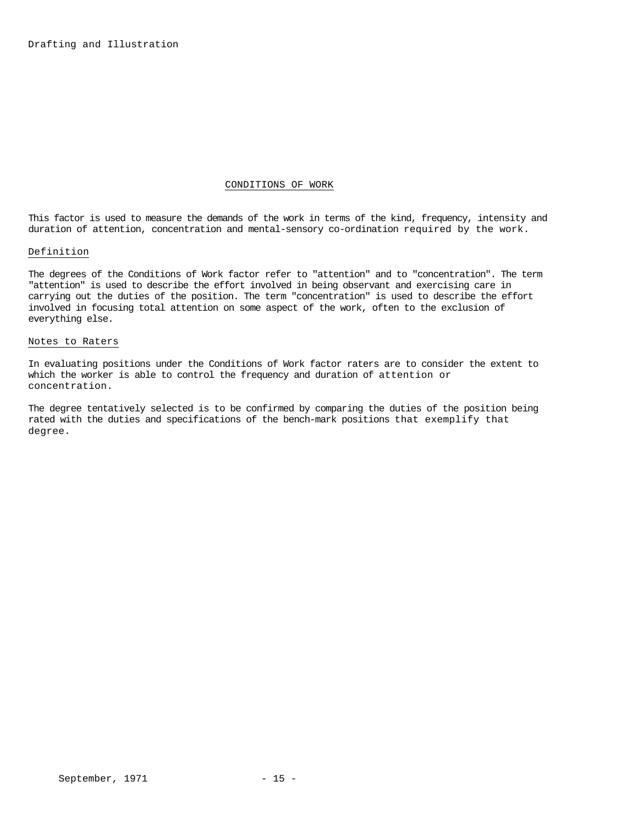# CONDITIONS OF WORK

This factor is used to measure the demands of the work in terms of the kind, frequency, intensity and duration of attention, concentration and mental-sensory co-ordination required by the work.

# Definition

The degrees of the Conditions of Work factor refer to "attention" and to "concentration". The term "attention" is used to describe the effort involved in being observant and exercising care in carrying out the duties of the position. The term "concentration" is used to describe the effort involved in focusing total attention on some aspect of the work, often to the exclusion of everything else.

### Notes to Raters

In evaluating positions under the Conditions of Work factor raters are to consider the extent to which the worker is able to control the frequency and duration of attention or concentration.

The degree tentatively selected is to be confirmed by comparing the duties of the position being rated with the duties and specifications of the bench-mark positions that exemplify that degree.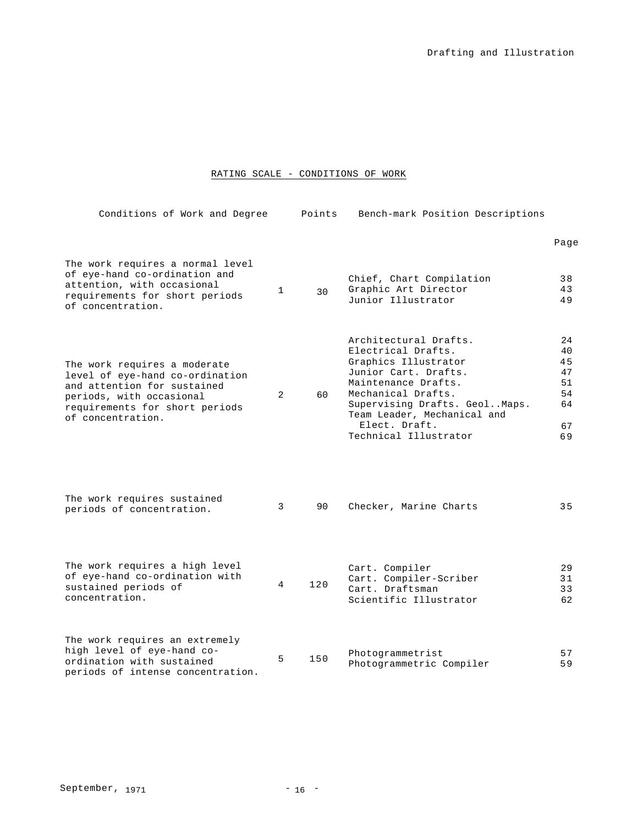# RATING SCALE - CONDITIONS OF WORK

| Conditions of Work and Degree                                                                                                                                                     |                | Points | Bench-mark Position Descriptions                                                                                                                                                                                                                   |                                                    |
|-----------------------------------------------------------------------------------------------------------------------------------------------------------------------------------|----------------|--------|----------------------------------------------------------------------------------------------------------------------------------------------------------------------------------------------------------------------------------------------------|----------------------------------------------------|
|                                                                                                                                                                                   |                |        |                                                                                                                                                                                                                                                    | Page                                               |
| The work requires a normal level<br>of eye-hand co-ordination and<br>attention, with occasional<br>requirements for short periods<br>of concentration.                            | $\mathbf{1}$   | 30     | Chief, Chart Compilation<br>Graphic Art Director<br>Junior Illustrator                                                                                                                                                                             | 38<br>43<br>49                                     |
| The work requires a moderate<br>level of eye-hand co-ordination<br>and attention for sustained<br>periods, with occasional<br>requirements for short periods<br>of concentration. | 2              | 60     | Architectural Drafts.<br>Electrical Drafts.<br>Graphics Illustrator<br>Junior Cart. Drafts.<br>Maintenance Drafts.<br>Mechanical Drafts.<br>Supervising Drafts. GeolMaps.<br>Team Leader, Mechanical and<br>Elect. Draft.<br>Technical Illustrator | 24<br>40<br>45<br>47<br>51<br>54<br>64<br>67<br>69 |
| The work requires sustained<br>periods of concentration.                                                                                                                          | 3              | 90     | Checker, Marine Charts                                                                                                                                                                                                                             | 35                                                 |
| The work requires a high level<br>of eye-hand co-ordination with<br>sustained periods of<br>concentration.                                                                        | $\overline{4}$ | 120    | Cart. Compiler<br>Cart. Compiler-Scriber<br>Cart. Draftsman<br>Scientific Illustrator                                                                                                                                                              | 29<br>31<br>33<br>62                               |
| The work requires an extremely<br>high level of eye-hand co-<br>ordination with sustained<br>periods of intense concentration.                                                    | 5              | 150    | Photogrammetrist<br>Photogrammetric Compiler                                                                                                                                                                                                       | 57<br>59                                           |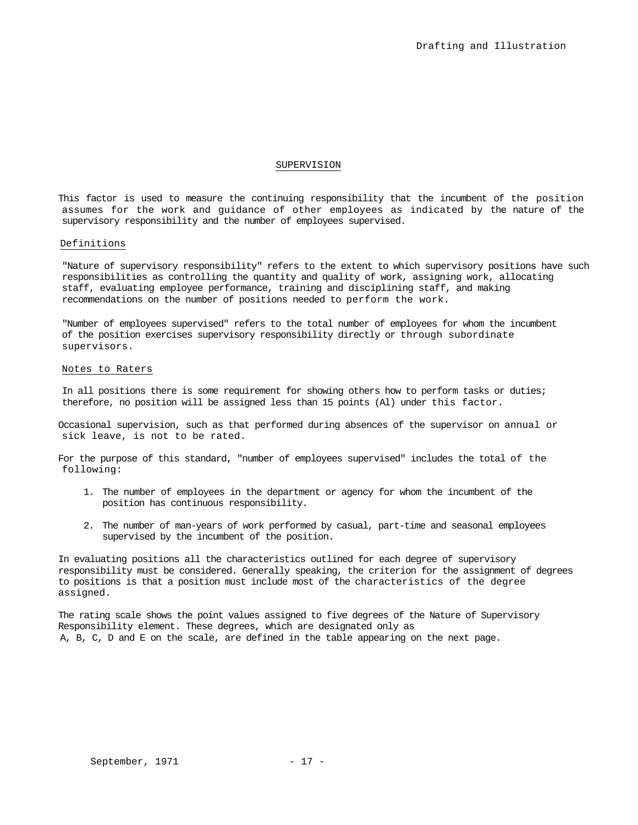### SUPERVISION

This factor is used to measure the continuing responsibility that the incumbent of the position assumes for the work and guidance of other employees as indicated by the nature of the supervisory responsibility and the number of employees supervised.

### Definitions

"Nature of supervisory responsibility" refers to the extent to which supervisory positions have such responsibilities as controlling the quantity and quality of work, assigning work, allocating staff, evaluating employee performance, training and disciplining staff, and making recommendations on the number of positions needed to perform the work.

"Number of employees supervised" refers to the total number of employees for whom the incumbent of the position exercises supervisory responsibility directly or through subordinate supervisors.

### Notes to Raters

In all positions there is some requirement for showing others how to perform tasks or duties; therefore, no position will be assigned less than 15 points (Al) under this factor.

Occasional supervision, such as that performed during absences of the supervisor on annual or sick leave, is not to be rated.

For the purpose of this standard, "number of employees supervised" includes the total of the following:

- 1. The number of employees in the department or agency for whom the incumbent of the position has continuous responsibility.
- 2. The number of man-years of work performed by casual, part-time and seasonal employees supervised by the incumbent of the position.

In evaluating positions all the characteristics outlined for each degree of supervisory responsibility must be considered. Generally speaking, the criterion for the assignment of degrees to positions is that a position must include most of the characteristics of the degree assigned.

The rating scale shows the point values assigned to five degrees of the Nature of Supervisory Responsibility element. These degrees, which are designated only as A, B, C, D and E on the scale, are defined in the table appearing on the next page.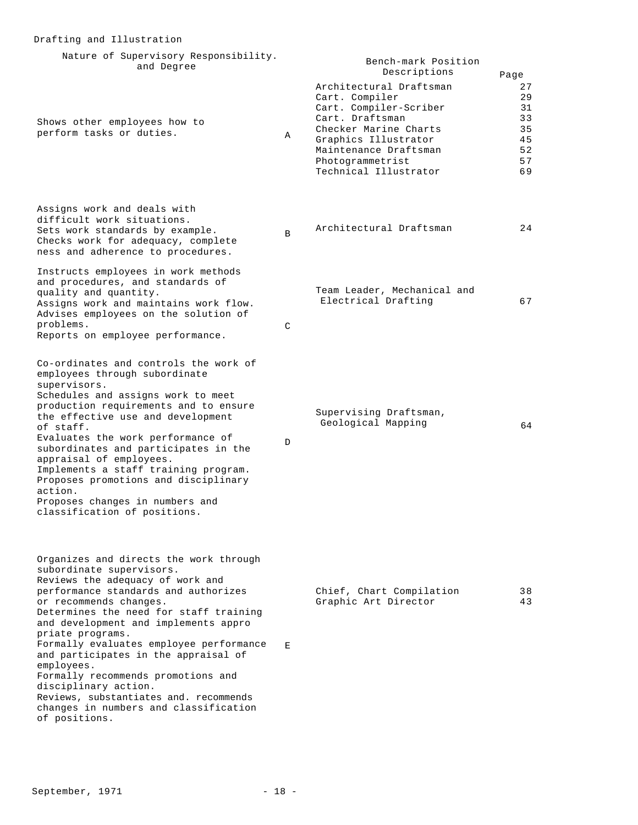| Nature of Supervisory Responsibility.<br>and Degree                                                                                                                                                                                                                                                                                                                                                                                                                                                                                               |   | Bench-mark Position<br>Descriptions                                                                                                                                                                           | Page                                               |
|---------------------------------------------------------------------------------------------------------------------------------------------------------------------------------------------------------------------------------------------------------------------------------------------------------------------------------------------------------------------------------------------------------------------------------------------------------------------------------------------------------------------------------------------------|---|---------------------------------------------------------------------------------------------------------------------------------------------------------------------------------------------------------------|----------------------------------------------------|
| Shows other employees how to<br>perform tasks or duties.                                                                                                                                                                                                                                                                                                                                                                                                                                                                                          | Α | Architectural Draftsman<br>Cart. Compiler<br>Cart. Compiler-Scriber<br>Cart. Draftsman<br>Checker Marine Charts<br>Graphics Illustrator<br>Maintenance Draftsman<br>Photogrammetrist<br>Technical Illustrator | 27<br>29<br>31<br>33<br>35<br>45<br>52<br>57<br>69 |
| Assigns work and deals with<br>difficult work situations.<br>Sets work standards by example.<br>Checks work for adequacy, complete<br>ness and adherence to procedures.                                                                                                                                                                                                                                                                                                                                                                           | B | Architectural Draftsman                                                                                                                                                                                       | 24                                                 |
| Instructs employees in work methods<br>and procedures, and standards of<br>quality and quantity.<br>Assigns work and maintains work flow.<br>Advises employees on the solution of<br>problems.<br>Reports on employee performance.                                                                                                                                                                                                                                                                                                                | C | Team Leader, Mechanical and<br>Electrical Drafting                                                                                                                                                            | 67                                                 |
| Co-ordinates and controls the work of<br>employees through subordinate<br>supervisors.<br>Schedules and assigns work to meet<br>production requirements and to ensure<br>the effective use and development<br>of staff.<br>Evaluates the work performance of<br>subordinates and participates in the<br>appraisal of employees.<br>Implements a staff training program.<br>Proposes promotions and disciplinary<br>action.<br>Proposes changes in numbers and<br>classification of positions.                                                     | D | Supervising Draftsman,<br>Geological Mapping                                                                                                                                                                  | 64                                                 |
| Organizes and directs the work through<br>subordinate supervisors.<br>Reviews the adequacy of work and<br>performance standards and authorizes<br>or recommends changes.<br>Determines the need for staff training<br>and development and implements appro<br>priate programs.<br>Formally evaluates employee performance<br>and participates in the appraisal of<br>employees.<br>Formally recommends promotions and<br>disciplinary action.<br>Reviews, substantiates and. recommends<br>changes in numbers and classification<br>of positions. | E | Chief, Chart Compilation<br>Graphic Art Director                                                                                                                                                              | 38<br>43                                           |

Drafting and Illustration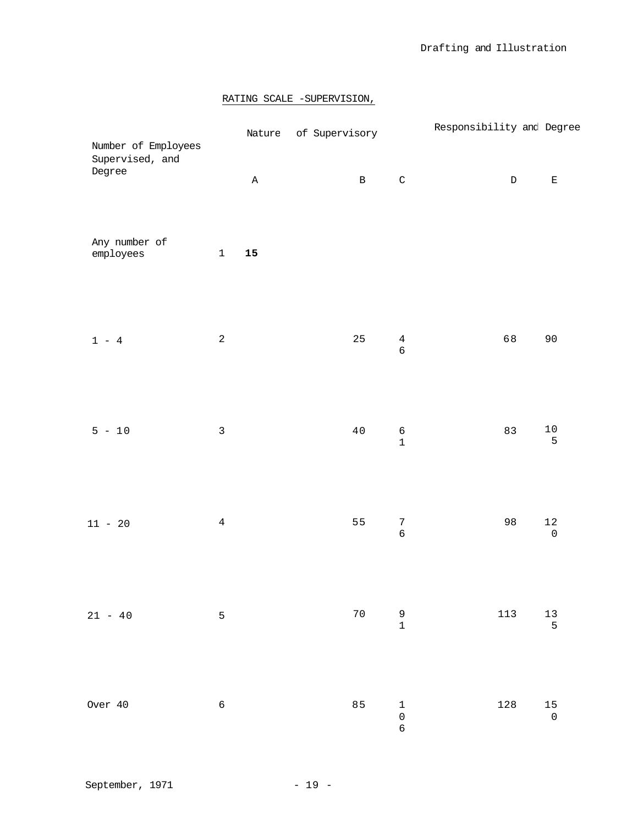# RATING SCALE -SUPERVISION,

| Number of Employees        |                |              | Nature of Supervisory |                                            | Responsibility and Degree |                                          |
|----------------------------|----------------|--------------|-----------------------|--------------------------------------------|---------------------------|------------------------------------------|
| Supervised, and<br>Degree  |                | $\, {\bf A}$ | $\, {\bf B}$          | $\mathsf C$                                | $\mathbb D$               | $\mathbf{E}% _{0}$                       |
| Any number of<br>employees | $\mathbf 1$    | ${\bf 15}$   |                       |                                            |                           |                                          |
| $1 - 4$                    | $\sqrt{2}$     |              | 25                    | $\overline{4}$<br>$\epsilon$               | 68                        | 90                                       |
| $5 - 10$                   | $\mathsf 3$    |              | $40$                  | $\sqrt{6}$<br>$\mathbf 1$                  | 83                        | $1\,0$<br>5                              |
| $11 - 20$                  | $\sqrt{4}$     |              | 55                    | $\sqrt{7}$<br>$\epsilon$                   | 98                        | $1\,2$<br>$\mathsf{O}\xspace$            |
| $21 - 40$                  | $\overline{5}$ |              | $70$                  | $\begin{array}{c} 9 \\ 1 \end{array}$      | 113                       | $\begin{array}{c} 13 \\ 5 \end{array}$   |
| Over 40                    | $\sqrt{6}$     |              | 85                    | $\begin{array}{c} 1 \\ 0 \end{array}$<br>6 | 128                       | $\begin{array}{c} 1\,5 \\ 0 \end{array}$ |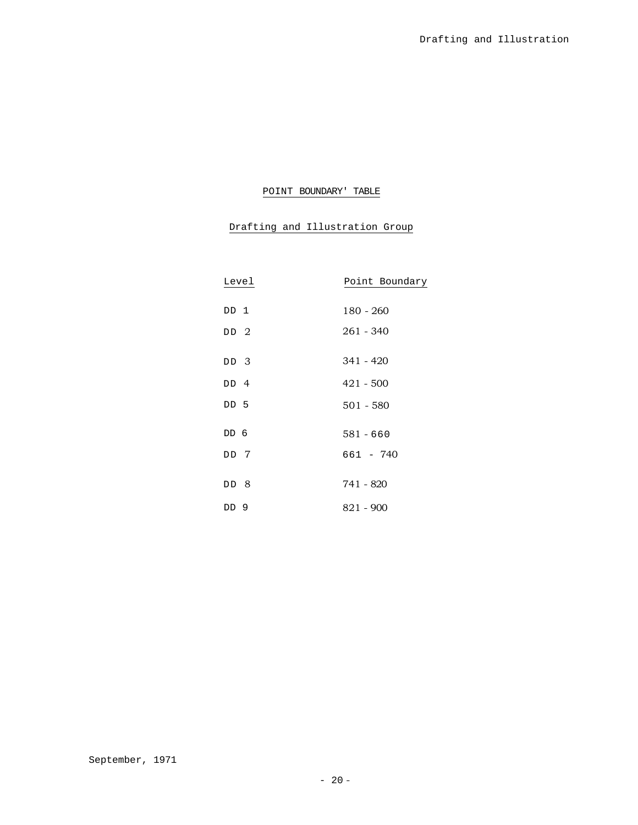# POINT BOUNDARY' TABLE

# Drafting and Illustration Group

| Level           | Point Boundary |
|-----------------|----------------|
|                 |                |
| DD 1            | 180 - 260      |
| DD 2            | 261 - 340      |
|                 |                |
| DD 3            | 341 - 420      |
| DD 4            | $421 - 500$    |
| DD <sub>5</sub> | $501 - 580$    |
| DD 6            | $581 - 660$    |
|                 |                |
| DD 7            | 661 - 740      |
|                 |                |
| DD 8            | 741 - 820      |
| DD <sub>9</sub> | 821 - 900      |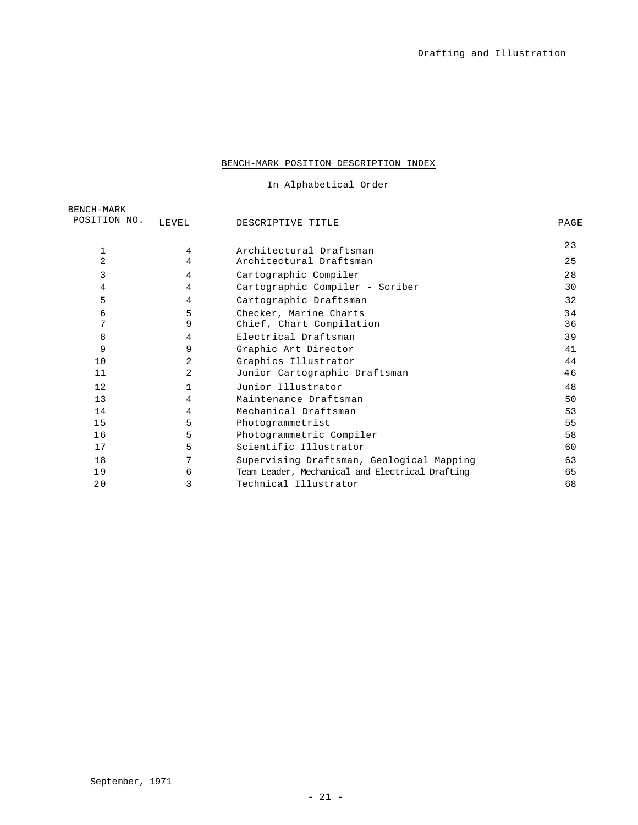# BENCH-MARK POSITION DESCRIPTION INDEX

In Alphabetical Order

| BENCH-MARK<br>POSITION NO. | LEVEL | DESCRIPTIVE TITLE                               | PAGE |
|----------------------------|-------|-------------------------------------------------|------|
| 1                          | 4     | Architectural Draftsman                         | 23   |
| 2                          | 4     | Architectural Draftsman                         | 25   |
| 3                          | 4     | Cartographic Compiler                           | 28   |
| 4                          | 4     | Cartographic Compiler - Scriber                 | 30   |
| 5                          | 4     | Cartographic Draftsman                          | 32   |
| 6                          | 5     | Checker, Marine Charts                          | 34   |
| 7                          | 9     | Chief, Chart Compilation                        | 36   |
| 8                          | 4     | Electrical Draftsman                            | 39   |
| 9                          | 9     | Graphic Art Director                            | 41   |
| 10                         | 2     | Graphics Illustrator                            | 44   |
| 11                         | 2     | Junior Cartographic Draftsman                   | 46   |
| 12                         |       | Junior Illustrator                              | 48   |
| 13                         | 4     | Maintenance Draftsman                           | 50   |
| 14                         | 4     | Mechanical Draftsman                            | 53   |
| 15                         | 5     | Photogrammetrist                                | 55   |
| 16                         | 5     | Photogrammetric Compiler                        | 58   |
| 17                         | 5     | Scientific Illustrator                          | 60   |
| 18                         | 7     | Supervising Draftsman, Geological Mapping       | 63   |
| 19                         | 6     | Team Leader, Mechanical and Electrical Drafting | 65   |
| 20                         | 3     | Technical Illustrator                           | 68   |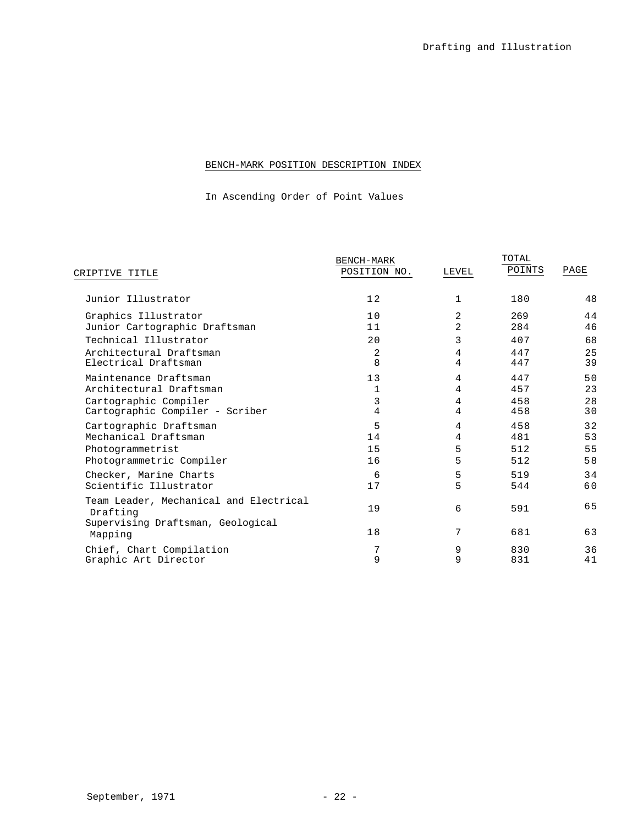# BENCH-MARK POSITION DESCRIPTION INDEX

In Ascending Order of Point Values

|                                                    | <b>BENCH-MARK</b> |                | TOTAL  |      |
|----------------------------------------------------|-------------------|----------------|--------|------|
| CRIPTIVE TITLE                                     | POSITION NO.      | LEVEL          | POINTS | PAGE |
| Junior Illustrator                                 | 12                | $\mathbf{1}$   | 180    | 48   |
| Graphics Illustrator                               | 10                | 2              | 269    | 44   |
| Junior Cartographic Draftsman                      | 11                | $\overline{a}$ | 284    | 46   |
| Technical Illustrator                              | 20                | 3              | 407    | 68   |
| Architectural Draftsman                            | 2                 | 4              | 447    | 25   |
| Electrical Draftsman                               | 8                 | 4              | 447    | 39   |
| Maintenance Draftsman                              | 13                | 4              | 447    | 50   |
| Architectural Draftsman                            | 1                 | 4              | 457    | 23   |
| Cartographic Compiler                              | 3                 | 4              | 458    | 28   |
| Cartographic Compiler - Scriber                    | 4                 | $\overline{4}$ | 458    | 30   |
| Cartographic Draftsman                             | 5                 | 4              | 458    | 32   |
| Mechanical Draftsman                               | 14                | 4              | 481    | 53   |
| Photogrammetrist                                   | 15                | 5              | 512    | 55   |
| Photogrammetric Compiler                           | 16                | 5              | 512    | 58   |
| Checker, Marine Charts                             | 6                 | 5              | 519    | 34   |
| Scientific Illustrator                             | 17                | 5              | 544    | 60   |
| Team Leader, Mechanical and Electrical<br>Drafting | 19                | 6              | 591    | 65   |
| Supervising Draftsman, Geological<br>Mapping       | 18                | 7              | 681    | 63   |
| Chief, Chart Compilation                           | 9                 | 9              | 830    | 36   |
| Graphic Art Director                               |                   | 9              | 831    | 41   |
|                                                    |                   |                |        |      |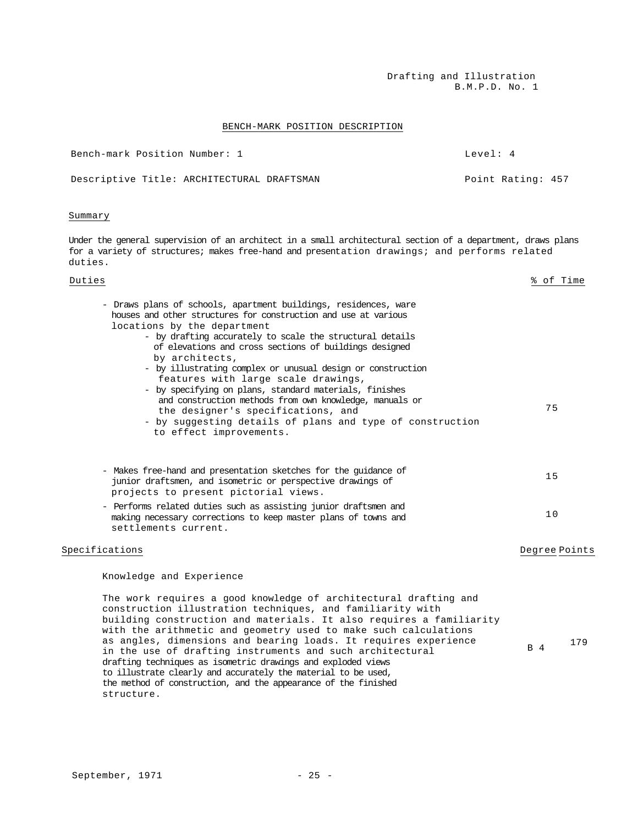Drafting and Illustration B.M.P.D. No. 1

 $B = 4$  179

### BENCH-MARK POSITION DESCRIPTION

| Bench-mark Position Number: 1 |                                            | Tevel: 4 |                   |  |
|-------------------------------|--------------------------------------------|----------|-------------------|--|
|                               | Descriptive Title: ARCHITECTURAL DRAFTSMAN |          | Point Rating: 457 |  |

### Summary

Under the general supervision of an architect in a small architectural section of a department, draws plans for a variety of structures; makes free-hand and presentation drawings; and performs related duties.

# Duties % of Time - Draws plans of schools, apartment buildings, residences, ware houses and other structures for construction and use at various locations by the department - by drafting accurately to scale the structural details of elevations and cross sections of buildings designed by architects, - by illustrating complex or unusual design or construction features with large scale drawings, - by specifying on plans, standard materials, finishes and construction methods from own knowledge, manuals or the designer's specifications, and - by suggesting details of plans and type of construction to effect improvements. 75 - Makes free-hand and presentation sketches for the guidance of junior draftsmen, and isometric or perspective drawings of projects to present pictorial views. 15 - Performs related duties such as assisting junior draftsmen and making necessary corrections to keep master plans of towns and settlements current. 10 Specifications and the contractions of the contractions of the contractions of the contractions of the contractions of the contractions of the contractions of the contractions of the contractions of the contractions of the Knowledge and Experience The work requires a good knowledge of architectural drafting and construction illustration techniques, and familiarity with building construction and materials. It also requires a familiarity with the arithmetic and geometry used to make such calculations

structure.

as angles, dimensions and bearing loads. It requires experience

in the use of drafting instruments and such architectural

drafting techniques as isometric drawings and exploded views to illustrate clearly and accurately the material to be used, the method of construction, and the appearance of the finished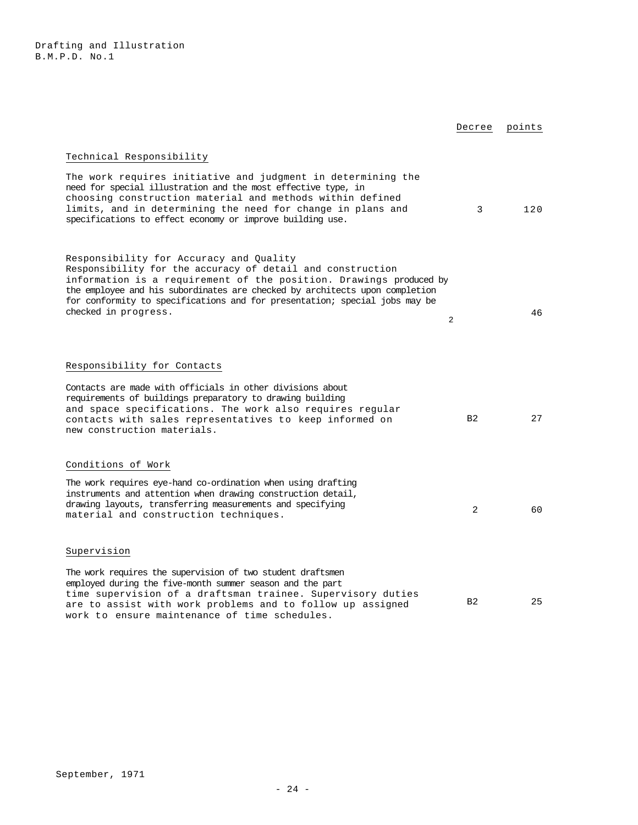|                                                                                                                                                                                                                                                                                                                                                                  | Decree         | points |
|------------------------------------------------------------------------------------------------------------------------------------------------------------------------------------------------------------------------------------------------------------------------------------------------------------------------------------------------------------------|----------------|--------|
| Technical Responsibility                                                                                                                                                                                                                                                                                                                                         |                |        |
| The work requires initiative and judgment in determining the<br>need for special illustration and the most effective type, in<br>choosing construction material and methods within defined<br>limits, and in determining the need for change in plans and<br>specifications to effect economy or improve building use.                                           | 3              | 120    |
| Responsibility for Accuracy and Quality<br>Responsibility for the accuracy of detail and construction<br>information is a requirement of the position. Drawings produced by<br>the employee and his subordinates are checked by architects upon completion<br>for conformity to specifications and for presentation; special jobs may be<br>checked in progress. | 2              | 46     |
| Responsibility for Contacts                                                                                                                                                                                                                                                                                                                                      |                |        |
| Contacts are made with officials in other divisions about<br>requirements of buildings preparatory to drawing building<br>and space specifications. The work also requires reqular<br>contacts with sales representatives to keep informed on<br>new construction materials.                                                                                     | B <sub>2</sub> | 27     |
| Conditions of Work                                                                                                                                                                                                                                                                                                                                               |                |        |
| The work requires eye-hand co-ordination when using drafting<br>instruments and attention when drawing construction detail,<br>drawing layouts, transferring measurements and specifying<br>material and construction techniques.                                                                                                                                | 2              | 60     |
| Supervision                                                                                                                                                                                                                                                                                                                                                      |                |        |
| The work requires the supervision of two student draftsmen<br>employed during the five-month summer season and the part<br>time supervision of a draftsman trainee. Supervisory duties<br>are to assist with work problems and to follow up assigned<br>work to ensure maintenance of time schedules.                                                            | B <sub>2</sub> | 25     |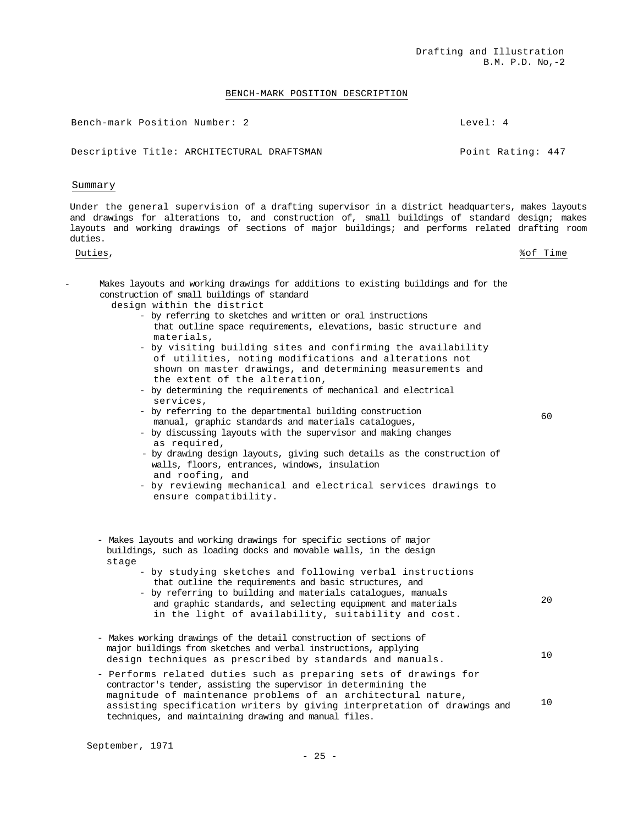### BENCH-MARK POSITION DESCRIPTION

Bench-mark Position Number: 2 Level: 4

Descriptive Title: ARCHITECTURAL DRAFTSMAN POINT Rating: 447

### Summary

Under the general supervision of a drafting supervisor in a district headquarters, makes layouts and drawings for alterations to, and construction of, small buildings of standard design; makes layouts and working drawings of sections of major buildings; and performs related drafting room duties.

Duties, %of Time

 $60$ 

- Makes layouts and working drawings for additions to existing buildings and for the construction of small buildings of standard design within the district
	- by referring to sketches and written or oral instructions that outline space requirements, elevations, basic structure and materials,
	- by visiting building sites and confirming the availability of utilities, noting modifications and alterations not shown on master drawings, and determining measurements and the extent of the alteration,
	- by determining the requirements of mechanical and electrical services,
	- by referring to the departmental building construction manual, graphic standards and materials catalogues,
	- by discussing layouts with the supervisor and making changes as required,
	- by drawing design layouts, giving such details as the construction of walls, floors, entrances, windows, insulation and roofing, and
	- by reviewing mechanical and electrical services drawings to ensure compatibility.

- Makes layouts and working drawings for specific sections of major buildings, such as loading docks and movable walls, in the design stage

- by studying sketches and following verbal instructions that outline the requirements and basic structures, and
- by referring to building and materials catalogues, manuals and graphic standards, and selecting equipment and materials in the light of availability, suitability and cost. 20
- Makes working drawings of the detail construction of sections of major buildings from sketches and verbal instructions, applying design techniques as prescribed by standards and manuals. 10
- Performs related duties such as preparing sets of drawings for contractor's tender, assisting the supervisor in determining the magnitude of maintenance problems of an architectural nature, assisting specification writers by giving interpretation of drawings and techniques, and maintaining drawing and manual files. 10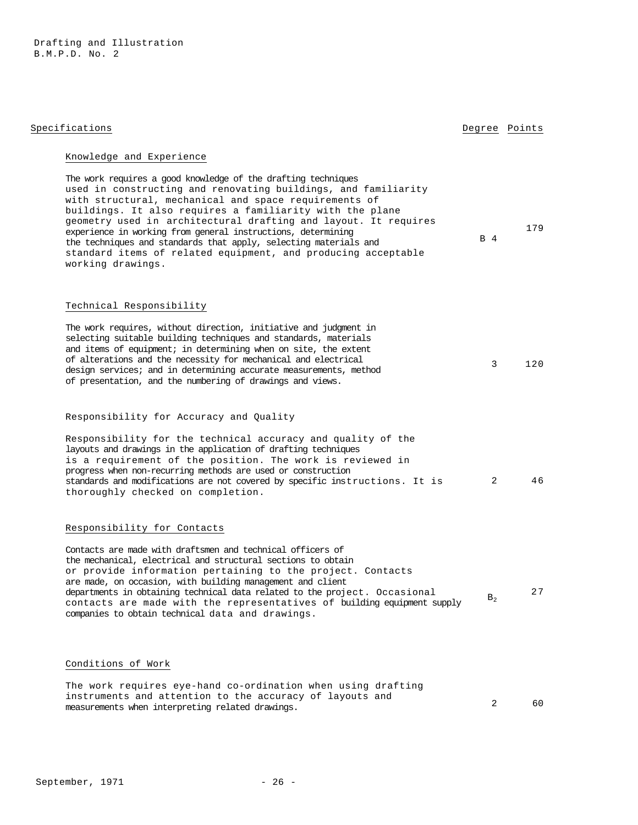Drafting and Illustration B.M.P.D. No. 2

| ppecifications |  |
|----------------|--|
|                |  |
|                |  |

# Specifications **Degree** Points

179

# Knowledge and Experience

The work requires a good knowledge of the drafting techniques used in constructing and renovating buildings, and familiarity with structural, mechanical and space requirements of buildings. It also requires a familiarity with the plane geometry used in architectural drafting and layout. It requires experience in working from general instructions, determining the techniques and standards that apply, selecting materials and standard items of related equipment, and producing acceptable working drawings. B 4

## Technical Responsibility

| The work requires, without direction, initiative and judgment in  |   |     |
|-------------------------------------------------------------------|---|-----|
| selecting suitable building techniques and standards, materials   |   |     |
| and items of equipment; in determining when on site, the extent   |   |     |
| of alterations and the necessity for mechanical and electrical    | 3 | 120 |
| design services; and in determining accurate measurements, method |   |     |
| of presentation, and the numbering of drawings and views.         |   |     |

# Responsibility for Accuracy and Quality

| Responsibility for the technical accuracy and quality of the                |    |
|-----------------------------------------------------------------------------|----|
| layouts and drawings in the application of drafting techniques              |    |
| is a requirement of the position. The work is reviewed in                   |    |
| progress when non-recurring methods are used or construction                |    |
| standards and modifications are not covered by specific instructions. It is | 46 |
| thoroughly checked on completion.                                           |    |

## Responsibility for Contacts

Contacts are made with draftsmen and technical officers of the mechanical, electrical and structural sections to obtain or provide information pertaining to the project. Contacts are made, on occasion, with building management and client departments in obtaining technical data related to the project. Occasional contacts are made with the representatives of building equipment supply companies to obtain technical data and drawings.  $B<sub>2</sub>$ 27

# Conditions of Work

| The work requires eye-hand co-ordination when using drafting |    |
|--------------------------------------------------------------|----|
| instruments and attention to the accuracy of layouts and     |    |
| measurements when interpreting related drawings.             | 60 |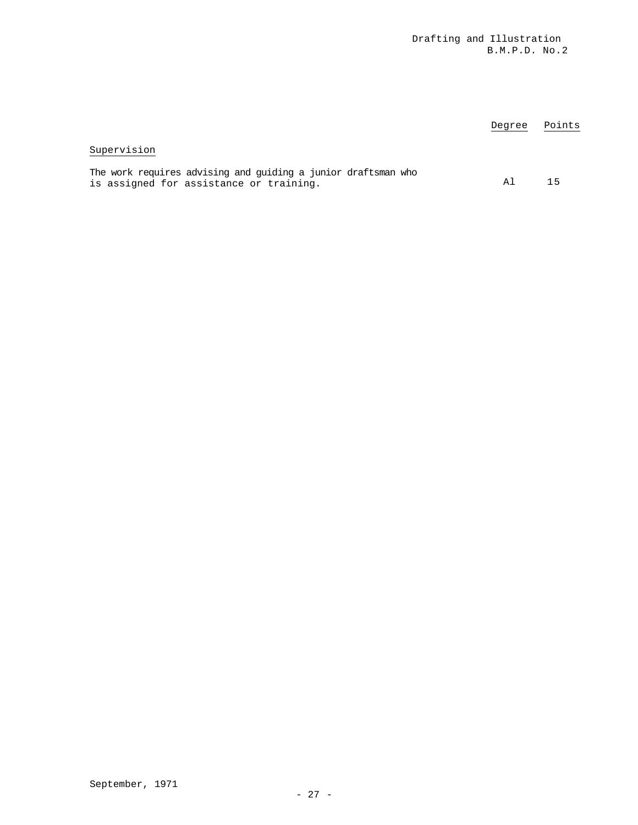|                                                                                                          | Degree | Points |
|----------------------------------------------------------------------------------------------------------|--------|--------|
| Supervision                                                                                              |        |        |
| The work requires advising and guiding a junior draftsman who<br>is assigned for assistance or training. | A 1    | 15     |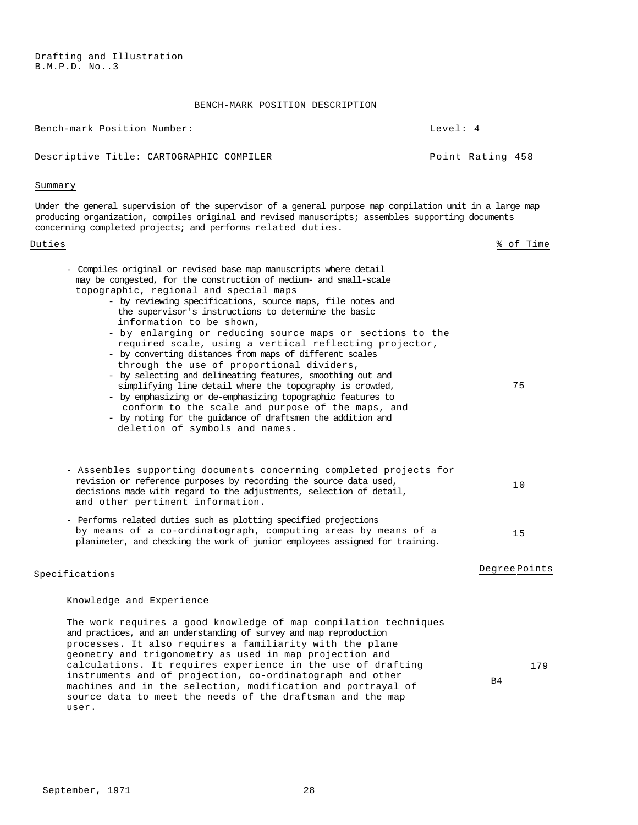Drafting and Illustration B.M.P.D. No..3

# BENCH-MARK POSITION DESCRIPTION

| Bench-mark Position Number:                                                                                                                                                                                                                                                                                                                                                                                                                                                                                                                                                                                                                                                                                                                                                                                                                                                                                   | Level: 4              |
|---------------------------------------------------------------------------------------------------------------------------------------------------------------------------------------------------------------------------------------------------------------------------------------------------------------------------------------------------------------------------------------------------------------------------------------------------------------------------------------------------------------------------------------------------------------------------------------------------------------------------------------------------------------------------------------------------------------------------------------------------------------------------------------------------------------------------------------------------------------------------------------------------------------|-----------------------|
| Descriptive Title: CARTOGRAPHIC COMPILER                                                                                                                                                                                                                                                                                                                                                                                                                                                                                                                                                                                                                                                                                                                                                                                                                                                                      | Point Rating 458      |
| Summary                                                                                                                                                                                                                                                                                                                                                                                                                                                                                                                                                                                                                                                                                                                                                                                                                                                                                                       |                       |
| Under the general supervision of the supervisor of a general purpose map compilation unit in a large map<br>producing organization, compiles original and revised manuscripts; assembles supporting documents<br>concerning completed projects; and performs related duties.                                                                                                                                                                                                                                                                                                                                                                                                                                                                                                                                                                                                                                  |                       |
| Duties                                                                                                                                                                                                                                                                                                                                                                                                                                                                                                                                                                                                                                                                                                                                                                                                                                                                                                        | % of Time             |
| - Compiles original or revised base map manuscripts where detail<br>may be congested, for the construction of medium- and small-scale<br>topographic, regional and special maps<br>- by reviewing specifications, source maps, file notes and<br>the supervisor's instructions to determine the basic<br>information to be shown,<br>- by enlarging or reducing source maps or sections to the<br>required scale, using a vertical reflecting projector,<br>- by converting distances from maps of different scales<br>through the use of proportional dividers,<br>- by selecting and delineating features, smoothing out and<br>simplifying line detail where the topography is crowded,<br>- by emphasizing or de-emphasizing topographic features to<br>conform to the scale and purpose of the maps, and<br>- by noting for the quidance of draftsmen the addition and<br>deletion of symbols and names. | 75                    |
| - Assembles supporting documents concerning completed projects for<br>revision or reference purposes by recording the source data used,<br>decisions made with regard to the adjustments, selection of detail,<br>and other pertinent information.                                                                                                                                                                                                                                                                                                                                                                                                                                                                                                                                                                                                                                                            | 10                    |
| - Performs related duties such as plotting specified projections<br>by means of a co-ordinatograph, computing areas by means of a<br>planimeter, and checking the work of junior employees assigned for training.                                                                                                                                                                                                                                                                                                                                                                                                                                                                                                                                                                                                                                                                                             | 15                    |
| Specifications                                                                                                                                                                                                                                                                                                                                                                                                                                                                                                                                                                                                                                                                                                                                                                                                                                                                                                | Degree Points         |
| Knowledge and Experience                                                                                                                                                                                                                                                                                                                                                                                                                                                                                                                                                                                                                                                                                                                                                                                                                                                                                      |                       |
| The work requires a good knowledge of map compilation techniques<br>and practices, and an understanding of survey and map reproduction<br>processes. It also requires a familiarity with the plane<br>geometry and trigonometry as used in map projection and<br>calculations. It requires experience in the use of drafting<br>instruments and of projection, co-ordinatograph and other<br>machines and in the selection, modification and portrayal of<br>source data to meet the needs of the draftsman and the map                                                                                                                                                                                                                                                                                                                                                                                       | 179<br>B <sub>4</sub> |

user.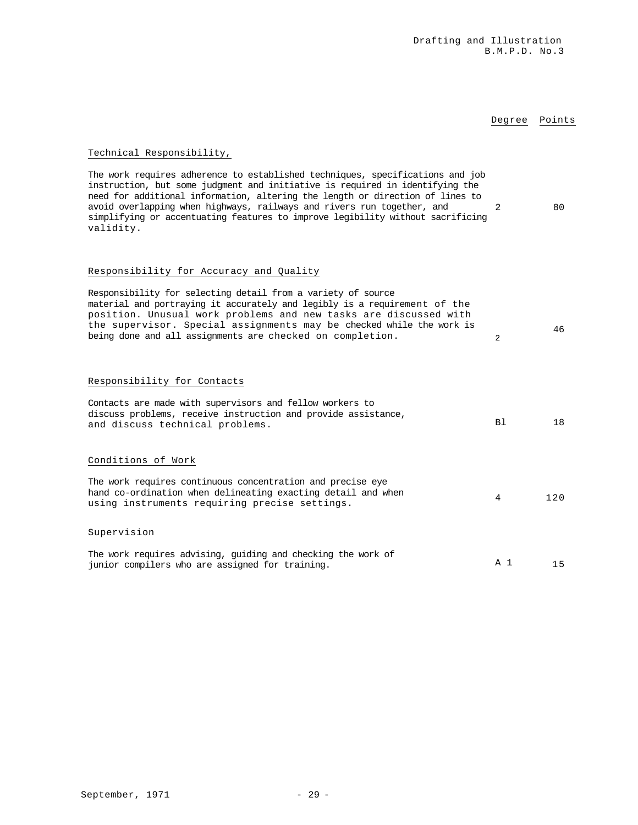# Degree Points

# Technical Responsibility,

| The work requires adherence to established techniques, specifications and job  |    |
|--------------------------------------------------------------------------------|----|
| instruction, but some judgment and initiative is required in identifying the   |    |
| need for additional information, altering the length or direction of lines to  |    |
| avoid overlapping when highways, railways and rivers run together, and         | 80 |
| simplifying or accentuating features to improve legibility without sacrificing |    |
| validity.                                                                      |    |

# Responsibility for Accuracy and Quality

| Responsibility for selecting detail from a variety of source<br>material and portraying it accurately and legibly is a requirement of the<br>position. Unusual work problems and new tasks are discussed with<br>the supervisor. Special assignments may be checked while the work is<br>being done and all assignments are checked on completion. | $\overline{2}$ | 46  |
|----------------------------------------------------------------------------------------------------------------------------------------------------------------------------------------------------------------------------------------------------------------------------------------------------------------------------------------------------|----------------|-----|
| Responsibility for Contacts                                                                                                                                                                                                                                                                                                                        |                |     |
| Contacts are made with supervisors and fellow workers to<br>discuss problems, receive instruction and provide assistance,<br>and discuss technical problems.                                                                                                                                                                                       | B1             | 18  |
| Conditions of Work                                                                                                                                                                                                                                                                                                                                 |                |     |
| The work requires continuous concentration and precise eye<br>hand co-ordination when delineating exacting detail and when<br>using instruments requiring precise settings.                                                                                                                                                                        | 4              | 120 |
| Supervision                                                                                                                                                                                                                                                                                                                                        |                |     |
| The work requires advising, quiding and checking the work of<br>junior compilers who are assigned for training.                                                                                                                                                                                                                                    | A 1            | 15  |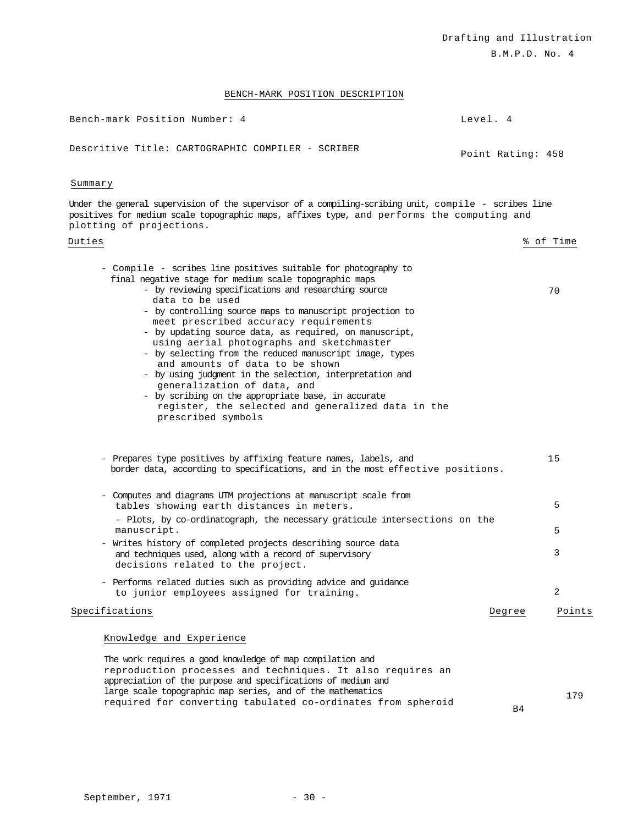B.M.P.D. No. 4

# BENCH-MARK POSITION DESCRIPTION

| Bench-mark Position Number: 4                     | Level. 4 |                   |  |
|---------------------------------------------------|----------|-------------------|--|
| Descritive Title: CARTOGRAPHIC COMPILER - SCRIBER |          | Point Rating: 458 |  |

### Summary

Under the general supervision of the supervisor of a compiling-scribing unit, compile - scribes line positives for medium scale topographic maps, affixes type, and performs the computing and plotting of projections.

# Duties % of Time

| - Compile - scribes line positives suitable for photography to<br>final negative stage for medium scale topographic maps<br>- by reviewing specifications and researching source<br>data to be used<br>- by controlling source maps to manuscript projection to<br>meet prescribed accuracy requirements<br>- by updating source data, as required, on manuscript,<br>using aerial photographs and sketchmaster<br>- by selecting from the reduced manuscript image, types<br>and amounts of data to be shown<br>- by using judgment in the selection, interpretation and<br>generalization of data, and<br>- by scribing on the appropriate base, in accurate<br>register, the selected and generalized data in the<br>prescribed symbols | 70     |
|--------------------------------------------------------------------------------------------------------------------------------------------------------------------------------------------------------------------------------------------------------------------------------------------------------------------------------------------------------------------------------------------------------------------------------------------------------------------------------------------------------------------------------------------------------------------------------------------------------------------------------------------------------------------------------------------------------------------------------------------|--------|
| Prepares type positives by affixing feature names, labels, and<br>$\qquad \qquad -$<br>border data, according to specifications, and in the most effective positions.                                                                                                                                                                                                                                                                                                                                                                                                                                                                                                                                                                      | 15     |
| - Computes and diagrams UIM projections at manuscript scale from<br>tables showing earth distances in meters.<br>- Plots, by co-ordinatograph, the necessary graticule intersections on the                                                                                                                                                                                                                                                                                                                                                                                                                                                                                                                                                | 5      |
| manuscript.                                                                                                                                                                                                                                                                                                                                                                                                                                                                                                                                                                                                                                                                                                                                | 5      |
| - Writes history of completed projects describing source data<br>and techniques used, along with a record of supervisory<br>decisions related to the project.                                                                                                                                                                                                                                                                                                                                                                                                                                                                                                                                                                              | 3      |
| - Performs related duties such as providing advice and quidance<br>to junior employees assigned for training.                                                                                                                                                                                                                                                                                                                                                                                                                                                                                                                                                                                                                              | 2      |
| Specifications<br>Degree                                                                                                                                                                                                                                                                                                                                                                                                                                                                                                                                                                                                                                                                                                                   | Points |
| Knowledge and Experience                                                                                                                                                                                                                                                                                                                                                                                                                                                                                                                                                                                                                                                                                                                   |        |
| The work requires a good knowledge of map compilation and<br>reproduction processes and techniques. It also requires an<br>appreciation of the purpose and specifications of medium and                                                                                                                                                                                                                                                                                                                                                                                                                                                                                                                                                    |        |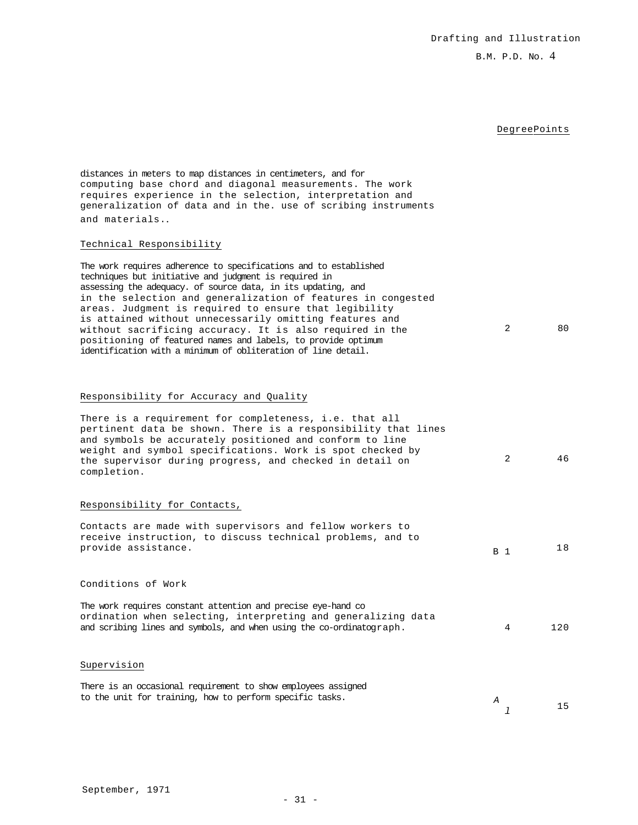### B.M. P.D. No. 4

# DegreePoints

distances in meters to map distances in centimeters, and for computing base chord and diagonal measurements. The work requires experience in the selection, interpretation and generalization of data and in the. use of scribing instruments and materials..

### Technical Responsibility

The work requires adherence to specifications and to established techniques but initiative and judgment is required in assessing the adequacy. of source data, in its updating, and in the selection and generalization of features in congested areas. Judgment is required to ensure that legibility is attained without unnecessarily omitting features and without sacrificing accuracy. It is also required in the positioning of featured names and labels, to provide optimum identification with a minimum of obliteration of line detail. 2 80

# Responsibility for Accuracy and Quality

| There is a requirement for completeness, i.e. that all<br>pertinent data be shown. There is a responsibility that lines<br>and symbols be accurately positioned and conform to line<br>weight and symbol specifications. Work is spot checked by<br>the supervisor during progress, and checked in detail on<br>completion. | 2              | 46  |
|-----------------------------------------------------------------------------------------------------------------------------------------------------------------------------------------------------------------------------------------------------------------------------------------------------------------------------|----------------|-----|
| Responsibility for Contacts,                                                                                                                                                                                                                                                                                                |                |     |
| Contacts are made with supervisors and fellow workers to<br>receive instruction, to discuss technical problems, and to<br>provide assistance.                                                                                                                                                                               | B <sub>1</sub> | 18  |
| Conditions of Work                                                                                                                                                                                                                                                                                                          |                |     |
| The work requires constant attention and precise eye-hand co<br>ordination when selecting, interpreting and generalizing data<br>and scribing lines and symbols, and when using the co-ordinatograph.                                                                                                                       | 4              | 120 |
| Supervision                                                                                                                                                                                                                                                                                                                 |                |     |
| There is an occasional requirement to show employees assigned<br>to the unit for training, how to perform specific tasks.                                                                                                                                                                                                   | A              | 15  |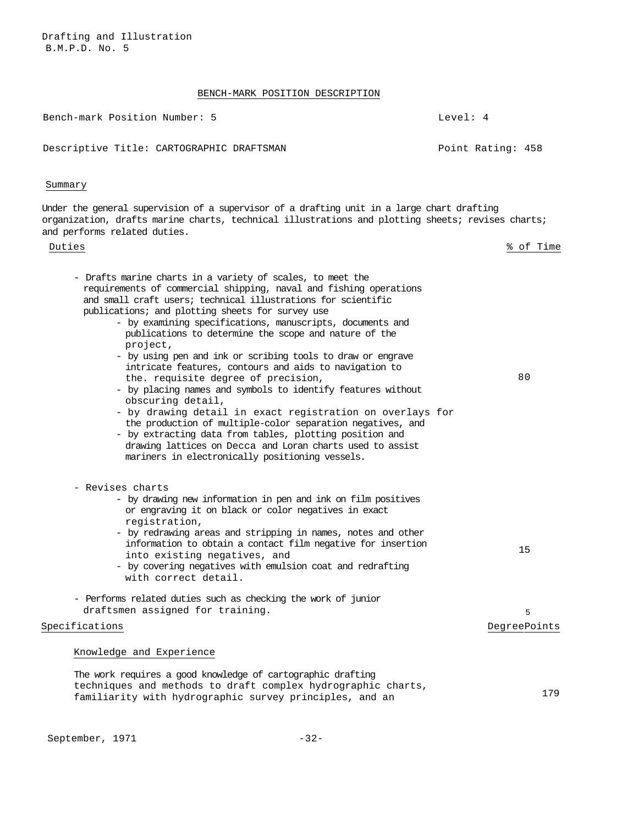Drafting and Illustration B.M.P.D. No. 5

# BENCH-MARK POSITION DESCRIPTION

Bench-mark Position Number: 5 Level: 4

Descriptive Title: CARTOGRAPHIC DRAFTSMAN Point Rating: 458

# Summary

Under the general supervision of a supervisor of a drafting unit in a large chart drafting organization, drafts marine charts, technical illustrations and plotting sheets; revises charts; and performs related duties.

| Duties                                                                                                                                                                                                                                                                                                                                                                                                                                                                                                                                                                                                                                                                                                                                                                                                                                                                                                                                           | % of Time         |
|--------------------------------------------------------------------------------------------------------------------------------------------------------------------------------------------------------------------------------------------------------------------------------------------------------------------------------------------------------------------------------------------------------------------------------------------------------------------------------------------------------------------------------------------------------------------------------------------------------------------------------------------------------------------------------------------------------------------------------------------------------------------------------------------------------------------------------------------------------------------------------------------------------------------------------------------------|-------------------|
| - Drafts marine charts in a variety of scales, to meet the<br>requirements of commercial shipping, naval and fishing operations<br>and small craft users; technical illustrations for scientific<br>publications; and plotting sheets for survey use<br>- by examining specifications, manuscripts, documents and<br>publications to determine the scope and nature of the<br>project,<br>- by using pen and ink or scribing tools to draw or engrave<br>intricate features, contours and aids to navigation to<br>the. requisite degree of precision,<br>- by placing names and symbols to identify features without<br>obscuring detail,<br>- by drawing detail in exact registration on overlays for<br>the production of multiple-color separation negatives, and<br>- by extracting data from tables, plotting position and<br>drawing lattices on Decca and Loran charts used to assist<br>mariners in electronically positioning vessels. | 80                |
| - Revises charts<br>- by drawing new information in pen and ink on film positives<br>or engraving it on black or color negatives in exact<br>registration,<br>- by redrawing areas and stripping in names, notes and other<br>information to obtain a contact film negative for insertion<br>into existing negatives, and<br>- by covering negatives with emulsion coat and redrafting<br>with correct detail.                                                                                                                                                                                                                                                                                                                                                                                                                                                                                                                                   | 15                |
| - Performs related duties such as checking the work of junior<br>draftsmen assigned for training.<br>Specifications                                                                                                                                                                                                                                                                                                                                                                                                                                                                                                                                                                                                                                                                                                                                                                                                                              | 5<br>DegreePoints |
| Knowledge and Experience                                                                                                                                                                                                                                                                                                                                                                                                                                                                                                                                                                                                                                                                                                                                                                                                                                                                                                                         |                   |
| The work requires a good knowledge of cartographic drafting<br>techniques and methods to draft complex hydrographic charts,<br>familiarity with hydrographic survey principles, and an                                                                                                                                                                                                                                                                                                                                                                                                                                                                                                                                                                                                                                                                                                                                                           | 179               |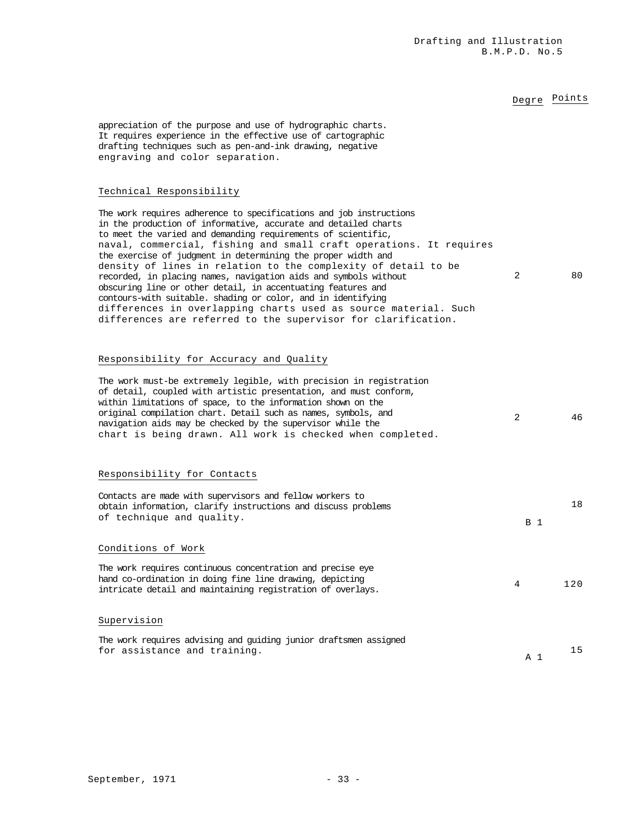# Degre Points

appreciation of the purpose and use of hydrographic charts. It requires experience in the effective use of cartographic drafting techniques such as pen-and-ink drawing, negative engraving and color separation.

### Technical Responsibility

The work requires adherence to specifications and job instructions in the production of informative, accurate and detailed charts to meet the varied and demanding requirements of scientific, naval, commercial, fishing and small craft operations. It requires the exercise of judgment in determining the proper width and density of lines in relation to the complexity of detail to be recorded, in placing names, navigation aids and symbols without obscuring line or other detail, in accentuating features and contours-with suitable. shading or color, and in identifying differences in overlapping charts used as source material. Such differences are referred to the supervisor for clarification. 2 80

# Responsibility for Accuracy and Quality

| The work must-be extremely legible, with precision in registration<br>of detail, coupled with artistic presentation, and must conform,<br>within limitations of space, to the information shown on the<br>original compilation chart. Detail such as names, symbols, and<br>navigation aids may be checked by the supervisor while the<br>chart is being drawn. All work is checked when completed. | 2              | 46  |
|-----------------------------------------------------------------------------------------------------------------------------------------------------------------------------------------------------------------------------------------------------------------------------------------------------------------------------------------------------------------------------------------------------|----------------|-----|
| Responsibility for Contacts                                                                                                                                                                                                                                                                                                                                                                         |                |     |
| Contacts are made with supervisors and fellow workers to<br>obtain information, clarify instructions and discuss problems<br>of technique and quality.                                                                                                                                                                                                                                              | <b>B</b> 1     | 18  |
| Conditions of Work                                                                                                                                                                                                                                                                                                                                                                                  |                |     |
| The work requires continuous concentration and precise eye<br>hand co-ordination in doing fine line drawing, depicting<br>intricate detail and maintaining registration of overlays.                                                                                                                                                                                                                | 4              | 120 |
| Supervision                                                                                                                                                                                                                                                                                                                                                                                         |                |     |
| The work requires advising and quiding junior draftsmen assigned<br>for assistance and training.                                                                                                                                                                                                                                                                                                    | A <sub>1</sub> | 15  |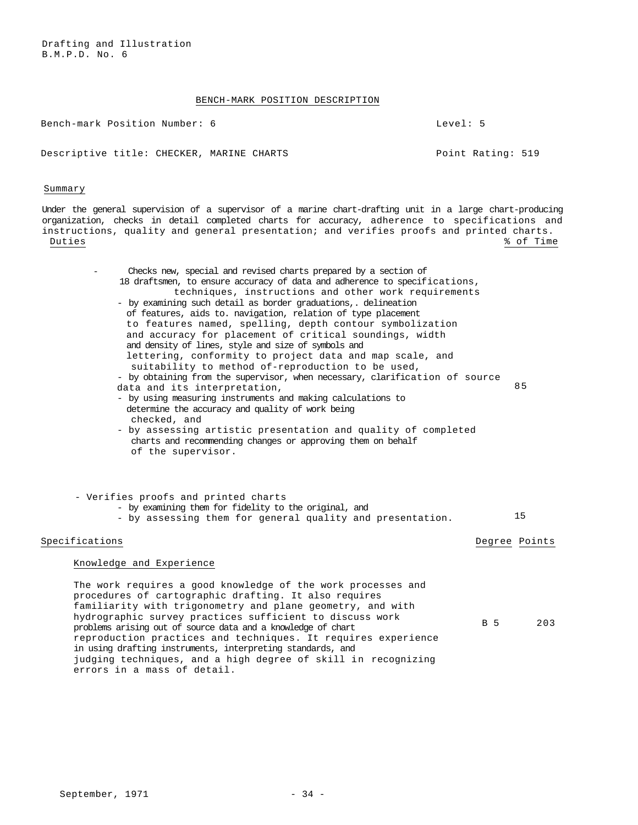# BENCH-MARK POSITION DESCRIPTION

Bench-mark Position Number: 6 Level: 5

Descriptive title: CHECKER, MARINE CHARTS FRAGIC RATING: 519

Summary

Under the general supervision of a supervisor of a marine chart-drafting unit in a large chart-producing organization, checks in detail completed charts for accuracy, adherence to specifications and instructions, quality and general presentation; and verifies proofs and printed charts. Duties % of Time

| Checks new, special and revised charts prepared by a section of<br>18 draftsmen, to ensure accuracy of data and adherence to specifications,<br>techniques, instructions and other work requirements<br>- by examining such detail as border graduations,. delineation<br>of features, aids to. navigation, relation of type placement<br>to features named, spelling, depth contour symbolization<br>and accuracy for placement of critical soundings, width<br>and density of lines, style and size of symbols and<br>lettering, conformity to project data and map scale, and<br>suitability to method of-reproduction to be used,<br>- by obtaining from the supervisor, when necessary, clarification of source<br>data and its interpretation,<br>- by using measuring instruments and making calculations to<br>determine the accuracy and quality of work being<br>checked, and<br>- by assessing artistic presentation and quality of completed<br>charts and recommending changes or approving them on behalf<br>of the supervisor. |     | 85            |
|-----------------------------------------------------------------------------------------------------------------------------------------------------------------------------------------------------------------------------------------------------------------------------------------------------------------------------------------------------------------------------------------------------------------------------------------------------------------------------------------------------------------------------------------------------------------------------------------------------------------------------------------------------------------------------------------------------------------------------------------------------------------------------------------------------------------------------------------------------------------------------------------------------------------------------------------------------------------------------------------------------------------------------------------------|-----|---------------|
| - Verifies proofs and printed charts<br>- by examining them for fidelity to the original, and<br>- by assessing them for general quality and presentation.                                                                                                                                                                                                                                                                                                                                                                                                                                                                                                                                                                                                                                                                                                                                                                                                                                                                                    |     | 15            |
| Specifications                                                                                                                                                                                                                                                                                                                                                                                                                                                                                                                                                                                                                                                                                                                                                                                                                                                                                                                                                                                                                                |     | Degree Points |
| Knowledge and Experience                                                                                                                                                                                                                                                                                                                                                                                                                                                                                                                                                                                                                                                                                                                                                                                                                                                                                                                                                                                                                      |     |               |
| The work requires a good knowledge of the work processes and<br>procedures of cartographic drafting. It also requires<br>familiarity with trigonometry and plane geometry, and with<br>hydrographic survey practices sufficient to discuss work<br>problems arising out of source data and a knowledge of chart<br>reproduction practices and techniques. It requires experience<br>in using drafting instruments, interpreting standards, and<br>judging techniques, and a high degree of skill in recognizing                                                                                                                                                                                                                                                                                                                                                                                                                                                                                                                               | B 5 | 203           |

errors in a mass of detail.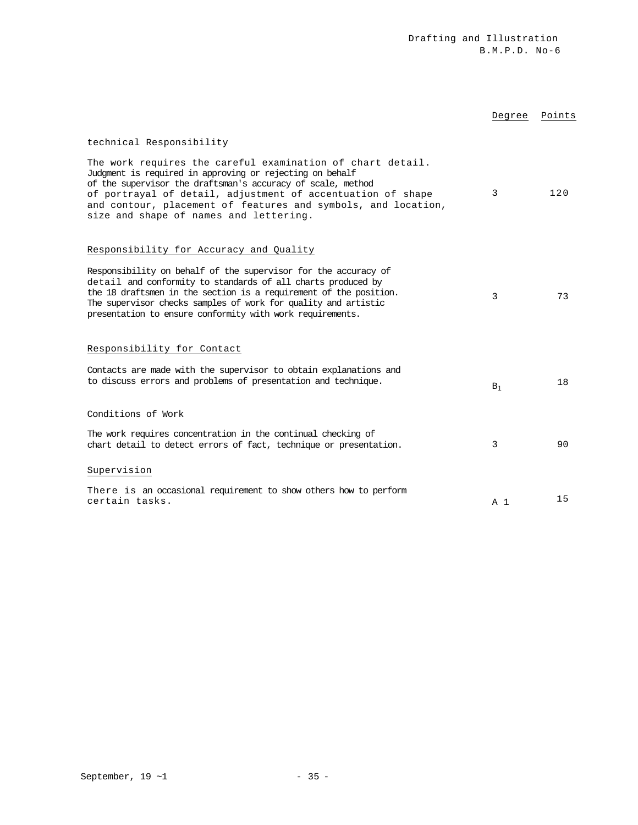|                                                                                                                                                                                                                                                                                                                                                                 | Degree         | Points |
|-----------------------------------------------------------------------------------------------------------------------------------------------------------------------------------------------------------------------------------------------------------------------------------------------------------------------------------------------------------------|----------------|--------|
| technical Responsibility                                                                                                                                                                                                                                                                                                                                        |                |        |
| The work requires the careful examination of chart detail.<br>Judgment is required in approving or rejecting on behalf<br>of the supervisor the draftsman's accuracy of scale, method<br>of portrayal of detail, adjustment of accentuation of shape<br>and contour, placement of features and symbols, and location,<br>size and shape of names and lettering. | 3              | 120    |
| Responsibility for Accuracy and Quality                                                                                                                                                                                                                                                                                                                         |                |        |
| Responsibility on behalf of the supervisor for the accuracy of<br>detail and conformity to standards of all charts produced by<br>the 18 draftsmen in the section is a requirement of the position.<br>The supervisor checks samples of work for quality and artistic<br>presentation to ensure conformity with work requirements.                              | 3              | 73     |
| Responsibility for Contact                                                                                                                                                                                                                                                                                                                                      |                |        |
| Contacts are made with the supervisor to obtain explanations and<br>to discuss errors and problems of presentation and technique.                                                                                                                                                                                                                               | $B_1$          | 18     |
| Conditions of Work                                                                                                                                                                                                                                                                                                                                              |                |        |
| The work requires concentration in the continual checking of<br>chart detail to detect errors of fact, technique or presentation.                                                                                                                                                                                                                               | 3              | 90     |
| Supervision                                                                                                                                                                                                                                                                                                                                                     |                |        |
| There is an occasional requirement to show others how to perform<br>certain tasks.                                                                                                                                                                                                                                                                              | A <sub>1</sub> | 15     |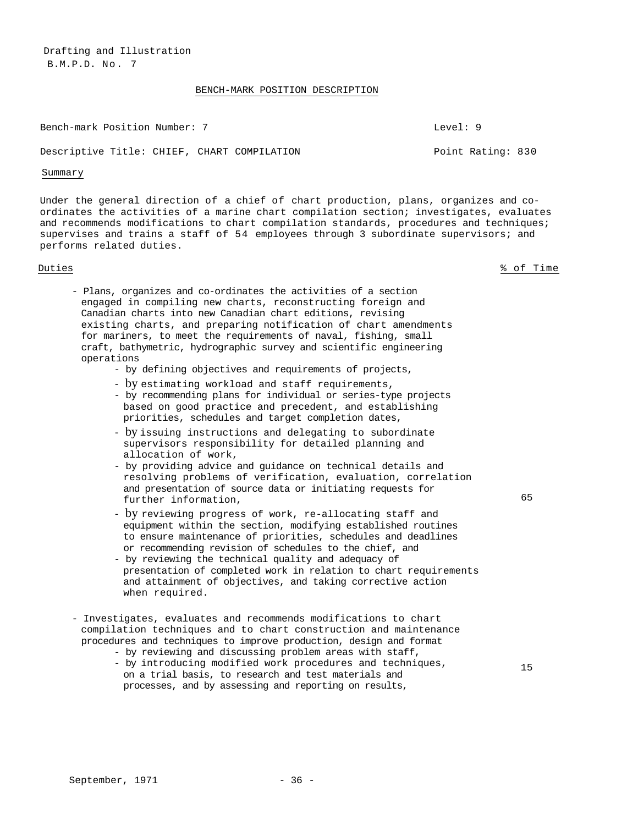Drafting and Illustration B.M.P.D. No . 7

### BENCH-MARK POSITION DESCRIPTION

Bench-mark Position Number: 7 Level: 9

### Descriptive Title: CHIEF, CHART COMPILATION FRAGIST Point Rating: 830

### Summary

Under the general direction of a chief of chart production, plans, organizes and coordinates the activities of a marine chart compilation section; investigates, evaluates and recommends modifications to chart compilation standards, procedures and techniques; supervises and trains a staff of 54 employees through 3 subordinate supervisors; and performs related duties.

Duties % of Time

- Plans, organizes and co-ordinates the activities of a section engaged in compiling new charts, reconstructing foreign and Canadian charts into new Canadian chart editions, revising existing charts, and preparing notification of chart amendments for mariners, to meet the requirements of naval, fishing, small craft, bathymetric, hydrographic survey and scientific engineering operations
	- by defining objectives and requirements of projects,
	- by estimating workload and staff requirements,
	- by recommending plans for individual or series-type projects based on good practice and precedent, and establishing priorities, schedules and target completion dates,
	- by issuing instructions and delegating to subordinate supervisors responsibility for detailed planning and allocation of work,
	- by providing advice and guidance on technical details and resolving problems of verification, evaluation, correlation and presentation of source data or initiating requests for further information,
	- by reviewing progress of work, re-allocating staff and equipment within the section, modifying established routines to ensure maintenance of priorities, schedules and deadlines or recommending revision of schedules to the chief, and
	- by reviewing the technical quality and adequacy of presentation of completed work in relation to chart requirements and attainment of objectives, and taking corrective action when required.
- Investigates, evaluates and recommends modifications to chart compilation techniques and to chart construction and maintenance procedures and techniques to improve production, design and format
	- by reviewing and discussing problem areas with staff,
	- by introducing modified work procedures and techniques, on a trial basis, to research and test materials and processes, and by assessing and reporting on results,

15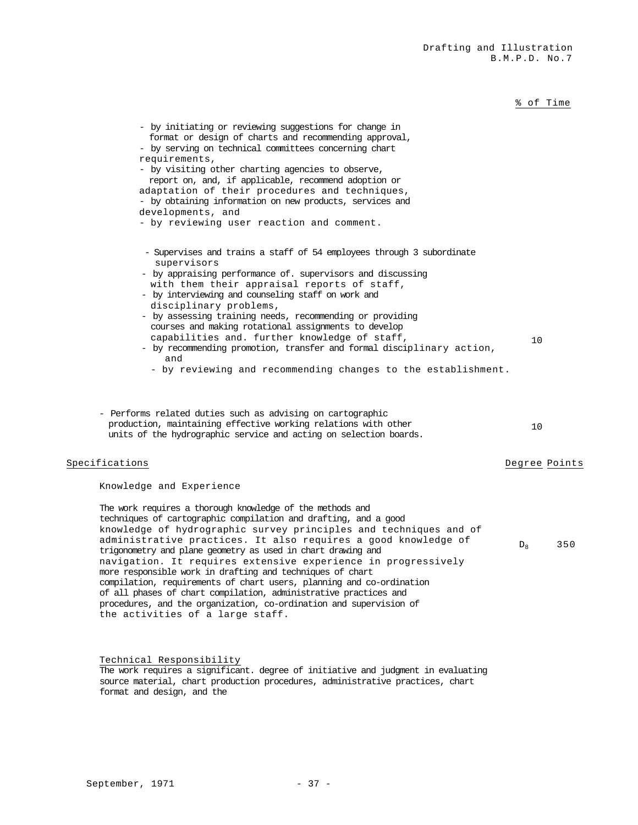% of Time

| - by initiating or reviewing suggestions for change in<br>format or design of charts and recommending approval,<br>- by serving on technical committees concerning chart<br>requirements,<br>- by visiting other charting agencies to observe,<br>report on, and, if applicable, recommend adoption or<br>adaptation of their procedures and techniques,<br>- by obtaining information on new products, services and<br>developments, and<br>- by reviewing user reaction and comment.                                                                                                                                                                                                                                                              |               |     |
|-----------------------------------------------------------------------------------------------------------------------------------------------------------------------------------------------------------------------------------------------------------------------------------------------------------------------------------------------------------------------------------------------------------------------------------------------------------------------------------------------------------------------------------------------------------------------------------------------------------------------------------------------------------------------------------------------------------------------------------------------------|---------------|-----|
| - Supervises and trains a staff of 54 employees through 3 subordinate<br>supervisors<br>- by appraising performance of. supervisors and discussing<br>with them their appraisal reports of staff,<br>- by interviewing and counseling staff on work and<br>disciplinary problems,<br>- by assessing training needs, recommending or providing<br>courses and making rotational assignments to develop<br>capabilities and. further knowledge of staff,<br>- by recommending promotion, transfer and formal disciplinary action,<br>and<br>- by reviewing and recommending changes to the establishment.                                                                                                                                             | 10            |     |
| - Performs related duties such as advising on cartographic<br>production, maintaining effective working relations with other<br>units of the hydrographic service and acting on selection boards.                                                                                                                                                                                                                                                                                                                                                                                                                                                                                                                                                   | 10            |     |
| Specifications                                                                                                                                                                                                                                                                                                                                                                                                                                                                                                                                                                                                                                                                                                                                      | Degree Points |     |
| Knowledge and Experience<br>The work requires a thorough knowledge of the methods and<br>techniques of cartographic compilation and drafting, and a good<br>knowledge of hydrographic survey principles and techniques and of<br>administrative practices. It also requires a good knowledge of<br>trigonometry and plane geometry as used in chart drawing and<br>navigation. It requires extensive experience in progressively<br>more responsible work in drafting and techniques of chart<br>compilation, requirements of chart users, planning and co-ordination<br>of all phases of chart compilation, administrative practices and<br>procedures, and the organization, co-ordination and supervision of<br>the activities of a large staff. | $D_{\rm R}$   | 350 |

Technical Responsibility

The work requires a significant. degree of initiative and judgment in evaluating source material, chart production procedures, administrative practices, chart format and design, and the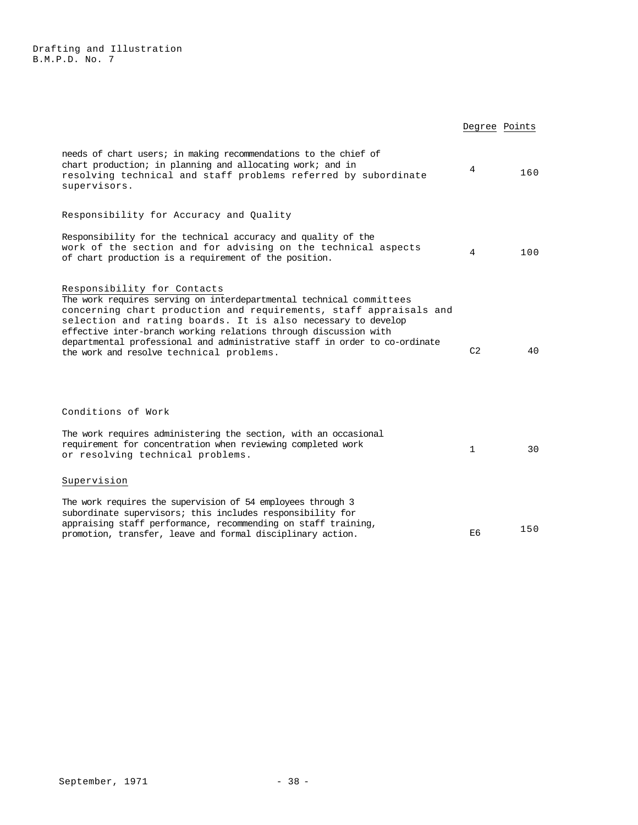|                                                                                                                                                                                                                                                                                                                                                                                                                                        | Degree Points  |     |
|----------------------------------------------------------------------------------------------------------------------------------------------------------------------------------------------------------------------------------------------------------------------------------------------------------------------------------------------------------------------------------------------------------------------------------------|----------------|-----|
| needs of chart users; in making recommendations to the chief of<br>chart production; in planning and allocating work; and in<br>resolving technical and staff problems referred by subordinate<br>supervisors.                                                                                                                                                                                                                         | 4              | 160 |
| Responsibility for Accuracy and Quality                                                                                                                                                                                                                                                                                                                                                                                                |                |     |
| Responsibility for the technical accuracy and quality of the<br>work of the section and for advising on the technical aspects<br>of chart production is a requirement of the position.                                                                                                                                                                                                                                                 | 4              | 100 |
| Responsibility for Contacts<br>The work requires serving on interdepartmental technical committees<br>concerning chart production and requirements, staff appraisals and<br>selection and rating boards. It is also necessary to develop<br>effective inter-branch working relations through discussion with<br>departmental professional and administrative staff in order to co-ordinate<br>the work and resolve technical problems. | C <sub>2</sub> | 40  |
| Conditions of Work                                                                                                                                                                                                                                                                                                                                                                                                                     |                |     |
| The work requires administering the section, with an occasional<br>requirement for concentration when reviewing completed work<br>or resolving technical problems.                                                                                                                                                                                                                                                                     | $\mathbf{1}$   | 30  |
| Supervision                                                                                                                                                                                                                                                                                                                                                                                                                            |                |     |
| The work requires the supervision of 54 employees through 3<br>subordinate supervisors; this includes responsibility for<br>appraising staff performance, recommending on staff training,<br>promotion, transfer, leave and formal disciplinary action.                                                                                                                                                                                | E6             | 150 |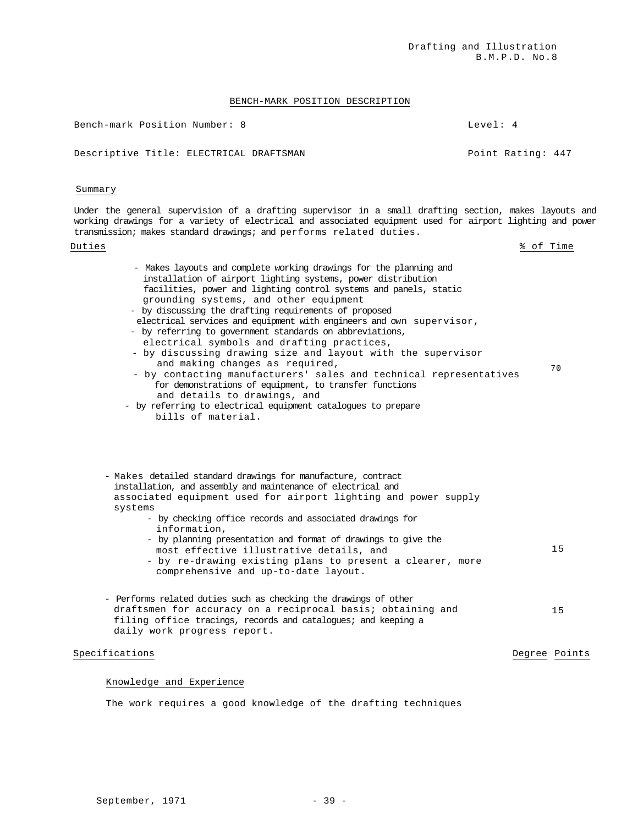Drafting and Illustration B.M.P.D. No.8

# BENCH-MARK POSITION DESCRIPTION

Bench-mark Position Number: 8 Level: 4

Descriptive Title: ELECTRICAL DRAFTSMAN POINT Rating: 447

### Summary

Under the general supervision of a drafting supervisor in a small drafting section, makes layouts and working drawings for a variety of electrical and associated equipment used for airport lighting and power transmission; makes standard drawings; and performs related duties.

Duties

- Makes layouts and complete working drawings for the planning and installation of airport lighting systems, power distribution facilities, power and lighting control systems and panels, static grounding systems, and other equipment - by discussing the drafting requirements of proposed electrical services and equipment with engineers and own supervisor, - by referring to government standards on abbreviations, electrical symbols and drafting practices, - by discussing drawing size and layout with the supervisor and making changes as required, - by contacting manufacturers' sales and technical representatives for demonstrations of equipment, to transfer functions and details to drawings, and - by referring to electrical equipment catalogues to prepare bills of material. 70 - Makes detailed standard drawings for manufacture, contract

installation, and assembly and maintenance of electrical and associated equipment used for airport lighting and power supply systems

- by checking office records and associated drawings for information,
- by planning presentation and format of drawings to give the most effective illustrative details, and - by re-drawing existing plans to present a clearer, more comprehensive and up-to-date layout. 15
- Performs related duties such as checking the drawings of other draftsmen for accuracy on a reciprocal basis; obtaining and filing office tracings, records and catalogues; and keeping a daily work progress report. 15

# Specifications **Degree Points** Degree Points **Degree Points**

### Knowledge and Experience

The work requires a good knowledge of the drafting techniques

% of Time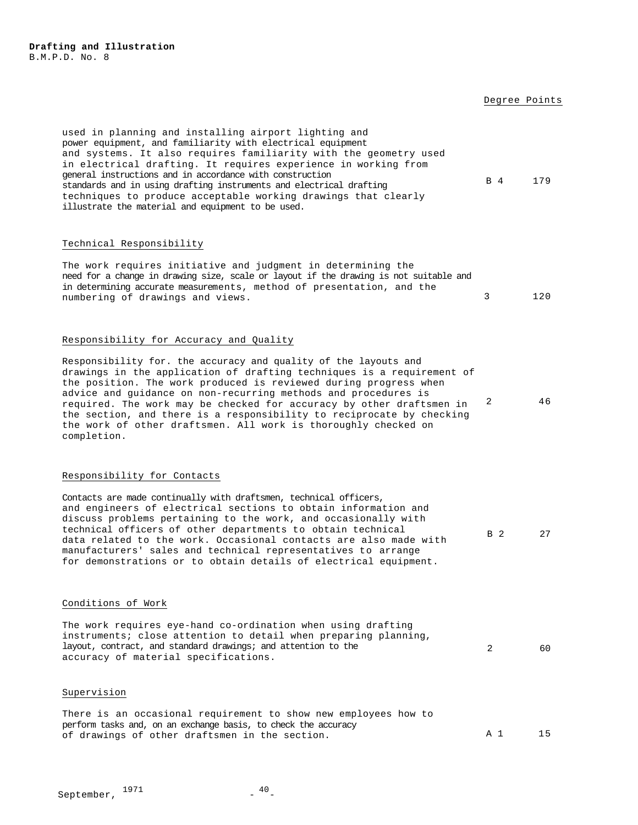### Degree Points

used in planning and installing airport lighting and power equipment, and familiarity with electrical equipment and systems. It also requires familiarity with the geometry used in electrical drafting. It requires experience in working from general instructions and in accordance with construction standards and in using drafting instruments and electrical drafting techniques to produce acceptable working drawings that clearly illustrate the material and equipment to be used. B 4 179

### Technical Responsibility

| The work requires initiative and judgment in determining the                          |     |
|---------------------------------------------------------------------------------------|-----|
| need for a change in drawing size, scale or layout if the drawing is not suitable and |     |
| in determining accurate measurements, method of presentation, and the                 |     |
| numbering of drawings and views.                                                      | 120 |

### Responsibility for Accuracy and Quality

Responsibility for. the accuracy and quality of the layouts and drawings in the application of drafting techniques is a requirement of the position. The work produced is reviewed during progress when advice and guidance on non-recurring methods and procedures is required. The work may be checked for accuracy by other draftsmen in the section, and there is a responsibility to reciprocate by checking the work of other draftsmen. All work is thoroughly checked on completion. 2 46

## Responsibility for Contacts

Contacts are made continually with draftsmen, technical officers, and engineers of electrical sections to obtain information and discuss problems pertaining to the work, and occasionally with technical officers of other departments to obtain technical data related to the work. Occasional contacts are also made with manufacturers' sales and technical representatives to arrange for demonstrations or to obtain details of electrical equipment. B 2 27

### Conditions of Work

The work requires eye-hand co-ordination when using drafting instruments; close attention to detail when preparing planning, layout, contract, and standard drawings; and attention to the accuracy of material specifications. 2 60

### Supervision

|  |  |  |                                                                |  |  | There is an occasional requirement to show new employees how to |  |     |    |
|--|--|--|----------------------------------------------------------------|--|--|-----------------------------------------------------------------|--|-----|----|
|  |  |  | perform tasks and, on an exchange basis, to check the accuracy |  |  |                                                                 |  |     |    |
|  |  |  | of drawings of other draftsmen in the section.                 |  |  |                                                                 |  | A 1 | 15 |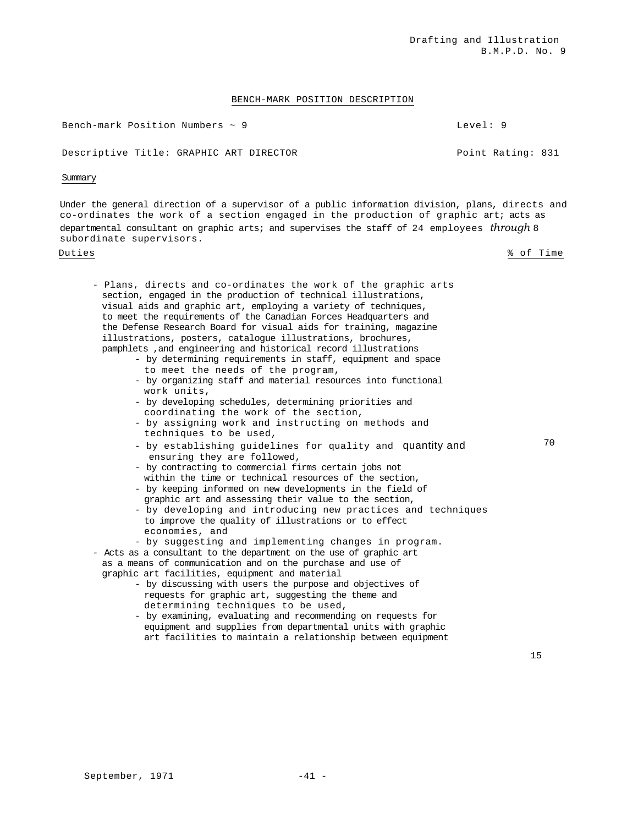# BENCH-MARK POSITION DESCRIPTION

Bench-mark Position Numbers ~ 9 deepers and the set of the Level: 9

Descriptive Title: GRAPHIC ART DIRECTOR THE RATION Point Rating: 831

# Summary

Under the general direction of a supervisor of a public information division, plans, directs and co-ordinates the work of a section engaged in the production of graphic art; acts as departmental consultant on graphic arts; and supervises the staff of 24 employees *through* 8 subordinate supervisors.

Duties % of Time

- Plans, directs and co-ordinates the work of the graphic arts section, engaged in the production of technical illustrations, visual aids and graphic art, employing a variety of techniques, to meet the requirements of the Canadian Forces Headquarters and the Defense Research Board for visual aids for training, magazine illustrations, posters, catalogue illustrations, brochures, pamphlets ,and engineering and historical record illustrations
	- by determining requirements in staff, equipment and space to meet the needs of the program,
	- by organizing staff and material resources into functional work units,
	- by developing schedules, determining priorities and coordinating the work of the section,
	- by assigning work and instructing on methods and techniques to be used,
	- by establishing guidelines for quality and quantity and ensuring they are followed,
	- by contracting to commercial firms certain jobs not within the time or technical resources of the section,
	- by keeping informed on new developments in the field of graphic art and assessing their value to the section,
	- by developing and introducing new practices and techniques to improve the quality of illustrations or to effect economies, and
	- by suggesting and implementing changes in program.
- Acts as a consultant to the department on the use of graphic art as a means of communication and on the purchase and use of graphic art facilities, equipment and material
	- by discussing with users the purpose and objectives of requests for graphic art, suggesting the theme and determining techniques to be used,
	- by examining, evaluating and recommending on requests for equipment and supplies from departmental units with graphic art facilities to maintain a relationship between equipment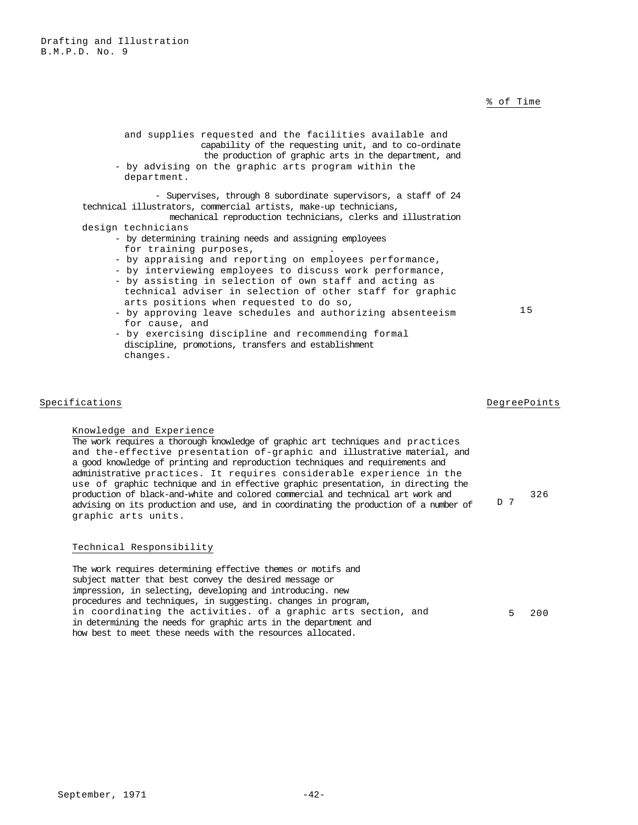# % of Time

the production of graphic arts in the department, and - by advising on the graphic arts program within the department. - Supervises, through 8 subordinate supervisors, a staff of 24 technical illustrators, commercial artists, make-up technicians, mechanical reproduction technicians, clerks and illustration design technicians - by determining training needs and assigning employees for training purposes, - by appraising and reporting on employees performance, - by interviewing employees to discuss work performance, - by assisting in selection of own staff and acting as technical adviser in selection of other staff for graphic

and supplies requested and the facilities available and

capability of the requesting unit, and to co-ordinate

- arts positions when requested to do so, - by approving leave schedules and authorizing absenteeism for cause, and
- by exercising discipline and recommending formal discipline, promotions, transfers and establishment changes.

# Specifications **DegreePoints** DegreePoints **DegreePoints**

Knowledge and Experience The work requires a thorough knowledge of graphic art techniques and practices and the-effective presentation of-graphic and illustrative material, and a good knowledge of printing and reproduction techniques and requirements and administrative practices. It requires considerable experience in the use of graphic technique and in effective graphic presentation, in directing the production of black-and-white and colored commercial and technical art work and advising on its production and use, and in coordinating the production of a number of graphic arts units.

# Technical Responsibility

The work requires determining effective themes or motifs and subject matter that best convey the desired message or impression, in selecting, developing and introducing. new procedures and techniques, in suggesting. changes in program, in coordinating the activities. of a graphic arts section, and in determining the needs for graphic arts in the department and how best to meet these needs with the resources allocated. 5 200

15

326

D 7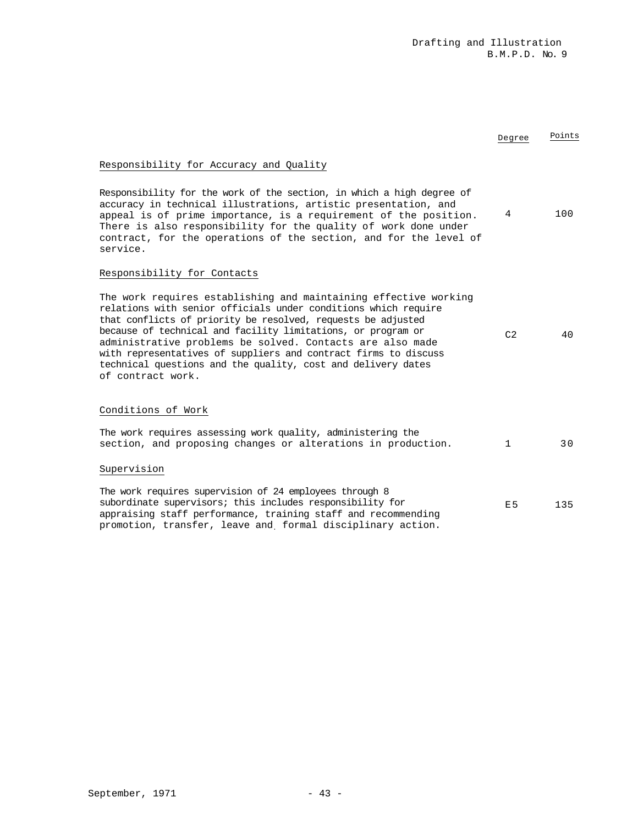| Responsibility for Accuracy and Quality                                                                                                                                                                                                                                                                                                                                                                                                                                                 |                |     |
|-----------------------------------------------------------------------------------------------------------------------------------------------------------------------------------------------------------------------------------------------------------------------------------------------------------------------------------------------------------------------------------------------------------------------------------------------------------------------------------------|----------------|-----|
| Responsibility for the work of the section, in which a high degree of<br>accuracy in technical illustrations, artistic presentation, and<br>appeal is of prime importance, is a requirement of the position.<br>There is also responsibility for the quality of work done under<br>contract, for the operations of the section, and for the level of<br>service.                                                                                                                        | 4              | 100 |
| Responsibility for Contacts                                                                                                                                                                                                                                                                                                                                                                                                                                                             |                |     |
| The work requires establishing and maintaining effective working<br>relations with senior officials under conditions which require<br>that conflicts of priority be resolved, requests be adjusted<br>because of technical and facility limitations, or program or<br>administrative problems be solved. Contacts are also made<br>with representatives of suppliers and contract firms to discuss<br>technical questions and the quality, cost and delivery dates<br>of contract work. | C <sub>2</sub> | 4 N |
| Conditions of Work                                                                                                                                                                                                                                                                                                                                                                                                                                                                      |                |     |
| The work requires assessing work quality, administering the<br>section, and proposing changes or alterations in production.                                                                                                                                                                                                                                                                                                                                                             | $\mathbf{1}$   | 3 O |
| Supervision                                                                                                                                                                                                                                                                                                                                                                                                                                                                             |                |     |
| The work requires supervision of 24 employees through 8<br>subordinate supervisors; this includes responsibility for<br>appraising staff performance, training staff and recommending<br>promotion, transfer, leave and formal disciplinary action.                                                                                                                                                                                                                                     | E <sub>5</sub> | 135 |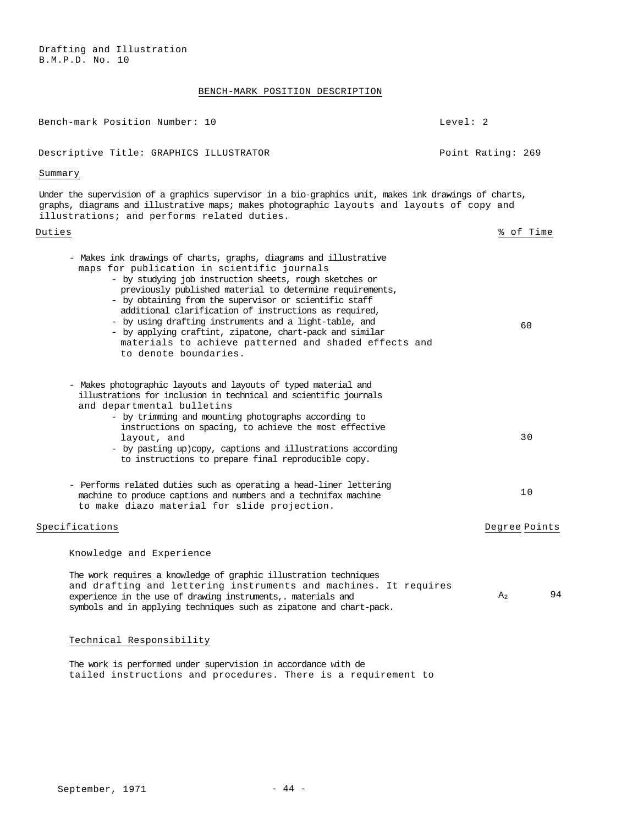Drafting and Illustration B.M.P.D. No. 10

# BENCH-MARK POSITION DESCRIPTION

| Bench-mark Position Number: 10                                                                                                                                                                                                                                                                                                                                                                                                                                                                                                                                     | Level: 2 |                      |
|--------------------------------------------------------------------------------------------------------------------------------------------------------------------------------------------------------------------------------------------------------------------------------------------------------------------------------------------------------------------------------------------------------------------------------------------------------------------------------------------------------------------------------------------------------------------|----------|----------------------|
| Descriptive Title: GRAPHICS ILLUSTRATOR                                                                                                                                                                                                                                                                                                                                                                                                                                                                                                                            |          | Point Rating: 269    |
| Summary                                                                                                                                                                                                                                                                                                                                                                                                                                                                                                                                                            |          |                      |
| Under the supervision of a graphics supervisor in a bio-graphics unit, makes ink drawings of charts,<br>graphs, diagrams and illustrative maps; makes photographic layouts and layouts of copy and<br>illustrations; and performs related duties.                                                                                                                                                                                                                                                                                                                  |          |                      |
| Duties                                                                                                                                                                                                                                                                                                                                                                                                                                                                                                                                                             |          | % of Time            |
| - Makes ink drawings of charts, graphs, diagrams and illustrative<br>maps for publication in scientific journals<br>- by studying job instruction sheets, rough sketches or<br>previously published material to determine requirements,<br>- by obtaining from the supervisor or scientific staff<br>additional clarification of instructions as required,<br>- by using drafting instruments and a light-table, and<br>- by applying craftint, zipatone, chart-pack and similar<br>materials to achieve patterned and shaded effects and<br>to denote boundaries. |          | 60                   |
| - Makes photographic layouts and layouts of typed material and<br>illustrations for inclusion in technical and scientific journals<br>and departmental bulletins<br>- by trimming and mounting photographs according to<br>instructions on spacing, to achieve the most effective<br>layout, and<br>- by pasting up) copy, captions and illustrations according<br>to instructions to prepare final reproducible copy.                                                                                                                                             |          | 30                   |
| - Performs related duties such as operating a head-liner lettering<br>machine to produce captions and numbers and a technifax machine<br>to make diazo material for slide projection.                                                                                                                                                                                                                                                                                                                                                                              |          | 10                   |
| Specifications                                                                                                                                                                                                                                                                                                                                                                                                                                                                                                                                                     |          | Degree Points        |
| Knowledge and Experience                                                                                                                                                                                                                                                                                                                                                                                                                                                                                                                                           |          |                      |
| The work requires a knowledge of graphic illustration techniques<br>and drafting and lettering instruments and machines. It requires<br>experience in the use of drawing instruments, materials and<br>symbols and in applying techniques such as zipatone and chart-pack.                                                                                                                                                                                                                                                                                         |          | 94<br>A <sub>2</sub> |
| Technical Responsibility                                                                                                                                                                                                                                                                                                                                                                                                                                                                                                                                           |          |                      |

The work is performed under supervision in accordance with de tailed instructions and procedures. There is a requirement to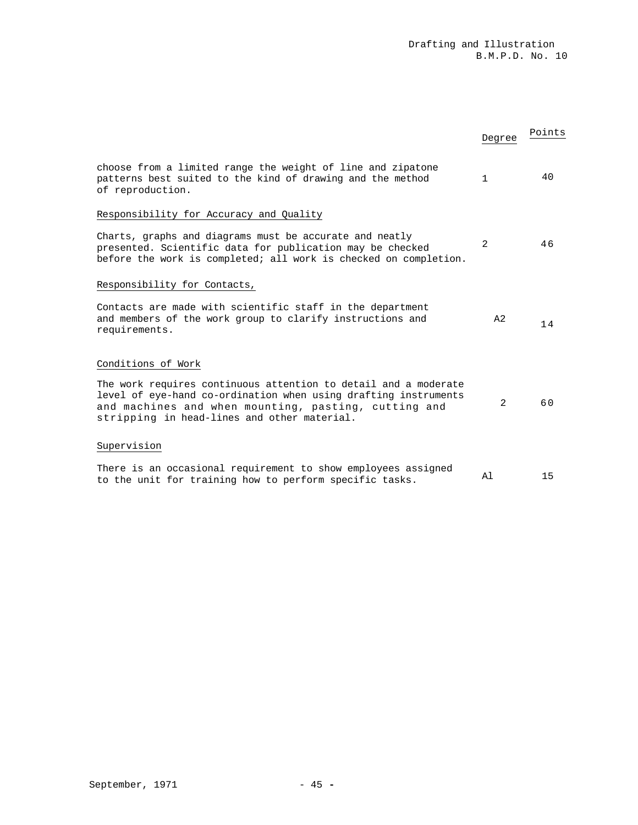|                                                                                                                                                                                                                                           | Degree         | Points |
|-------------------------------------------------------------------------------------------------------------------------------------------------------------------------------------------------------------------------------------------|----------------|--------|
| choose from a limited range the weight of line and zipatone<br>patterns best suited to the kind of drawing and the method<br>of reproduction.                                                                                             | $\mathbf{1}$   | 40     |
| Responsibility for Accuracy and Quality                                                                                                                                                                                                   |                |        |
| Charts, graphs and diagrams must be accurate and neatly<br>presented. Scientific data for publication may be checked<br>before the work is completed; all work is checked on completion.                                                  | 2              | 46     |
| Responsibility for Contacts,                                                                                                                                                                                                              |                |        |
| Contacts are made with scientific staff in the department<br>and members of the work group to clarify instructions and<br>requirements.                                                                                                   | A <sub>2</sub> | 14     |
| Conditions of Work                                                                                                                                                                                                                        |                |        |
| The work requires continuous attention to detail and a moderate<br>level of eye-hand co-ordination when using drafting instruments<br>and machines and when mounting, pasting, cutting and<br>stripping in head-lines and other material. | 2              | 60     |
| Supervision                                                                                                                                                                                                                               |                |        |
| There is an occasional requirement to show employees assigned<br>to the unit for training how to perform specific tasks.                                                                                                                  | Al             | 15     |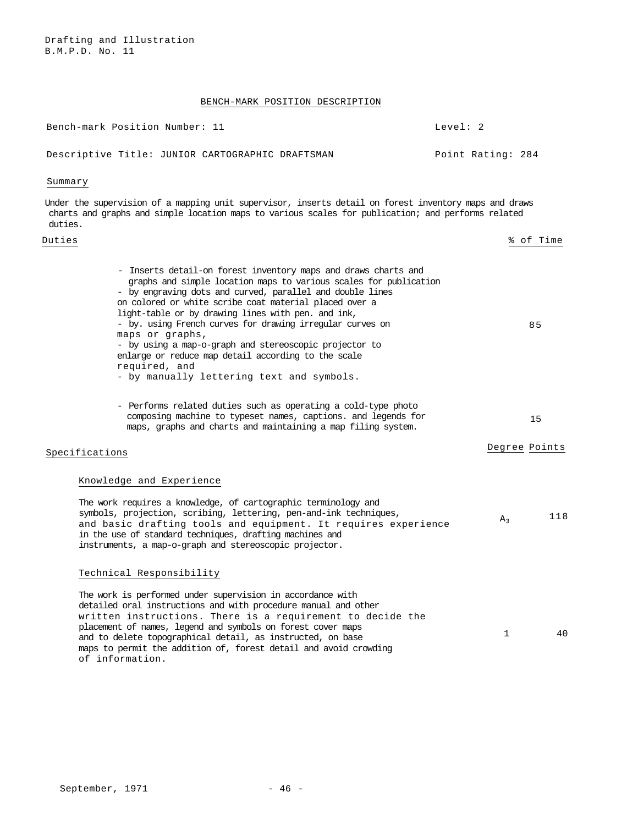### BENCH-MARK POSITION DESCRIPTION

| Bench-mark Position Number: 11 |  |                                                  | Level: 2 |                   |  |
|--------------------------------|--|--------------------------------------------------|----------|-------------------|--|
|                                |  | Descriptive Title: JUNIOR CARTOGRAPHIC DRAFTSMAN |          | Point Rating: 284 |  |

### Summary

Drafting and Illustration

B.M.P.D. No. 11

Under the supervision of a mapping unit supervisor, inserts detail on forest inventory maps and draws charts and graphs and simple location maps to various scales for publication; and performs related duties.

### Duties % of Time

 - Inserts detail-on forest inventory maps and draws charts and graphs and simple location maps to various scales for publication - by engraving dots and curved, parallel and double lines on colored or white scribe coat material placed over a light-table or by drawing lines with pen. and ink, - by. using French curves for drawing irregular curves on maps or graphs, - by using a map-o-graph and stereoscopic projector to enlarge or reduce map detail according to the scale required, and - by manually lettering text and symbols. 85 - Performs related duties such as operating a cold-type photo

 composing machine to typeset names, captions. and legends for maps, graphs and charts and maintaining a map filing system. 15

# Specifications **Degree Points**

### Knowledge and Experience

The work requires a knowledge, of cartographic terminology and symbols, projection, scribing, lettering, pen-and-ink techniques, and basic drafting tools and equipment. It requires experience in the use of standard techniques, drafting machines and instruments, a map-o-graph and stereoscopic projector.  $A_3$  118

### Technical Responsibility

The work is performed under supervision in accordance with detailed oral instructions and with procedure manual and other written instructions. There is a requirement to decide the placement of names, legend and symbols on forest cover maps and to delete topographical detail, as instructed, on base maps to permit the addition of, forest detail and avoid crowding of information. 1 40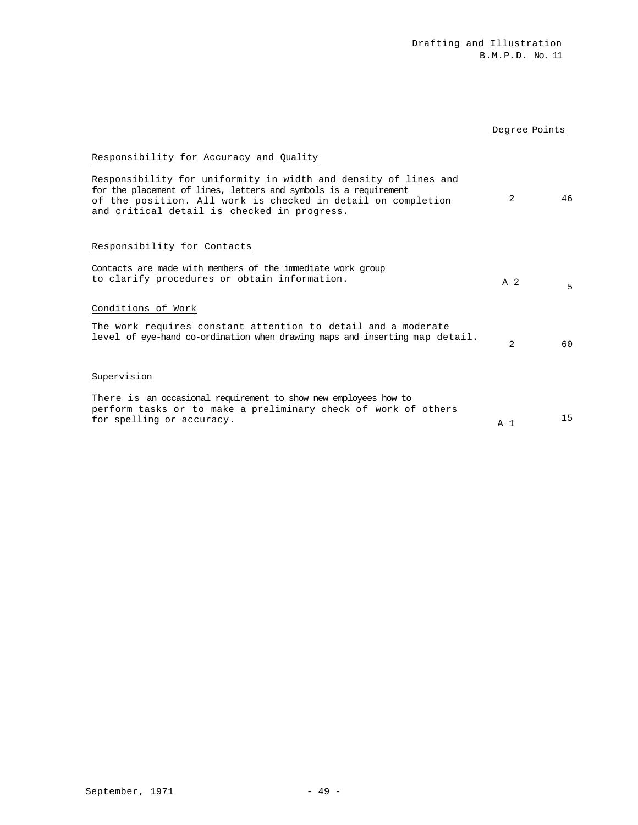# Degree Points

# Responsibility for Accuracy and Quality

| Responsibility for uniformity in width and density of lines and<br>for the placement of lines, letters and symbols is a requirement<br>of the position. All work is checked in detail on completion<br>and critical detail is checked in progress. | 2              | 46 |
|----------------------------------------------------------------------------------------------------------------------------------------------------------------------------------------------------------------------------------------------------|----------------|----|
| Responsibility for Contacts                                                                                                                                                                                                                        |                |    |
| Contacts are made with members of the immediate work group<br>to clarify procedures or obtain information.                                                                                                                                         | A <sub>2</sub> | 5  |
| Conditions of Work                                                                                                                                                                                                                                 |                |    |
| The work requires constant attention to detail and a moderate<br>level of eye-hand co-ordination when drawing maps and inserting map detail.                                                                                                       | 2              | 60 |
| Supervision                                                                                                                                                                                                                                        |                |    |
| There is an occasional requirement to show new employees how to<br>perform tasks or to make a preliminary check of work of others<br>for spelling or accuracy.                                                                                     | A 1            | 15 |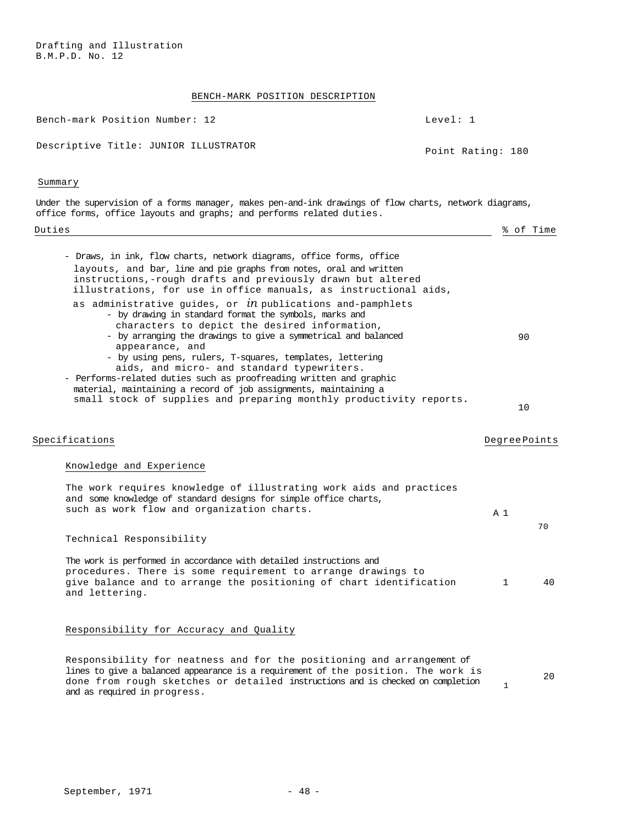Drafting and Illustration B.M.P.D. No. 12

# BENCH-MARK POSITION DESCRIPTION

| BENCH-MARK POSITION DESCRIPIION                                                                                                                                                                                                                                                                                                                                                                                                                  |                   |                     |    |
|--------------------------------------------------------------------------------------------------------------------------------------------------------------------------------------------------------------------------------------------------------------------------------------------------------------------------------------------------------------------------------------------------------------------------------------------------|-------------------|---------------------|----|
| Bench-mark Position Number: 12                                                                                                                                                                                                                                                                                                                                                                                                                   | Level: 1          |                     |    |
| Descriptive Title: JUNIOR ILLUSTRATOR                                                                                                                                                                                                                                                                                                                                                                                                            | Point Rating: 180 |                     |    |
| Summary                                                                                                                                                                                                                                                                                                                                                                                                                                          |                   |                     |    |
| Under the supervision of a forms manager, makes pen-and-ink drawings of flow charts, network diagrams,<br>office forms, office layouts and graphs; and performs related duties.                                                                                                                                                                                                                                                                  |                   |                     |    |
| Duties                                                                                                                                                                                                                                                                                                                                                                                                                                           |                   | % of Time           |    |
| - Draws, in ink, flow charts, network diagrams, office forms, office<br>layouts, and $bar$ , line and pie graphs from notes, oral and written<br>instructions,-rough drafts and previously drawn but altered<br>illustrations, for use in office manuals, as instructional aids,<br>as administrative guides, or $in$ publications and-pamphlets                                                                                                 |                   |                     |    |
| - by drawing in standard format the symbols, marks and<br>characters to depict the desired information,<br>- by arranging the drawings to give a symmetrical and balanced<br>appearance, and<br>- by using pens, rulers, T-squares, templates, lettering<br>aids, and micro- and standard typewriters.<br>- Performs-related duties such as proofreading written and graphic<br>material, maintaining a record of job assignments, maintaining a |                   | 90                  |    |
| small stock of supplies and preparing monthly productivity reports.                                                                                                                                                                                                                                                                                                                                                                              |                   | 10                  |    |
| Specifications                                                                                                                                                                                                                                                                                                                                                                                                                                   |                   | <b>DegreePoints</b> |    |
| Knowledge and Experience                                                                                                                                                                                                                                                                                                                                                                                                                         |                   |                     |    |
| The work requires knowledge of illustrating work aids and practices<br>and some knowledge of standard designs for simple office charts,<br>such as work flow and organization charts.                                                                                                                                                                                                                                                            |                   | A <sub>1</sub>      | 70 |
| Technical Responsibility                                                                                                                                                                                                                                                                                                                                                                                                                         |                   |                     |    |
| The work is performed in accordance with detailed instructions and<br>procedures. There is some requirement to arrange drawings to<br>give balance and to arrange the positioning of chart identification<br>and lettering.                                                                                                                                                                                                                      |                   | $\mathbf{1}$        | 40 |
| Responsibility for Accuracy and Quality                                                                                                                                                                                                                                                                                                                                                                                                          |                   |                     |    |

Responsibility for neatness and for the positioning and arrangement of lines to give a balanced appearance is a requirement of the position. The work is done from rough sketches or detailed instructions and is checked on completion and as required in progress. 1 20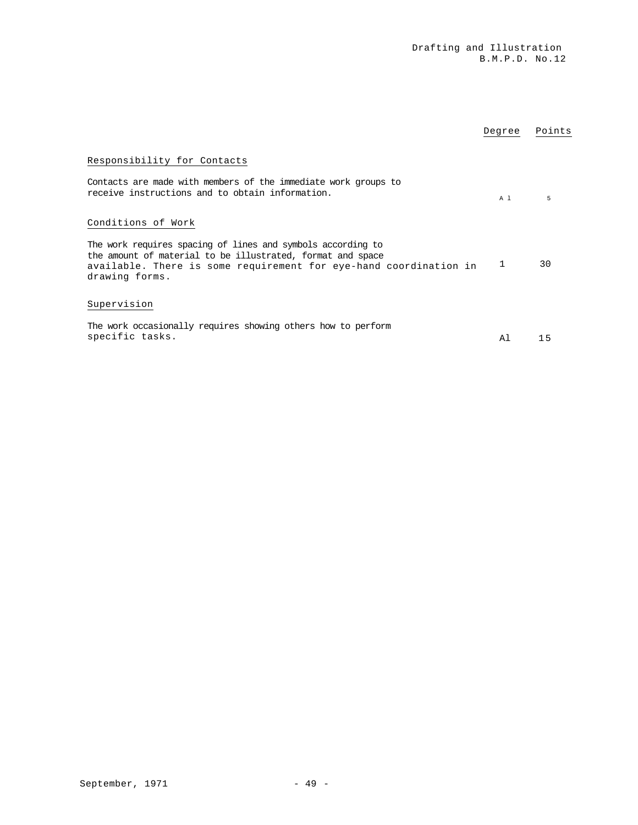|                                                                                                                                                                                                                  | Degree | Points |
|------------------------------------------------------------------------------------------------------------------------------------------------------------------------------------------------------------------|--------|--------|
| Responsibility for Contacts<br>Contacts are made with members of the immediate work groups to<br>receive instructions and to obtain information.                                                                 | A 1    | 5      |
| Conditions of Work                                                                                                                                                                                               |        |        |
| The work requires spacing of lines and symbols according to<br>the amount of material to be illustrated, format and space<br>available. There is some requirement for eye-hand coordination in<br>drawing forms. |        | 30     |
| Supervision                                                                                                                                                                                                      |        |        |
| The work occasionally requires showing others how to perform<br>specific tasks.                                                                                                                                  | A 1    | 15     |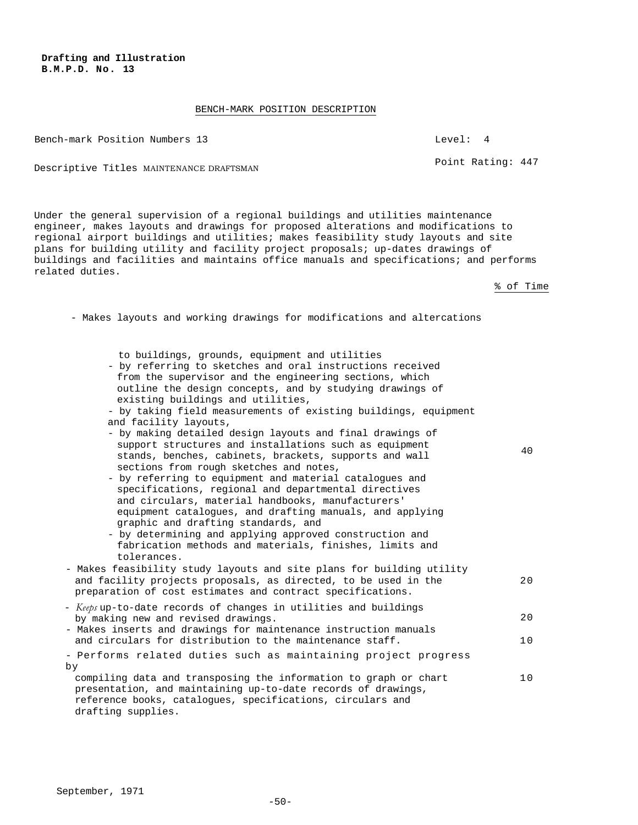**B.M.P.D. No. 13** 

**Drafting and Illustration** 

### BENCH-MARK POSITION DESCRIPTION

Bench-mark Position Numbers 13 Level: 4

Descriptive Titles MAINTENANCE DRAFTSMAN POINT Rating: 447

Under the general supervision of a regional buildings and utilities maintenance engineer, makes layouts and drawings for proposed alterations and modifications to regional airport buildings and utilities; makes feasibility study layouts and site plans for building utility and facility project proposals; up-dates drawings of buildings and facilities and maintains office manuals and specifications; and performs related duties.

% of Time

- Makes layouts and working drawings for modifications and altercations

| to buildings, grounds, equipment and utilities |  |  |
|------------------------------------------------|--|--|

| - by referring to sketches and oral instructions received<br>from the supervisor and the engineering sections, which<br>outline the design concepts, and by studying drawings of<br>existing buildings and utilities,<br>- by taking field measurements of existing buildings, equipment<br>and facility layouts,<br>- by making detailed design layouts and final drawings of<br>support structures and installations such as equipment<br>stands, benches, cabinets, brackets, supports and wall<br>sections from rough sketches and notes,<br>- by referring to equipment and material catalogues and<br>specifications, regional and departmental directives<br>and circulars, material handbooks, manufacturers'<br>equipment catalogues, and drafting manuals, and applying<br>graphic and drafting standards, and<br>- by determining and applying approved construction and<br>fabrication methods and materials, finishes, limits and<br>tolerances. | 40       |
|---------------------------------------------------------------------------------------------------------------------------------------------------------------------------------------------------------------------------------------------------------------------------------------------------------------------------------------------------------------------------------------------------------------------------------------------------------------------------------------------------------------------------------------------------------------------------------------------------------------------------------------------------------------------------------------------------------------------------------------------------------------------------------------------------------------------------------------------------------------------------------------------------------------------------------------------------------------|----------|
| - Makes feasibility study layouts and site plans for building utility<br>and facility projects proposals, as directed, to be used in the<br>preparation of cost estimates and contract specifications.                                                                                                                                                                                                                                                                                                                                                                                                                                                                                                                                                                                                                                                                                                                                                        | 20       |
| - Keeps up-to-date records of changes in utilities and buildings<br>by making new and revised drawings.<br>- Makes inserts and drawings for maintenance instruction manuals<br>and circulars for distribution to the maintenance staff.                                                                                                                                                                                                                                                                                                                                                                                                                                                                                                                                                                                                                                                                                                                       | 20<br>10 |
| - Performs related duties such as maintaining project progress<br>by                                                                                                                                                                                                                                                                                                                                                                                                                                                                                                                                                                                                                                                                                                                                                                                                                                                                                          |          |
| compiling data and transposing the information to graph or chart<br>presentation, and maintaining up-to-date records of drawings,<br>reference books, catalogues, specifications, circulars and<br>drafting supplies.                                                                                                                                                                                                                                                                                                                                                                                                                                                                                                                                                                                                                                                                                                                                         | 10       |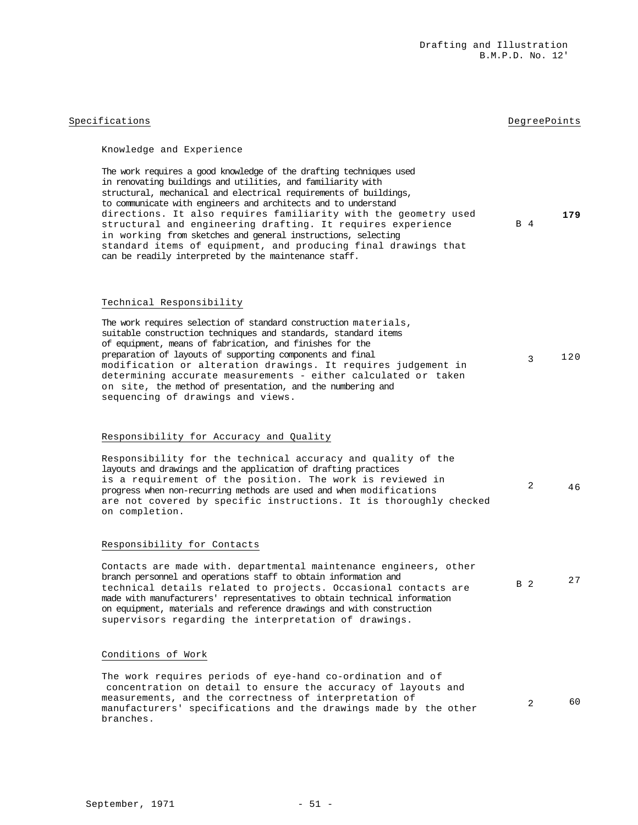# Specifications **DegreePoints** DegreePoints **DegreePoints**

# Knowledge and Experience

| The work requires a good knowledge of the drafting techniques used |     |     |
|--------------------------------------------------------------------|-----|-----|
| in renovating buildings and utilities, and familiarity with        |     |     |
| structural, mechanical and electrical requirements of buildings,   |     |     |
| to communicate with engineers and architects and to understand     |     |     |
| directions. It also requires familiarity with the geometry used    |     | 179 |
| structural and engineering drafting. It requires experience        | B 4 |     |
| in working from sketches and general instructions, selecting       |     |     |
| standard items of equipment, and producing final drawings that     |     |     |
| can be readily interpreted by the maintenance staff.               |     |     |
|                                                                    |     |     |

## Technical Responsibility

| The work requires selection of standard construction materials, |     |
|-----------------------------------------------------------------|-----|
| suitable construction techniques and standards, standard items  |     |
| of equipment, means of fabrication, and finishes for the        |     |
| preparation of layouts of supporting components and final       | 120 |
| modification or alteration drawings. It requires judgement in   |     |
| determining accurate measurements - either calculated or taken  |     |
| on site, the method of presentation, and the numbering and      |     |
| sequencing of drawings and views.                               |     |

# Responsibility for Accuracy and Quality

| Responsibility for the technical accuracy and quality of the        |   |    |
|---------------------------------------------------------------------|---|----|
| layouts and drawings and the application of drafting practices      |   |    |
| is a requirement of the position. The work is reviewed in           |   |    |
| progress when non-recurring methods are used and when modifications | 2 | 46 |
| are not covered by specific instructions. It is thoroughly checked  |   |    |
| on completion.                                                      |   |    |

### Responsibility for Contacts

| Contacts are made with. departmental maintenance engineers, other        |            |    |
|--------------------------------------------------------------------------|------------|----|
| branch personnel and operations staff to obtain information and          |            | 27 |
| technical details related to projects. Occasional contacts are           | <b>B</b> 2 |    |
| made with manufacturers' representatives to obtain technical information |            |    |
| on equipment, materials and reference drawings and with construction     |            |    |
| supervisors regarding the interpretation of drawings.                    |            |    |

# Conditions of Work

The work requires periods of eye-hand co-ordination and of concentration on detail to ensure the accuracy of layouts and measurements, and the correctness of interpretation of manufacturers' specifications and the drawings made by the other branches. 2 60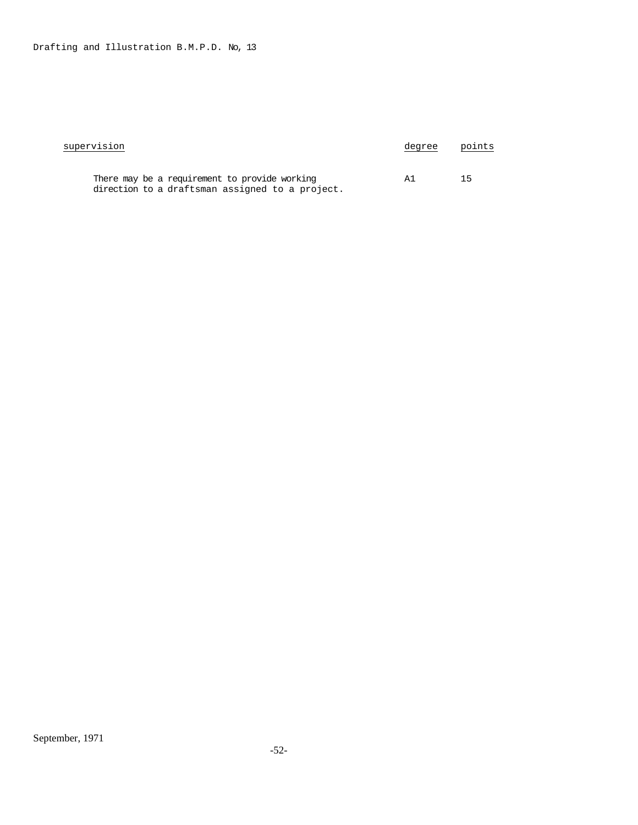| supervision                                                                                      | degree | points |
|--------------------------------------------------------------------------------------------------|--------|--------|
| There may be a requirement to provide working<br>direction to a draftsman assigned to a project. | ΑT     | 15     |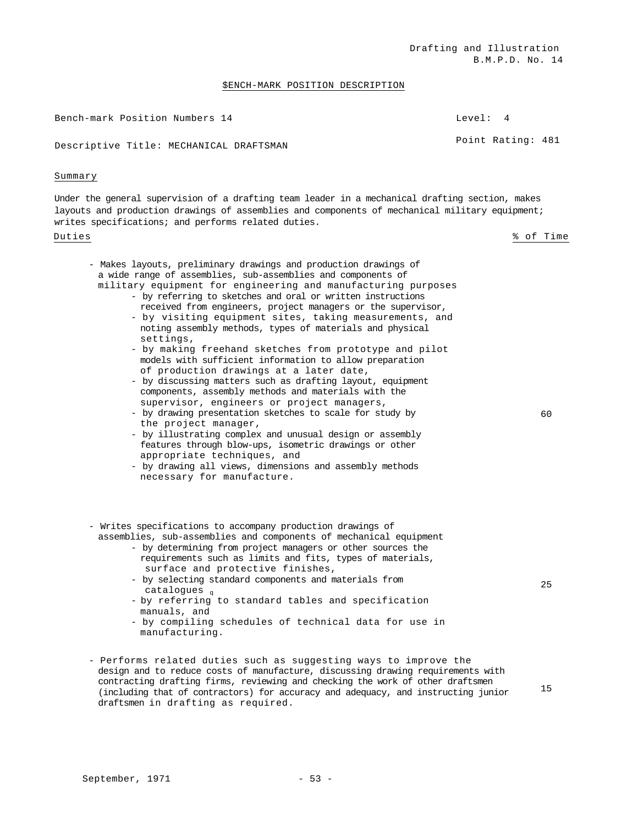### \$ENCH-MARK POSITION DESCRIPTION

| Bench-mark Position Numbers 14          | Level: 4          |  |
|-----------------------------------------|-------------------|--|
| Descriptive Title: MECHANICAL DRAFTSMAN | Point Rating: 481 |  |

### Summary

Under the general supervision of a drafting team leader in a mechanical drafting section, makes layouts and production drawings of assemblies and components of mechanical military equipment; writes specifications; and performs related duties.

### Duties % of Time

| - Makes layouts, preliminary drawings and production drawings of |    |
|------------------------------------------------------------------|----|
| a wide range of assemblies, sub-assemblies and components of     |    |
| military equipment for engineering and manufacturing purposes    |    |
| - by referring to sketches and oral or written instructions      |    |
| received from engineers, project managers or the supervisor,     |    |
| - by visiting equipment sites, taking measurements, and          |    |
| noting assembly methods, types of materials and physical         |    |
| settings,                                                        |    |
| - by making freehand sketches from prototype and pilot           |    |
| models with sufficient information to allow preparation          |    |
| of production drawings at a later date,                          |    |
| - by discussing matters such as drafting layout, equipment       |    |
| components, assembly methods and materials with the              |    |
| supervisor, engineers or project managers,                       |    |
| - by drawing presentation sketches to scale for study by         | 60 |

- by drawing presentation sketches to scale for study by the project manager,
- by illustrating complex and unusual design or assembly features through blow-ups, isometric drawings or other appropriate techniques, and
- by drawing all views, dimensions and assembly methods necessary for manufacture.
- Writes specifications to accompany production drawings of
	- assemblies, sub-assemblies and components of mechanical equipment - by determining from project managers or other sources the
		- requirements such as limits and fits, types of materials, surface and protective finishes,
		- by selecting standard components and materials from catalogues q
		- by referring to standard tables and specification manuals, and
		- by compiling schedules of technical data for use in manufacturing.
- Performs related duties such as suggesting ways to improve the design and to reduce costs of manufacture, discussing drawing requirements with contracting drafting firms, reviewing and checking the work of other draftsmen (including that of contractors) for accuracy and adequacy, and instructing junior draftsmen in drafting as required.

15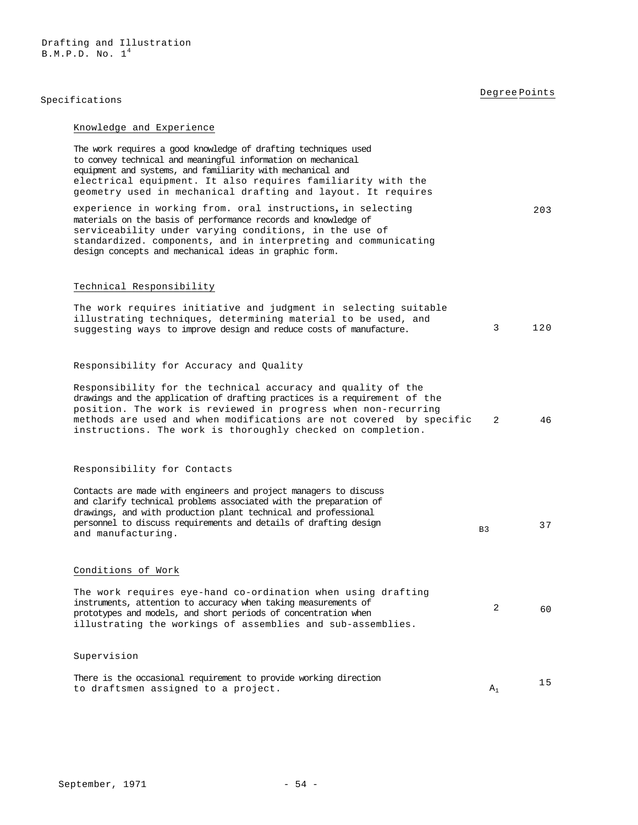Drafting and Illustration  $B.M.P.D. No.  $1<sup>4</sup>$$ 

# Specifications **Degree Points**

# Knowledge and Experience

| The work requires a good knowledge of drafting techniques used<br>to convey technical and meaningful information on mechanical<br>equipment and systems, and familiarity with mechanical and<br>electrical equipment. It also requires familiarity with the<br>geometry used in mechanical drafting and layout. It requires                       |                |     |
|---------------------------------------------------------------------------------------------------------------------------------------------------------------------------------------------------------------------------------------------------------------------------------------------------------------------------------------------------|----------------|-----|
| experience in working from. oral instructions, in selecting<br>materials on the basis of performance records and knowledge of<br>serviceability under varying conditions, in the use of<br>standardized. components, and in interpreting and communicating<br>design concepts and mechanical ideas in graphic form.                               |                | 203 |
| Technical Responsibility                                                                                                                                                                                                                                                                                                                          |                |     |
| The work requires initiative and judgment in selecting suitable<br>illustrating techniques, determining material to be used, and<br>suggesting ways to improve design and reduce costs of manufacture.                                                                                                                                            | 3              | 120 |
| Responsibility for Accuracy and Quality                                                                                                                                                                                                                                                                                                           |                |     |
| Responsibility for the technical accuracy and quality of the<br>drawings and the application of drafting practices is a requirement of the<br>position. The work is reviewed in progress when non-recurring<br>methods are used and when modifications are not covered by specific<br>instructions. The work is thoroughly checked on completion. | 2              | 46  |
| Responsibility for Contacts                                                                                                                                                                                                                                                                                                                       |                |     |
| Contacts are made with engineers and project managers to discuss<br>and clarify technical problems associated with the preparation of<br>drawings, and with production plant technical and professional<br>personnel to discuss requirements and details of drafting design<br>and manufacturing.                                                 | B <sub>3</sub> | 37  |
| Conditions of Work                                                                                                                                                                                                                                                                                                                                |                |     |
| The work requires eye-hand co-ordination when using drafting<br>instruments, attention to accuracy when taking measurements of<br>prototypes and models, and short periods of concentration when<br>illustrating the workings of assemblies and sub-assemblies.                                                                                   | 2              | 60  |
| Supervision                                                                                                                                                                                                                                                                                                                                       |                |     |
| There is the occasional requirement to provide working direction<br>to draftsmen assigned to a project.                                                                                                                                                                                                                                           | $A_1$          | 15  |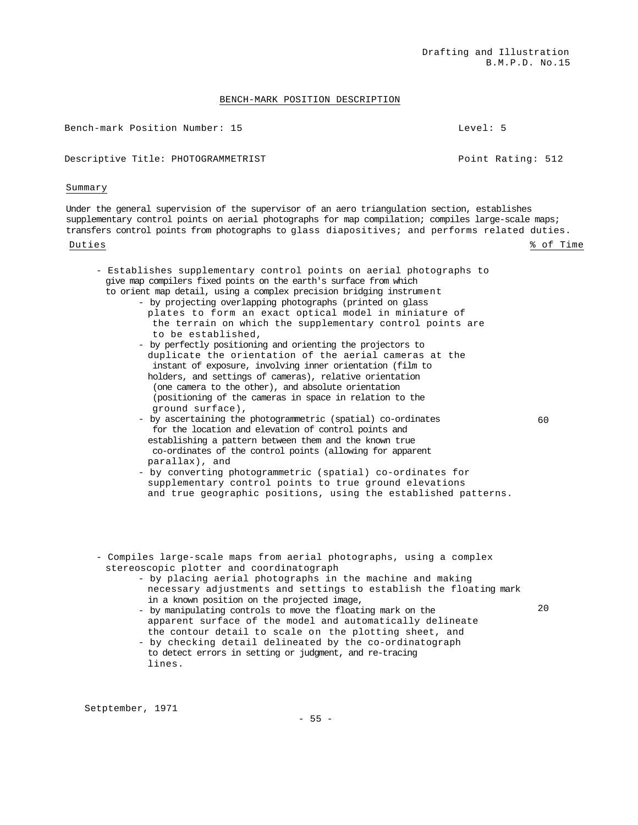### BENCH-MARK POSITION DESCRIPTION

Bench-mark Position Number: 15 Level: 5

Descriptive Title: PHOTOGRAMMETRIST FOR CONSERVATION Point Rating: 512

Summary

Under the general supervision of the supervisor of an aero triangulation section, establishes supplementary control points on aerial photographs for map compilation; compiles large-scale maps; transfers control points from photographs to glass diapositives; and performs related duties. Duties % of Time

- Establishes supplementary control points on aerial photographs to give map compilers fixed points on the earth's surface from which to orient map detail, using a complex precision bridging instrument
	- by projecting overlapping photographs (printed on glass
		- plates to form an exact optical model in miniature of the terrain on which the supplementary control points are to be established,
		- by perfectly positioning and orienting the projectors to duplicate the orientation of the aerial cameras at the instant of exposure, involving inner orientation (film to holders, and settings of cameras), relative orientation (one camera to the other), and absolute orientation (positioning of the cameras in space in relation to the ground surface),
		- by ascertaining the photogrammetric (spatial) co-ordinates for the location and elevation of control points and establishing a pattern between them and the known true co-ordinates of the control points (allowing for apparent parallax), and
		- by converting photogrammetric (spatial) co-ordinates for supplementary control points to true ground elevations and true geographic positions, using the established patterns.
- Compiles large-scale maps from aerial photographs, using a complex stereoscopic plotter and coordinatograph
	- by placing aerial photographs in the machine and making necessary adjustments and settings to establish the floating mark in a known position on the projected image,
	- by manipulating controls to move the floating mark on the apparent surface of the model and automatically delineate the contour detail to scale on the plotting sheet, and
	- by checking detail delineated by the co-ordinatograph to detect errors in setting or judgment, and re-tracing lines.

Setptember, 1971

 $20$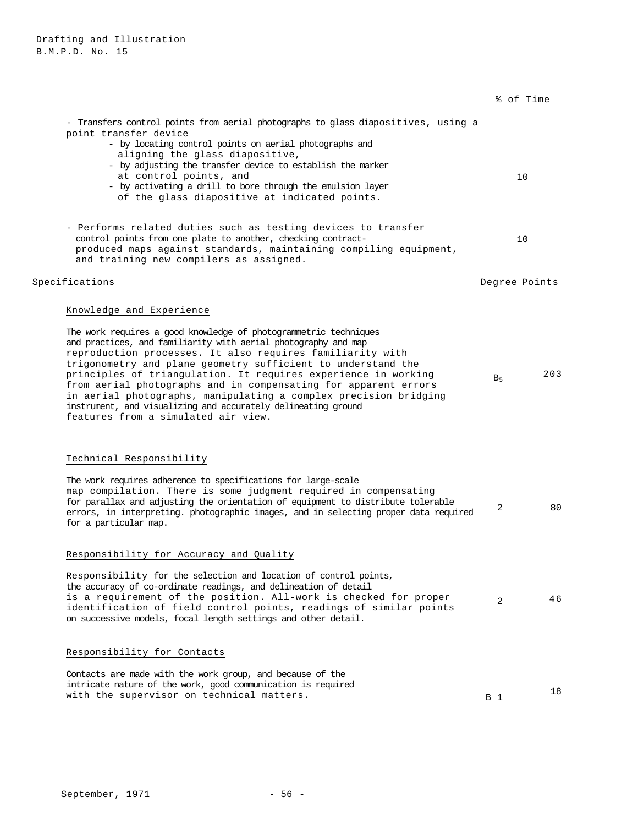|                                                                                                                                                                                                                                                                                                                                                                                                                                                                                                                                                                                                              |                | % of Time     |
|--------------------------------------------------------------------------------------------------------------------------------------------------------------------------------------------------------------------------------------------------------------------------------------------------------------------------------------------------------------------------------------------------------------------------------------------------------------------------------------------------------------------------------------------------------------------------------------------------------------|----------------|---------------|
| - Transfers control points from aerial photographs to glass diapositives, using a<br>point transfer device<br>- by locating control points on aerial photographs and<br>aligning the glass diapositive,<br>- by adjusting the transfer device to establish the marker<br>at control points, and<br>- by activating a drill to bore through the emulsion layer<br>of the glass diapositive at indicated points.                                                                                                                                                                                               |                | 10            |
| - Performs related duties such as testing devices to transfer<br>control points from one plate to another, checking contract-<br>produced maps against standards, maintaining compiling equipment,<br>and training new compilers as assigned.                                                                                                                                                                                                                                                                                                                                                                |                | 10            |
| Specifications                                                                                                                                                                                                                                                                                                                                                                                                                                                                                                                                                                                               |                | Degree Points |
| Knowledge and Experience<br>The work requires a good knowledge of photogrammetric techniques<br>and practices, and familiarity with aerial photography and map<br>reproduction processes. It also requires familiarity with<br>trigonometry and plane geometry sufficient to understand the<br>principles of triangulation. It requires experience in working<br>from aerial photographs and in compensating for apparent errors<br>in aerial photographs, manipulating a complex precision bridging<br>instrument, and visualizing and accurately delineating ground<br>features from a simulated air view. | B <sub>5</sub> | 203           |
| Technical Responsibility<br>The work requires adherence to specifications for large-scale<br>map compilation. There is some judgment required in compensating<br>for parallax and adjusting the orientation of equipment to distribute tolerable<br>errors, in interpreting. photographic images, and in selecting proper data required<br>for a particular map.                                                                                                                                                                                                                                             | 2              | 80            |
| Responsibility for Accuracy and Quality<br>Responsibility for the selection and location of control points,<br>the accuracy of co-ordinate readings, and delineation of detail<br>is a requirement of the position. All-work is checked for proper<br>identification of field control points, readings of similar points<br>on successive models, focal length settings and other detail.                                                                                                                                                                                                                    | 2              | 46            |

# Responsibility for Contacts

| Contacts are made with the work group, and because of the    |            |  |
|--------------------------------------------------------------|------------|--|
| intricate nature of the work, good communication is required |            |  |
| with the supervisor on technical matters.                    | <b>B</b> 1 |  |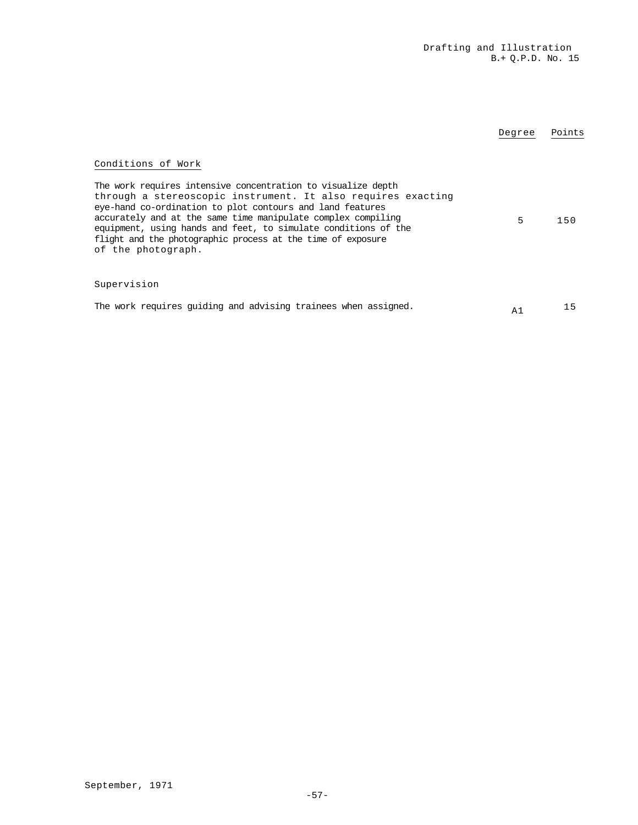|                                                                                                                                                                                                                                                                                                                                                                                                                                        | Degree         | Points |
|----------------------------------------------------------------------------------------------------------------------------------------------------------------------------------------------------------------------------------------------------------------------------------------------------------------------------------------------------------------------------------------------------------------------------------------|----------------|--------|
| Conditions of Work<br>The work requires intensive concentration to visualize depth<br>through a stereoscopic instrument. It also requires exacting<br>eye-hand co-ordination to plot contours and land features<br>accurately and at the same time manipulate complex compiling<br>equipment, using hands and feet, to simulate conditions of the<br>flight and the photographic process at the time of exposure<br>of the photograph. | 5              | 150    |
| Supervision<br>The work requires quiding and advising trainees when assigned.                                                                                                                                                                                                                                                                                                                                                          | A <sub>1</sub> | 15     |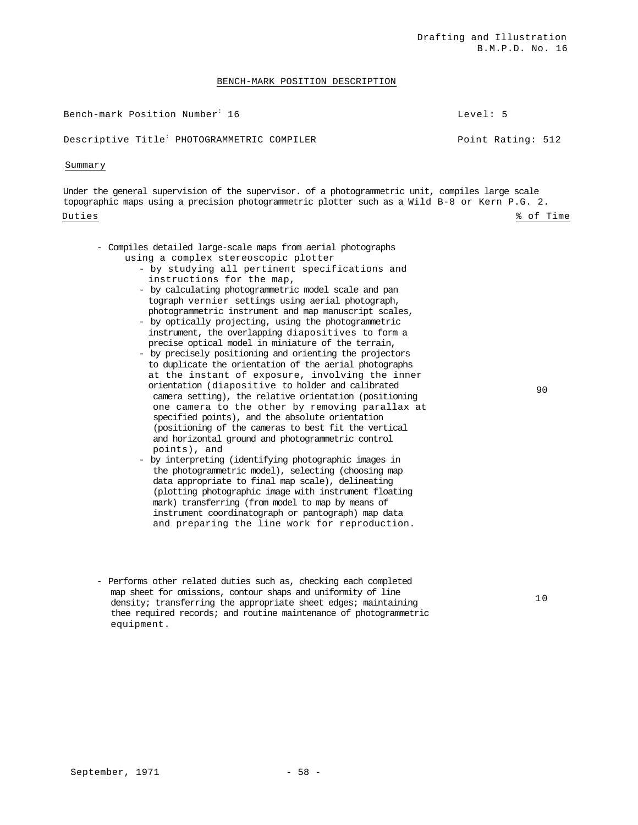### BENCH-MARK POSITION DESCRIPTION

Bench-mark Position Number<sup>:</sup> 16

Level: 5

Descriptive Title<sup>:</sup> PHOTOGRAMMETRIC COMPILER **Point Rating: 512** 

### Summary

Under the general supervision of the supervisor. of a photogrammetric unit, compiles large scale topographic maps using a precision photogrammetric plotter such as a Wild B-8 or Kern P.G. 2. Duties % of Time

90

- Compiles detailed large-scale maps from aerial photographs using a complex stereoscopic plotter
	- by studying all pertinent specifications and instructions for the map,
	- by calculating photogrammetric model scale and pan tograph vernier settings using aerial photograph, photogrammetric instrument and map manuscript scales,
	- by optically projecting, using the photogrammetric instrument, the overlapping diapositives to form a precise optical model in miniature of the terrain,
	- by precisely positioning and orienting the projectors to duplicate the orientation of the aerial photographs at the instant of exposure, involving the inner orientation (diapositive to holder and calibrated camera setting), the relative orientation (positioning one camera to the other by removing parallax at specified points), and the absolute orientation (positioning of the cameras to best fit the vertical and horizontal ground and photogrammetric control points), and
	- by interpreting (identifying photographic images in the photogrammetric model), selecting (choosing map data appropriate to final map scale), delineating (plotting photographic image with instrument floating mark) transferring (from model to map by means of instrument coordinatograph or pantograph) map data and preparing the line work for reproduction.
- Performs other related duties such as, checking each completed map sheet for omissions, contour shaps and uniformity of line density; transferring the appropriate sheet edges; maintaining thee required records; and routine maintenance of photogrammetric equipment.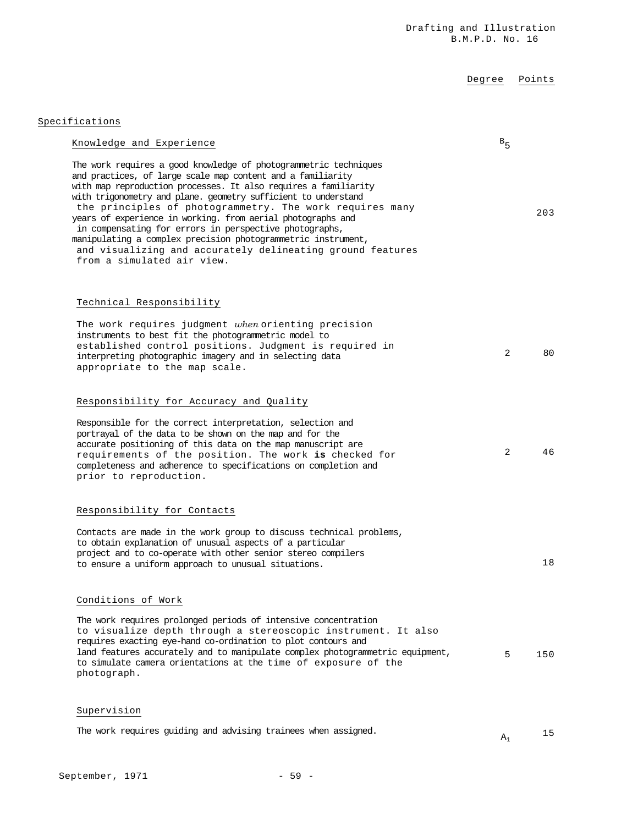# Degree Points

Specifications

| Knowledge and Experience                                                                                                                                                                                                                                                                                                                                                                                                                                                                                                                                                                                              | $B_{5}$ |     |
|-----------------------------------------------------------------------------------------------------------------------------------------------------------------------------------------------------------------------------------------------------------------------------------------------------------------------------------------------------------------------------------------------------------------------------------------------------------------------------------------------------------------------------------------------------------------------------------------------------------------------|---------|-----|
| The work requires a good knowledge of photogrammetric techniques<br>and practices, of large scale map content and a familiarity<br>with map reproduction processes. It also requires a familiarity<br>with trigonometry and plane. geometry sufficient to understand<br>the principles of photogrammetry. The work requires many<br>years of experience in working. from aerial photographs and<br>in compensating for errors in perspective photographs,<br>manipulating a complex precision photogrammetric instrument,<br>and visualizing and accurately delineating ground features<br>from a simulated air view. |         | 203 |
| Technical Responsibility                                                                                                                                                                                                                                                                                                                                                                                                                                                                                                                                                                                              |         |     |
| The work requires judgment when orienting precision<br>instruments to best fit the photogrammetric model to<br>established control positions. Judgment is required in<br>interpreting photographic imagery and in selecting data<br>appropriate to the map scale.                                                                                                                                                                                                                                                                                                                                                     | 2       | 80  |
| Responsibility for Accuracy and Quality                                                                                                                                                                                                                                                                                                                                                                                                                                                                                                                                                                               |         |     |
| Responsible for the correct interpretation, selection and<br>portrayal of the data to be shown on the map and for the<br>accurate positioning of this data on the map manuscript are<br>requirements of the position. The work is checked for<br>completeness and adherence to specifications on completion and<br>prior to reproduction.                                                                                                                                                                                                                                                                             | 2       | 46  |
| Responsibility for Contacts                                                                                                                                                                                                                                                                                                                                                                                                                                                                                                                                                                                           |         |     |
| Contacts are made in the work group to discuss technical problems,<br>to obtain explanation of unusual aspects of a particular<br>project and to co-operate with other senior stereo compilers<br>to ensure a uniform approach to unusual situations.                                                                                                                                                                                                                                                                                                                                                                 |         | 18  |
| Conditions of Work                                                                                                                                                                                                                                                                                                                                                                                                                                                                                                                                                                                                    |         |     |
| The work requires prolonged periods of intensive concentration<br>to visualize depth through a stereoscopic instrument. It also<br>requires exacting eye-hand co-ordination to plot contours and<br>land features accurately and to manipulate complex photogrammetric equipment,<br>to simulate camera orientations at the time of exposure of the<br>photograph.                                                                                                                                                                                                                                                    | 5       | 150 |
| Supervision                                                                                                                                                                                                                                                                                                                                                                                                                                                                                                                                                                                                           |         |     |

| The work requires guiding and advising trainees when assigned. |  |  |
|----------------------------------------------------------------|--|--|
|----------------------------------------------------------------|--|--|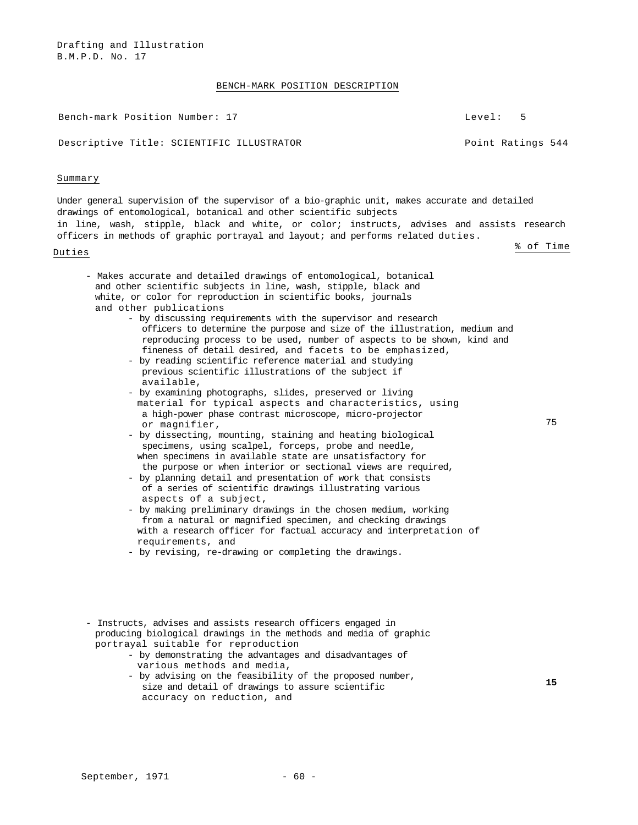Drafting and Illustration B.M.P.D. No. 17

### BENCH-MARK POSITION DESCRIPTION

Bench-mark Position Number: 17 Level: 5

Descriptive Title: SCIENTIFIC ILLUSTRATOR FOR THE POINT Ratings 544

### Summary

Under general supervision of the supervisor of a bio-graphic unit, makes accurate and detailed drawings of entomological, botanical and other scientific subjects in line, wash, stipple, black and white, or color; instructs, advises and assists research officers in methods of graphic portrayal and layout; and performs related duties. Duties % of Time

75

- Makes accurate and detailed drawings of entomological, botanical and other scientific subjects in line, wash, stipple, black and white, or color for reproduction in scientific books, journals and other publications
	- by discussing requirements with the supervisor and research officers to determine the purpose and size of the illustration, medium and reproducing process to be used, number of aspects to be shown, kind and fineness of detail desired, and facets to be emphasized,
	- by reading scientific reference material and studying previous scientific illustrations of the subject if available,
	- by examining photographs, slides, preserved or living material for typical aspects and characteristics**,** using a high-power phase contrast microscope, micro-projector or magnifier,
	- by dissecting, mounting, staining and heating biological specimens, using scalpel, forceps, probe and needle, when specimens in available state are unsatisfactory for the purpose or when interior or sectional views are required,
	- by planning detail and presentation of work that consists of a series of scientific drawings illustrating various aspects of a subject,
	- by making preliminary drawings in the chosen medium, working from a natural or magnified specimen, and checking drawings with a research officer for factual accuracy and interpretation of requirements, and
	- by revising, re-drawing or completing the drawings.
- Instructs, advises and assists research officers engaged in producing biological drawings in the methods and media of graphic portrayal suitable for reproduction
	- by demonstrating the advantages and disadvantages of various methods and media,
	- by advising on the feasibility of the proposed number, size and detail of drawings to assure scientific accuracy on reduction, and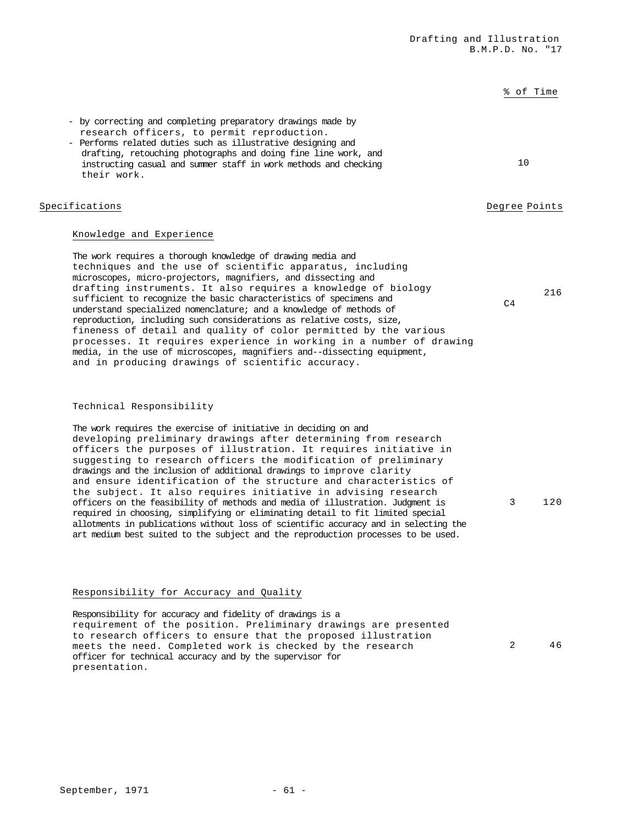|                                                                                                                                                                                                                                                                                                                                                                                                                                                                                                                                                                                                                                                                                                                                                                                                                                                                                  |                | % of Time |
|----------------------------------------------------------------------------------------------------------------------------------------------------------------------------------------------------------------------------------------------------------------------------------------------------------------------------------------------------------------------------------------------------------------------------------------------------------------------------------------------------------------------------------------------------------------------------------------------------------------------------------------------------------------------------------------------------------------------------------------------------------------------------------------------------------------------------------------------------------------------------------|----------------|-----------|
| - by correcting and completing preparatory drawings made by<br>research officers, to permit reproduction.<br>- Performs related duties such as illustrative designing and<br>drafting, retouching photographs and doing fine line work, and<br>instructing casual and summer staff in work methods and checking<br>their work.                                                                                                                                                                                                                                                                                                                                                                                                                                                                                                                                                   | 10             |           |
| Specifications                                                                                                                                                                                                                                                                                                                                                                                                                                                                                                                                                                                                                                                                                                                                                                                                                                                                   | Degree Points  |           |
| Knowledge and Experience<br>The work requires a thorough knowledge of drawing media and                                                                                                                                                                                                                                                                                                                                                                                                                                                                                                                                                                                                                                                                                                                                                                                          |                |           |
| techniques and the use of scientific apparatus, including<br>microscopes, micro-projectors, magnifiers, and dissecting and<br>drafting instruments. It also requires a knowledge of biology<br>sufficient to recognize the basic characteristics of specimens and<br>understand specialized nomenclature; and a knowledge of methods of<br>reproduction, including such considerations as relative costs, size,<br>fineness of detail and quality of color permitted by the various<br>processes. It requires experience in working in a number of drawing<br>media, in the use of microscopes, magnifiers and--dissecting equipment,<br>and in producing drawings of scientific accuracy.                                                                                                                                                                                       | C <sub>4</sub> | 216       |
| Technical Responsibility                                                                                                                                                                                                                                                                                                                                                                                                                                                                                                                                                                                                                                                                                                                                                                                                                                                         |                |           |
| The work requires the exercise of initiative in deciding on and<br>developing preliminary drawings after determining from research<br>officers the purposes of illustration. It requires initiative in<br>suggesting to research officers the modification of preliminary<br>drawings and the inclusion of additional drawings to improve clarity<br>and ensure identification of the structure and characteristics of<br>the subject. It also requires initiative in advising research<br>officers on the feasibility of methods and media of illustration. Judgment is<br>required in choosing, simplifying or eliminating detail to fit limited special<br>allotments in publications without loss of scientific accuracy and in selecting the<br>art medium best suited to the subject and the reproduction processes to be used.<br>Responsibility for Accuracy and Quality | 3              | 120       |
|                                                                                                                                                                                                                                                                                                                                                                                                                                                                                                                                                                                                                                                                                                                                                                                                                                                                                  |                |           |

Responsibility for accuracy and fidelity of drawings is a requirement of the position. Preliminary drawings are presented to research officers to ensure that the proposed illustration meets the need. Completed work is checked by the research officer for technical accuracy and by the supervisor for presentation.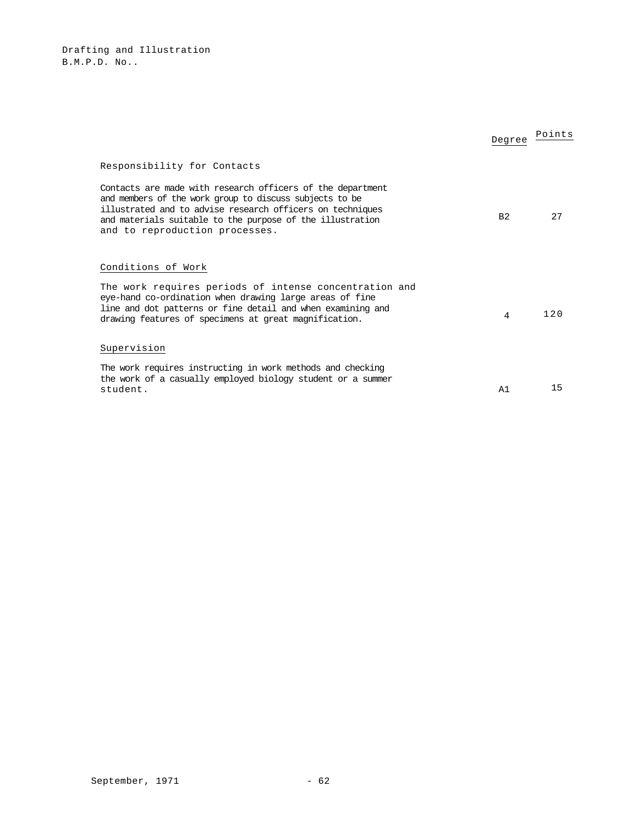|                                                                                                                                                                                                                                                                                   | Degree         | Points |
|-----------------------------------------------------------------------------------------------------------------------------------------------------------------------------------------------------------------------------------------------------------------------------------|----------------|--------|
| Responsibility for Contacts                                                                                                                                                                                                                                                       |                |        |
| Contacts are made with research officers of the department<br>and members of the work group to discuss subjects to be<br>illustrated and to advise research officers on techniques<br>and materials suitable to the purpose of the illustration<br>and to reproduction processes. | B <sub>2</sub> | 2.7    |
| Conditions of Work                                                                                                                                                                                                                                                                |                |        |
| The work requires periods of intense concentration and<br>eye-hand co-ordination when drawing large areas of fine<br>line and dot patterns or fine detail and when examining and<br>drawing features of specimens at great magnification.                                         | 4              | 120    |
| Supervision                                                                                                                                                                                                                                                                       |                |        |
| The work requires instructing in work methods and checking<br>the work of a casually employed biology student or a summer<br>student.                                                                                                                                             | A1             | 15     |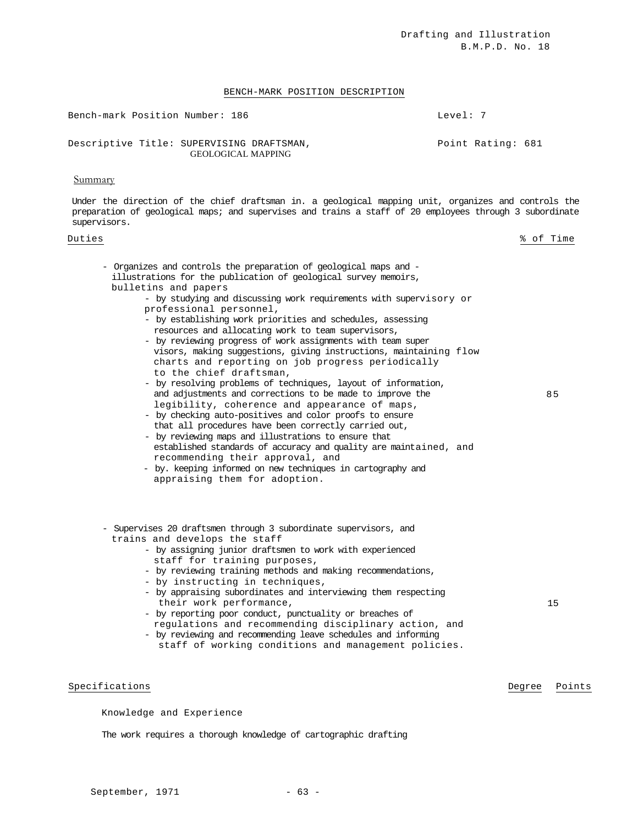### BENCH-MARK POSITION DESCRIPTION

Bench-mark Position Number: 186 and the control of the Level: 7 Descriptive Title: SUPERVISING DRAFTSMAN, GEOLOGICAL MAPPING Point Rating: 681

### **Summary**

Under the direction of the chief draftsman in. a geological mapping unit, organizes and controls the preparation of geological maps; and supervises and trains a staff of 20 employees through 3 subordinate supervisors.

### Duties % of Time

- Organizes and controls the preparation of geological maps and illustrations for the publication of geological survey memoirs, bulletins and papers
	- by studying and discussing work requirements with supervisory or professional personnel,
	- by establishing work priorities and schedules, assessing resources and allocating work to team supervisors,
	- by reviewing progress of work assignments with team super visors, making suggestions, giving instructions, maintaining flow charts and reporting on job progress periodically to the chief draftsman,
	- by resolving problems of techniques, layout of information, and adjustments and corrections to be made to improve the legibility, coherence and appearance of maps,
	- by checking auto-positives and color proofs to ensure that all procedures have been correctly carried out,
	- by reviewing maps and illustrations to ensure that established standards of accuracy and quality are maintained, and recommending their approval, and
	- by. keeping informed on new techniques in cartography and appraising them for adoption.
- Supervises 20 draftsmen through 3 subordinate supervisors, and trains and develops the staff
	- by assigning junior draftsmen to work with experienced staff for training purposes,
	- by reviewing training methods and making recommendations,
	- by instructing in techniques,
	- by appraising subordinates and interviewing them respecting their work performance,
	- by reporting poor conduct, punctuality or breaches of regulations and recommending disciplinary action, and
	- by reviewing and recommending leave schedules and informing staff of working conditions and management policies.

### Specifications **Degree** Points **Degree** Points

Knowledge and Experience

The work requires a thorough knowledge of cartographic drafting

85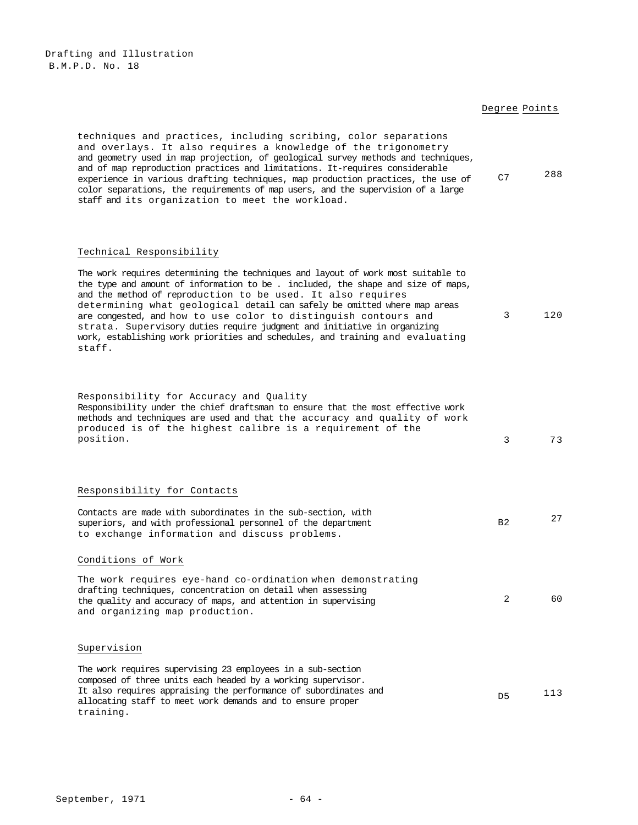Drafting and Illustration B.M.P.D. No. 18

# Degree Points

| techniques and practices, including scribing, color separations<br>and overlays. It also requires a knowledge of the trigonometry<br>and geometry used in map projection, of geological survey methods and techniques,<br>and of map reproduction practices and limitations. It-requires considerable<br>experience in various drafting techniques, map production practices, the use of<br>color separations, the requirements of map users, and the supervision of a large<br>staff and its organization to meet the workload. | C7             | 288 |
|----------------------------------------------------------------------------------------------------------------------------------------------------------------------------------------------------------------------------------------------------------------------------------------------------------------------------------------------------------------------------------------------------------------------------------------------------------------------------------------------------------------------------------|----------------|-----|
| Technical Responsibility<br>The work requires determining the techniques and layout of work most suitable to<br>the type and amount of information to be. included, the shape and size of maps,<br>and the method of reproduction to be used. It also requires<br>determining what geological detail can safely be omitted where map areas                                                                                                                                                                                       |                |     |
| are congested, and how to use color to distinguish contours and<br>strata. Supervisory duties require judgment and initiative in organizing<br>work, establishing work priorities and schedules, and training and evaluating<br>staff.                                                                                                                                                                                                                                                                                           | 3              | 120 |
| Responsibility for Accuracy and Quality<br>Responsibility under the chief draftsman to ensure that the most effective work<br>methods and techniques are used and that the accuracy and quality of work<br>produced is of the highest calibre is a requirement of the<br>position.                                                                                                                                                                                                                                               | 3              | 73  |
| Responsibility for Contacts                                                                                                                                                                                                                                                                                                                                                                                                                                                                                                      |                |     |
| Contacts are made with subordinates in the sub-section, with<br>superiors, and with professional personnel of the department<br>to exchange information and discuss problems.                                                                                                                                                                                                                                                                                                                                                    | B <sub>2</sub> | 27  |
| Conditions of Work                                                                                                                                                                                                                                                                                                                                                                                                                                                                                                               |                |     |
| The work requires eye-hand co-ordination when demonstrating<br>drafting techniques, concentration on detail when assessing<br>the quality and accuracy of maps, and attention in supervising<br>and organizing map production.                                                                                                                                                                                                                                                                                                   | 2              | 60  |
| Supervision                                                                                                                                                                                                                                                                                                                                                                                                                                                                                                                      |                |     |
| The work requires supervising 23 employees in a sub-section<br>composed of three units each headed by a working supervisor.<br>It also requires appraising the performance of subordinates and<br>allocating staff to meet work demands and to ensure proper<br>training.                                                                                                                                                                                                                                                        | D <sub>5</sub> | 113 |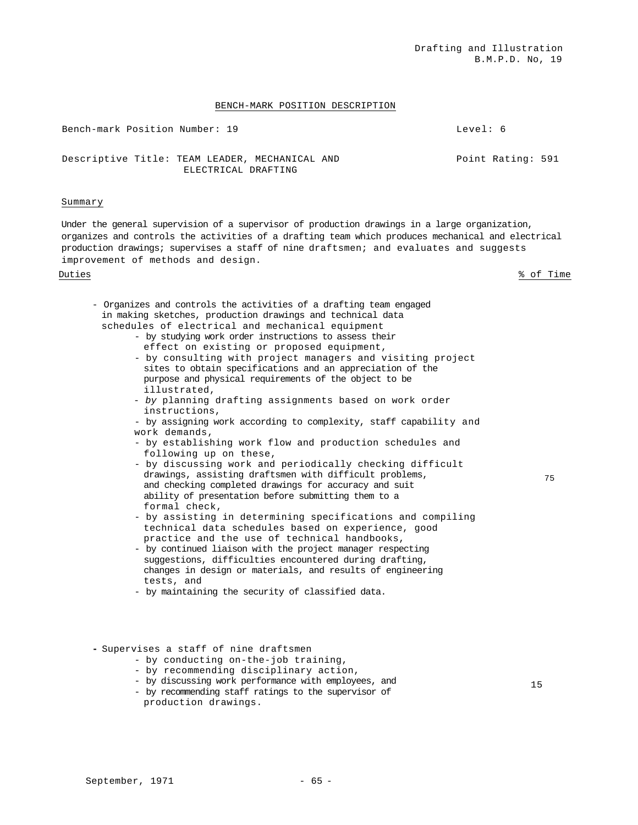# BENCH-MARK POSITION DESCRIPTION

Bench-mark Position Number: 19 Level: 6 Descriptive Title: TEAM LEADER, MECHANICAL AND ELECTRICAL DRAFTING Point Rating: 591

### Summary

Under the general supervision of a supervisor of production drawings in a large organization, organizes and controls the activities of a drafting team which produces mechanical and electrical production drawings; supervises a staff of nine draftsmen; and evaluates and suggests improvement of methods and design.

Duties % of Time

75

- Organizes and controls the activities of a drafting team engaged in making sketches, production drawings and technical data schedules of electrical and mechanical equipment
	- by studying work order instructions to assess their effect on existing or proposed equipment,
	- by consulting with project managers and visiting project sites to obtain specifications and an appreciation of the purpose and physical requirements of the object to be illustrated,
	- *by* planning drafting assignments based on work order instructions,
	- by assigning work according to complexity, staff capability and work demands,
	- by establishing work flow and production schedules and following up on these,
	- by discussing work and periodically checking difficult drawings, assisting draftsmen with difficult problems, and checking completed drawings for accuracy and suit ability of presentation before submitting them to a formal check,
	- by assisting in determining specifications and compiling technical data schedules based on experience, good practice and the use of technical handbooks,
	- by continued liaison with the project manager respecting suggestions, difficulties encountered during drafting, changes in design or materials, and results of engineering tests, and
	- by maintaining the security of classified data.
- **-** Supervises a staff of nine draftsmen
	- by conducting on-the-job training,
	- by recommending disciplinary action,
	- by discussing work performance with employees, and
	- by recommending staff ratings to the supervisor of production drawings.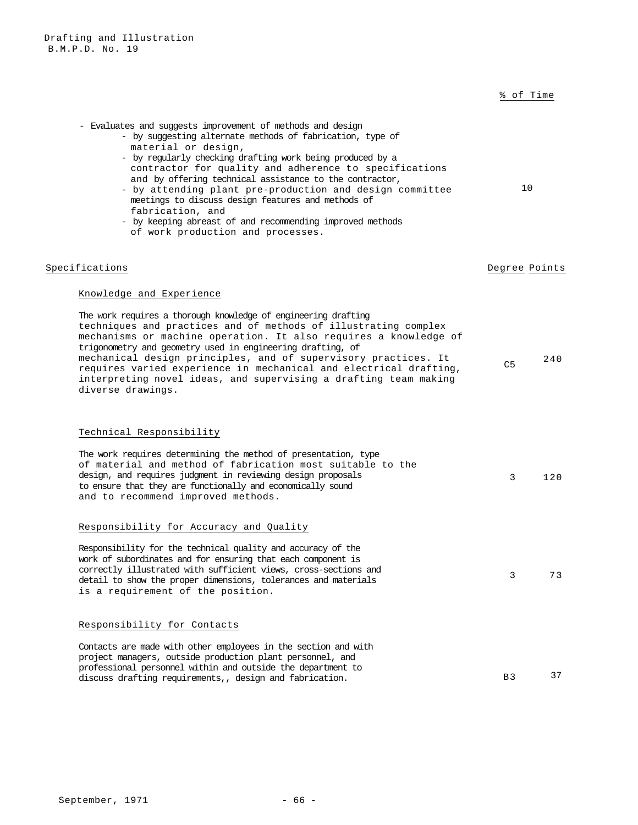# % of Time

| - Evaluates and suggests improvement of methods and design<br>- by suggesting alternate methods of fabrication, type of<br>material or design,<br>- by regularly checking drafting work being produced by a<br>contractor for quality and adherence to specifications<br>and by offering technical assistance to the contractor,<br>- by attending plant pre-production and design committee<br>meetings to discuss design features and methods of<br>fabrication, and<br>- by keeping abreast of and recommending improved methods<br>of work production and processes. | 10             |     |
|--------------------------------------------------------------------------------------------------------------------------------------------------------------------------------------------------------------------------------------------------------------------------------------------------------------------------------------------------------------------------------------------------------------------------------------------------------------------------------------------------------------------------------------------------------------------------|----------------|-----|
| Specifications                                                                                                                                                                                                                                                                                                                                                                                                                                                                                                                                                           | Degree Points  |     |
| Knowledge and Experience                                                                                                                                                                                                                                                                                                                                                                                                                                                                                                                                                 |                |     |
| The work requires a thorough knowledge of engineering drafting<br>techniques and practices and of methods of illustrating complex<br>mechanisms or machine operation. It also requires a knowledge of<br>trigonometry and geometry used in engineering drafting, of<br>mechanical design principles, and of supervisory practices. It<br>requires varied experience in mechanical and electrical drafting,<br>interpreting novel ideas, and supervising a drafting team making<br>diverse drawings.                                                                      | C <sub>5</sub> | 240 |
| Technical Responsibility                                                                                                                                                                                                                                                                                                                                                                                                                                                                                                                                                 |                |     |
| The work requires determining the method of presentation, type<br>of material and method of fabrication most suitable to the<br>design, and requires judgment in reviewing design proposals<br>to ensure that they are functionally and economically sound<br>and to recommend improved methods.                                                                                                                                                                                                                                                                         | 3              | 120 |
| Responsibility for Accuracy and Quality                                                                                                                                                                                                                                                                                                                                                                                                                                                                                                                                  |                |     |
| Responsibility for the technical quality and accuracy of the<br>work of subordinates and for ensuring that each component is<br>correctly illustrated with sufficient views, cross-sections and<br>detail to show the proper dimensions, tolerances and materials<br>is a requirement of the position.                                                                                                                                                                                                                                                                   | 3              | 73  |
| Responsibility for Contacts                                                                                                                                                                                                                                                                                                                                                                                                                                                                                                                                              |                |     |
| Contacts are made with other employees in the section and with<br>project managers, outside production plant personnel, and<br>professional personnel within and outside the department to<br>discuss drafting requirements,, design and fabrication.                                                                                                                                                                                                                                                                                                                    | <b>B3</b>      | 37  |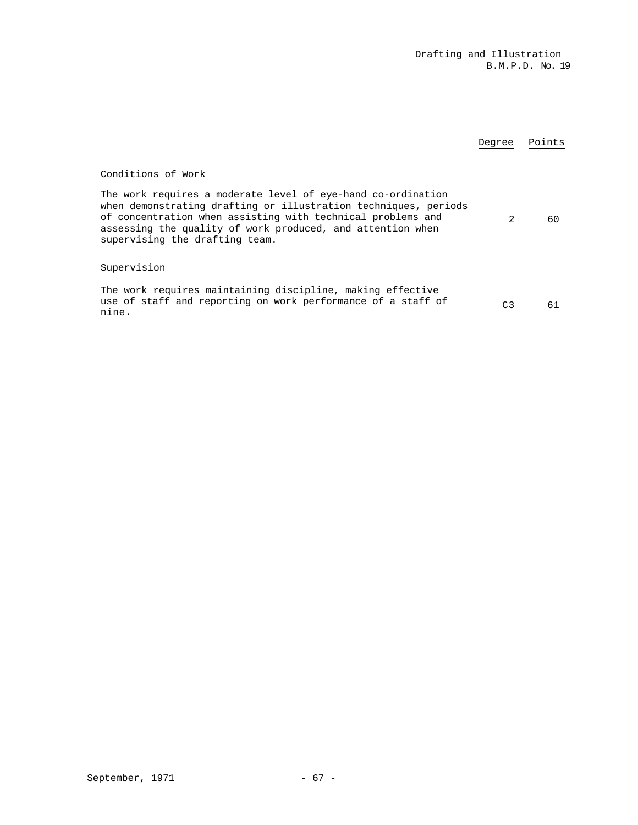|                                                                                                                                                                                                                                                                                                | Degree | Points |
|------------------------------------------------------------------------------------------------------------------------------------------------------------------------------------------------------------------------------------------------------------------------------------------------|--------|--------|
| Conditions of Work                                                                                                                                                                                                                                                                             |        |        |
| The work requires a moderate level of eye-hand co-ordination<br>when demonstrating drafting or illustration techniques, periods<br>of concentration when assisting with technical problems and<br>assessing the quality of work produced, and attention when<br>supervising the drafting team. | 2      | 60     |
| Supervision                                                                                                                                                                                                                                                                                    |        |        |
| The work requires maintaining discipline, making effective<br>use of staff and reporting on work performance of a staff of<br>nine.                                                                                                                                                            | C3     | 61     |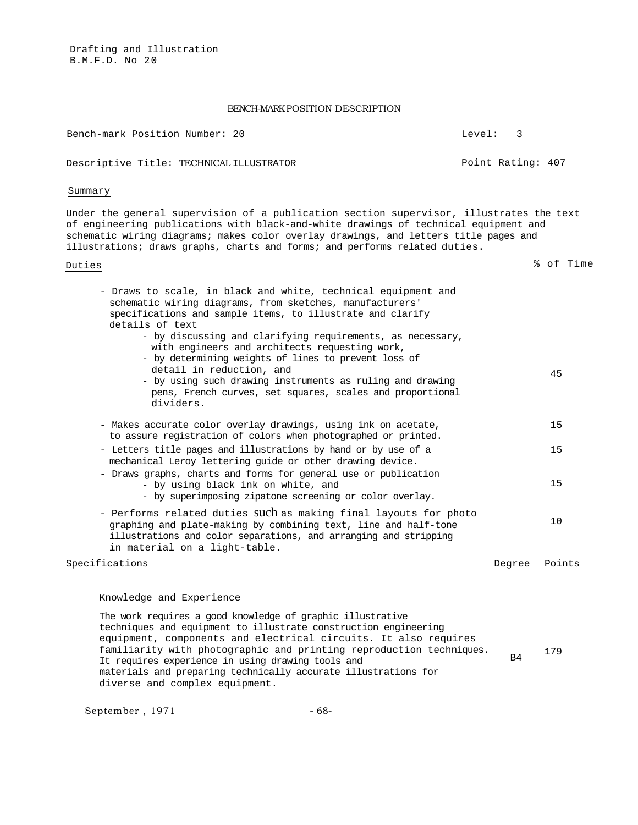Drafting and Illustration B.M.F.D. No 20

# BENCH-MARK POSITION DESCRIPTION

Bench-mark Position Number: 20 Level: 3 Descriptive Title: TECHNICAL ILLUSTRATOR **Point Rating: 407** Summary

Under the general supervision of a publication section supervisor, illustrates the text of engineering publications with black-and-white drawings of technical equipment and schematic wiring diagrams; makes color overlay drawings, and letters title pages and illustrations; draws graphs, charts and forms; and performs related duties.

Duties  $\frac{8}{3}$  of Time

| - Draws to scale, in black and white, technical equipment and<br>schematic wiring diagrams, from sketches, manufacturers'<br>specifications and sample items, to illustrate and clarify<br>details of text                                                                                                                              |        |        |
|-----------------------------------------------------------------------------------------------------------------------------------------------------------------------------------------------------------------------------------------------------------------------------------------------------------------------------------------|--------|--------|
| - by discussing and clarifying requirements, as necessary,<br>with engineers and architects requesting work,<br>- by determining weights of lines to prevent loss of<br>detail in reduction, and<br>- by using such drawing instruments as ruling and drawing<br>pens, French curves, set squares, scales and proportional<br>dividers. |        | 45     |
| - Makes accurate color overlay drawings, using ink on acetate,<br>to assure registration of colors when photographed or printed.                                                                                                                                                                                                        |        | 15     |
| - Letters title pages and illustrations by hand or by use of a<br>mechanical Leroy lettering quide or other drawing device.                                                                                                                                                                                                             |        | 15     |
| - Draws graphs, charts and forms for general use or publication<br>- by using black ink on white, and<br>- by superimposing zipatone screening or color overlay.                                                                                                                                                                        |        | 15     |
| - Performs related duties SUCh as making final layouts for photo<br>graphing and plate-making by combining text, line and half-tone<br>illustrations and color separations, and arranging and stripping<br>in material on a light-table.                                                                                                |        | 10     |
| Specifications                                                                                                                                                                                                                                                                                                                          | Degree | Points |

# Knowledge and Experience

The work requires a good knowledge of graphic illustrative techniques and equipment to illustrate construction engineering equipment, components and electrical circuits. It also requires familiarity with photographic and printing reproduction techniques. It requires experience in using drawing tools and materials and preparing technically accurate illustrations for diverse and complex equipment. B4 <sup>179</sup>

September, 1971 - 68-